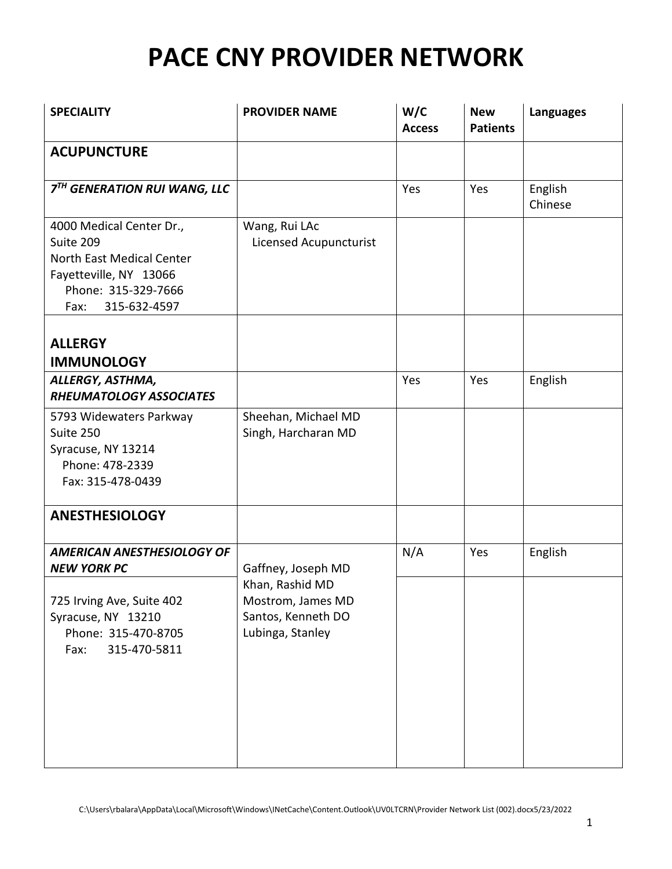| <b>SPECIALITY</b>                                                                                                                                  | <b>PROVIDER NAME</b>                                                           | W/C<br><b>Access</b> | <b>New</b><br><b>Patients</b> | <b>Languages</b>   |
|----------------------------------------------------------------------------------------------------------------------------------------------------|--------------------------------------------------------------------------------|----------------------|-------------------------------|--------------------|
| <b>ACUPUNCTURE</b>                                                                                                                                 |                                                                                |                      |                               |                    |
| 7TH GENERATION RUI WANG, LLC                                                                                                                       |                                                                                | Yes                  | Yes                           | English<br>Chinese |
| 4000 Medical Center Dr.,<br>Suite 209<br><b>North East Medical Center</b><br>Fayetteville, NY 13066<br>Phone: 315-329-7666<br>315-632-4597<br>Fax: | Wang, Rui LAc<br>Licensed Acupuncturist                                        |                      |                               |                    |
| <b>ALLERGY</b>                                                                                                                                     |                                                                                |                      |                               |                    |
| <b>IMMUNOLOGY</b><br>ALLERGY, ASTHMA,<br>RHEUMATOLOGY ASSOCIATES                                                                                   |                                                                                | Yes                  | Yes                           | English            |
| 5793 Widewaters Parkway<br>Suite 250<br>Syracuse, NY 13214<br>Phone: 478-2339<br>Fax: 315-478-0439                                                 | Sheehan, Michael MD<br>Singh, Harcharan MD                                     |                      |                               |                    |
| <b>ANESTHESIOLOGY</b>                                                                                                                              |                                                                                |                      |                               |                    |
| <b>AMERICAN ANESTHESIOLOGY OF</b><br><b>NEW YORK PC</b>                                                                                            | Gaffney, Joseph MD                                                             | N/A                  | Yes                           | English            |
| 725 Irving Ave, Suite 402<br>Syracuse, NY 13210<br>Phone: 315-470-8705<br>315-470-5811<br>Fax:                                                     | Khan, Rashid MD<br>Mostrom, James MD<br>Santos, Kenneth DO<br>Lubinga, Stanley |                      |                               |                    |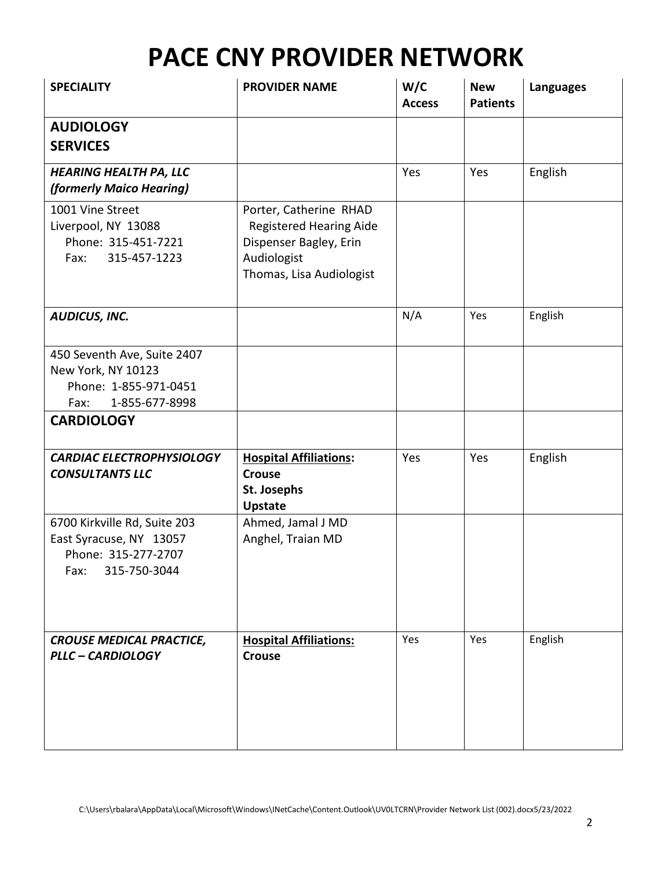| <b>SPECIALITY</b>                                                                                      | <b>PROVIDER NAME</b>                                                                                                          | W/C<br><b>Access</b> | <b>New</b><br><b>Patients</b> | <b>Languages</b> |
|--------------------------------------------------------------------------------------------------------|-------------------------------------------------------------------------------------------------------------------------------|----------------------|-------------------------------|------------------|
| <b>AUDIOLOGY</b><br><b>SERVICES</b>                                                                    |                                                                                                                               |                      |                               |                  |
| <b>HEARING HEALTH PA, LLC</b><br>(formerly Maico Hearing)                                              |                                                                                                                               | Yes                  | Yes                           | English          |
| 1001 Vine Street<br>Liverpool, NY 13088<br>Phone: 315-451-7221<br>Fax:<br>315-457-1223                 | Porter, Catherine RHAD<br><b>Registered Hearing Aide</b><br>Dispenser Bagley, Erin<br>Audiologist<br>Thomas, Lisa Audiologist |                      |                               |                  |
| AUDICUS, INC.                                                                                          |                                                                                                                               | N/A                  | Yes                           | English          |
| 450 Seventh Ave, Suite 2407<br>New York, NY 10123<br>Phone: 1-855-971-0451<br>1-855-677-8998<br>Fax:   |                                                                                                                               |                      |                               |                  |
| <b>CARDIOLOGY</b>                                                                                      |                                                                                                                               |                      |                               |                  |
| <b>CARDIAC ELECTROPHYSIOLOGY</b><br><b>CONSULTANTS LLC</b>                                             | <b>Hospital Affiliations:</b><br><b>Crouse</b><br>St. Josephs<br><b>Upstate</b>                                               | Yes                  | Yes                           | English          |
| 6700 Kirkville Rd, Suite 203<br>East Syracuse, NY 13057<br>Phone: 315-277-2707<br>315-750-3044<br>Fax: | Ahmed, Jamal J MD<br>Anghel, Traian MD                                                                                        |                      |                               |                  |
| <b>CROUSE MEDICAL PRACTICE,</b><br><b>PLLC - CARDIOLOGY</b>                                            | <b>Hospital Affiliations:</b><br><b>Crouse</b>                                                                                | Yes                  | Yes                           | English          |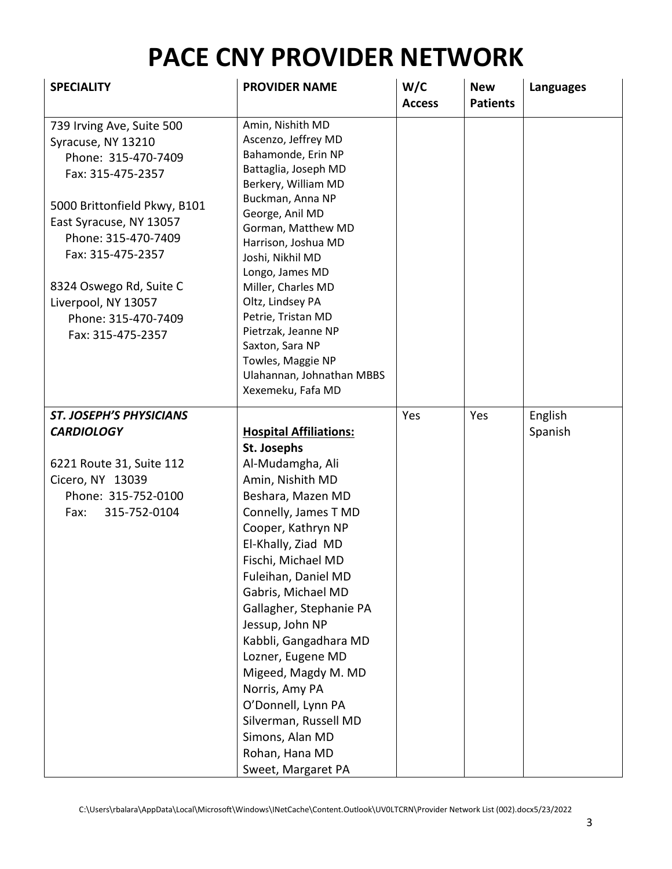| <b>SPECIALITY</b>                                                                                                                                                                                                                                                                                | <b>PROVIDER NAME</b>                                                                                                                                                                                                                                                                                                                                                                                                                                                                            | W/C<br><b>Access</b> | <b>New</b><br><b>Patients</b> | <b>Languages</b> |
|--------------------------------------------------------------------------------------------------------------------------------------------------------------------------------------------------------------------------------------------------------------------------------------------------|-------------------------------------------------------------------------------------------------------------------------------------------------------------------------------------------------------------------------------------------------------------------------------------------------------------------------------------------------------------------------------------------------------------------------------------------------------------------------------------------------|----------------------|-------------------------------|------------------|
| 739 Irving Ave, Suite 500<br>Syracuse, NY 13210<br>Phone: 315-470-7409<br>Fax: 315-475-2357<br>5000 Brittonfield Pkwy, B101<br>East Syracuse, NY 13057<br>Phone: 315-470-7409<br>Fax: 315-475-2357<br>8324 Oswego Rd, Suite C<br>Liverpool, NY 13057<br>Phone: 315-470-7409<br>Fax: 315-475-2357 | Amin, Nishith MD<br>Ascenzo, Jeffrey MD<br>Bahamonde, Erin NP<br>Battaglia, Joseph MD<br>Berkery, William MD<br>Buckman, Anna NP<br>George, Anil MD<br>Gorman, Matthew MD<br>Harrison, Joshua MD<br>Joshi, Nikhil MD<br>Longo, James MD<br>Miller, Charles MD<br>Oltz, Lindsey PA<br>Petrie, Tristan MD<br>Pietrzak, Jeanne NP<br>Saxton, Sara NP<br>Towles, Maggie NP<br>Ulahannan, Johnathan MBBS<br>Xexemeku, Fafa MD                                                                        |                      |                               |                  |
| <b>ST. JOSEPH'S PHYSICIANS</b>                                                                                                                                                                                                                                                                   |                                                                                                                                                                                                                                                                                                                                                                                                                                                                                                 | Yes                  | Yes                           | English          |
| <b>CARDIOLOGY</b><br>6221 Route 31, Suite 112<br>Cicero, NY 13039<br>Phone: 315-752-0100<br>315-752-0104<br>Fax:                                                                                                                                                                                 | <b>Hospital Affiliations:</b><br>St. Josephs<br>Al-Mudamgha, Ali<br>Amin, Nishith MD<br>Beshara, Mazen MD<br>Connelly, James T MD<br>Cooper, Kathryn NP<br>El-Khally, Ziad MD<br>Fischi, Michael MD<br>Fuleihan, Daniel MD<br>Gabris, Michael MD<br>Gallagher, Stephanie PA<br>Jessup, John NP<br>Kabbli, Gangadhara MD<br>Lozner, Eugene MD<br>Migeed, Magdy M. MD<br>Norris, Amy PA<br>O'Donnell, Lynn PA<br>Silverman, Russell MD<br>Simons, Alan MD<br>Rohan, Hana MD<br>Sweet, Margaret PA |                      |                               | Spanish          |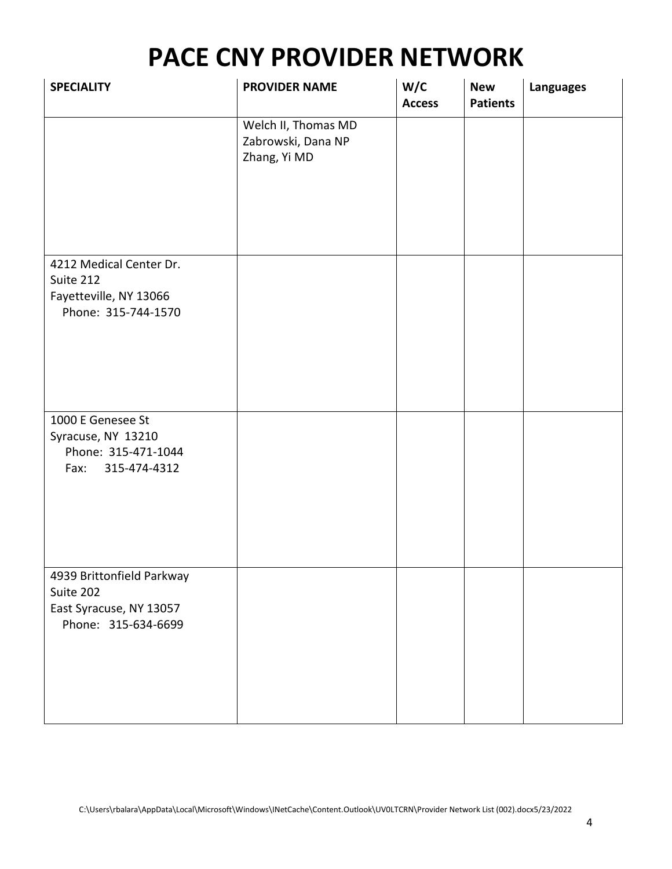| <b>SPECIALITY</b>                                                                        | <b>PROVIDER NAME</b>                                      | W/C<br><b>Access</b> | <b>New</b><br><b>Patients</b> | <b>Languages</b> |
|------------------------------------------------------------------------------------------|-----------------------------------------------------------|----------------------|-------------------------------|------------------|
|                                                                                          | Welch II, Thomas MD<br>Zabrowski, Dana NP<br>Zhang, Yi MD |                      |                               |                  |
| 4212 Medical Center Dr.<br>Suite 212<br>Fayetteville, NY 13066<br>Phone: 315-744-1570    |                                                           |                      |                               |                  |
| 1000 E Genesee St<br>Syracuse, NY 13210<br>Phone: 315-471-1044<br>Fax:<br>315-474-4312   |                                                           |                      |                               |                  |
| 4939 Brittonfield Parkway<br>Suite 202<br>East Syracuse, NY 13057<br>Phone: 315-634-6699 |                                                           |                      |                               |                  |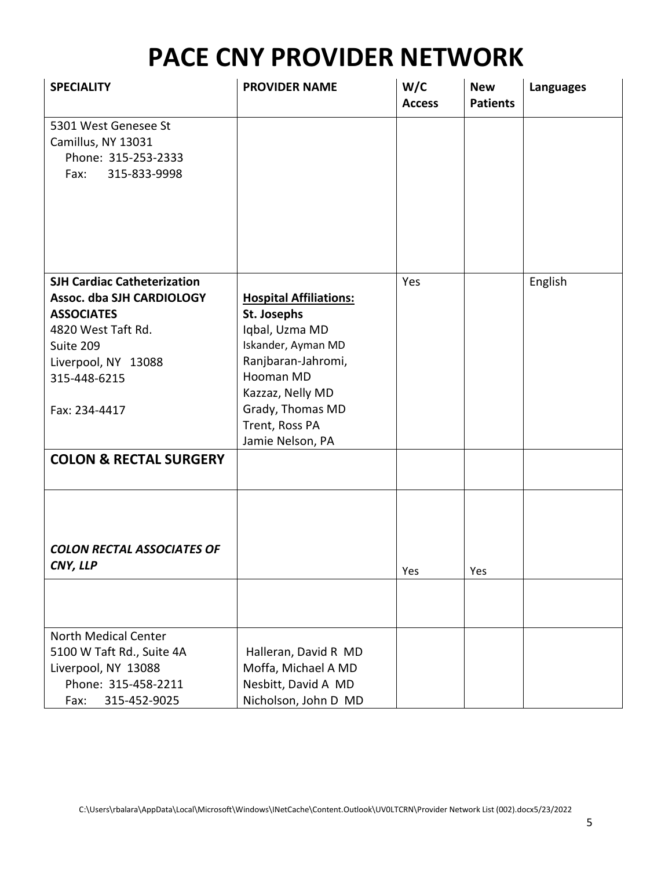| <b>SPECIALITY</b>                                                                                                                                                               | <b>PROVIDER NAME</b>                                                                                                                                                                                  | W/C<br><b>Access</b> | <b>New</b><br><b>Patients</b> | <b>Languages</b> |
|---------------------------------------------------------------------------------------------------------------------------------------------------------------------------------|-------------------------------------------------------------------------------------------------------------------------------------------------------------------------------------------------------|----------------------|-------------------------------|------------------|
| 5301 West Genesee St<br>Camillus, NY 13031<br>Phone: 315-253-2333<br>315-833-9998<br>Fax:                                                                                       |                                                                                                                                                                                                       |                      |                               |                  |
| <b>SJH Cardiac Catheterization</b><br>Assoc. dba SJH CARDIOLOGY<br><b>ASSOCIATES</b><br>4820 West Taft Rd.<br>Suite 209<br>Liverpool, NY 13088<br>315-448-6215<br>Fax: 234-4417 | <b>Hospital Affiliations:</b><br>St. Josephs<br>Iqbal, Uzma MD<br>Iskander, Ayman MD<br>Ranjbaran-Jahromi,<br>Hooman MD<br>Kazzaz, Nelly MD<br>Grady, Thomas MD<br>Trent, Ross PA<br>Jamie Nelson, PA | Yes                  |                               | English          |
| <b>COLON &amp; RECTAL SURGERY</b>                                                                                                                                               |                                                                                                                                                                                                       |                      |                               |                  |
| <b>COLON RECTAL ASSOCIATES OF</b><br>CNY, LLP                                                                                                                                   |                                                                                                                                                                                                       | Yes                  | Yes                           |                  |
| <b>North Medical Center</b><br>5100 W Taft Rd., Suite 4A<br>Liverpool, NY 13088<br>Phone: 315-458-2211<br>315-452-9025<br>Fax:                                                  | Halleran, David R MD<br>Moffa, Michael A MD<br>Nesbitt, David A MD<br>Nicholson, John D MD                                                                                                            |                      |                               |                  |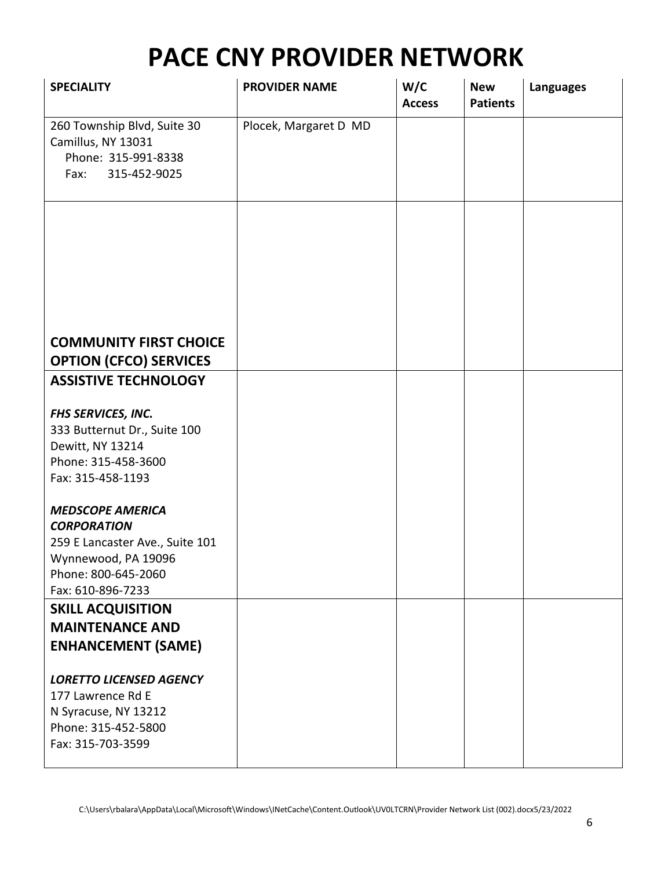| <b>SPECIALITY</b>                                                                                                                                   | <b>PROVIDER NAME</b>  | W/C<br><b>Access</b> | <b>New</b><br><b>Patients</b> | <b>Languages</b> |
|-----------------------------------------------------------------------------------------------------------------------------------------------------|-----------------------|----------------------|-------------------------------|------------------|
| 260 Township Blvd, Suite 30<br>Camillus, NY 13031<br>Phone: 315-991-8338<br>315-452-9025<br>Fax:                                                    | Plocek, Margaret D MD |                      |                               |                  |
|                                                                                                                                                     |                       |                      |                               |                  |
|                                                                                                                                                     |                       |                      |                               |                  |
| <b>COMMUNITY FIRST CHOICE</b><br><b>OPTION (CFCO) SERVICES</b>                                                                                      |                       |                      |                               |                  |
| <b>ASSISTIVE TECHNOLOGY</b>                                                                                                                         |                       |                      |                               |                  |
| FHS SERVICES, INC.<br>333 Butternut Dr., Suite 100<br>Dewitt, NY 13214<br>Phone: 315-458-3600<br>Fax: 315-458-1193                                  |                       |                      |                               |                  |
| <b>MEDSCOPE AMERICA</b><br><b>CORPORATION</b><br>259 E Lancaster Ave., Suite 101<br>Wynnewood, PA 19096<br>Phone: 800-645-2060<br>Fax: 610-896-7233 |                       |                      |                               |                  |
| <b>SKILL ACQUISITION</b><br><b>MAINTENANCE AND</b><br><b>ENHANCEMENT (SAME)</b>                                                                     |                       |                      |                               |                  |
| <b>LORETTO LICENSED AGENCY</b><br>177 Lawrence Rd E<br>N Syracuse, NY 13212<br>Phone: 315-452-5800<br>Fax: 315-703-3599                             |                       |                      |                               |                  |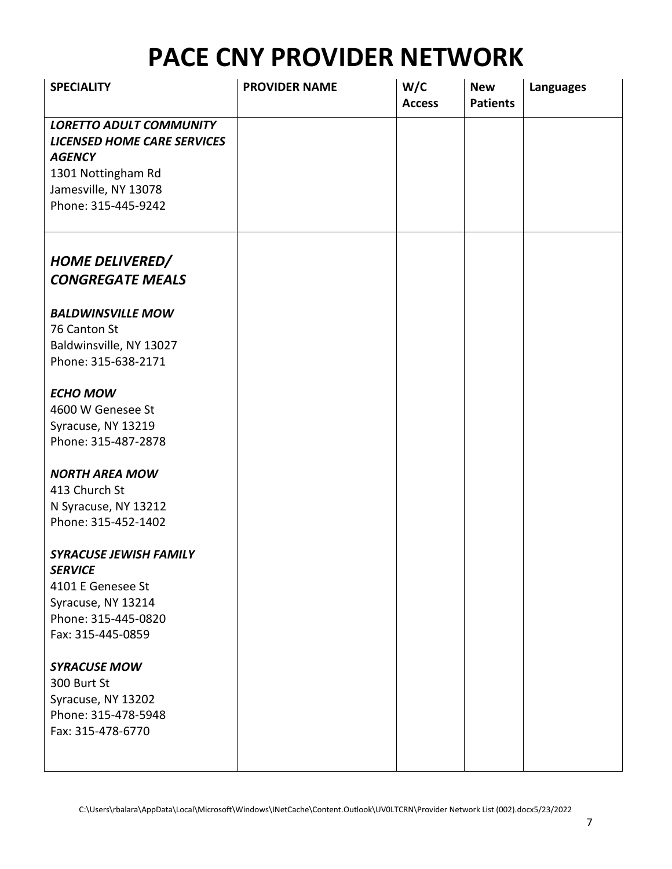| <b>SPECIALITY</b>                                 | <b>PROVIDER NAME</b> | W/C<br><b>Access</b> | <b>New</b><br><b>Patients</b> | <b>Languages</b> |
|---------------------------------------------------|----------------------|----------------------|-------------------------------|------------------|
| <b>LORETTO ADULT COMMUNITY</b>                    |                      |                      |                               |                  |
| <b>LICENSED HOME CARE SERVICES</b>                |                      |                      |                               |                  |
| <b>AGENCY</b>                                     |                      |                      |                               |                  |
| 1301 Nottingham Rd                                |                      |                      |                               |                  |
| Jamesville, NY 13078                              |                      |                      |                               |                  |
| Phone: 315-445-9242                               |                      |                      |                               |                  |
| <b>HOME DELIVERED/</b><br><b>CONGREGATE MEALS</b> |                      |                      |                               |                  |
|                                                   |                      |                      |                               |                  |
| <b>BALDWINSVILLE MOW</b>                          |                      |                      |                               |                  |
| 76 Canton St                                      |                      |                      |                               |                  |
| Baldwinsville, NY 13027                           |                      |                      |                               |                  |
| Phone: 315-638-2171                               |                      |                      |                               |                  |
| <b>ECHO MOW</b>                                   |                      |                      |                               |                  |
| 4600 W Genesee St                                 |                      |                      |                               |                  |
| Syracuse, NY 13219                                |                      |                      |                               |                  |
| Phone: 315-487-2878                               |                      |                      |                               |                  |
| <b>NORTH AREA MOW</b>                             |                      |                      |                               |                  |
| 413 Church St                                     |                      |                      |                               |                  |
| N Syracuse, NY 13212                              |                      |                      |                               |                  |
| Phone: 315-452-1402                               |                      |                      |                               |                  |
| <b>SYRACUSE JEWISH FAMILY</b>                     |                      |                      |                               |                  |
| <b>SERVICE</b>                                    |                      |                      |                               |                  |
| 4101 E Genesee St                                 |                      |                      |                               |                  |
| Syracuse, NY 13214                                |                      |                      |                               |                  |
| Phone: 315-445-0820<br>Fax: 315-445-0859          |                      |                      |                               |                  |
|                                                   |                      |                      |                               |                  |
| <b>SYRACUSE MOW</b>                               |                      |                      |                               |                  |
| 300 Burt St                                       |                      |                      |                               |                  |
| Syracuse, NY 13202                                |                      |                      |                               |                  |
| Phone: 315-478-5948                               |                      |                      |                               |                  |
| Fax: 315-478-6770                                 |                      |                      |                               |                  |
|                                                   |                      |                      |                               |                  |
|                                                   |                      |                      |                               |                  |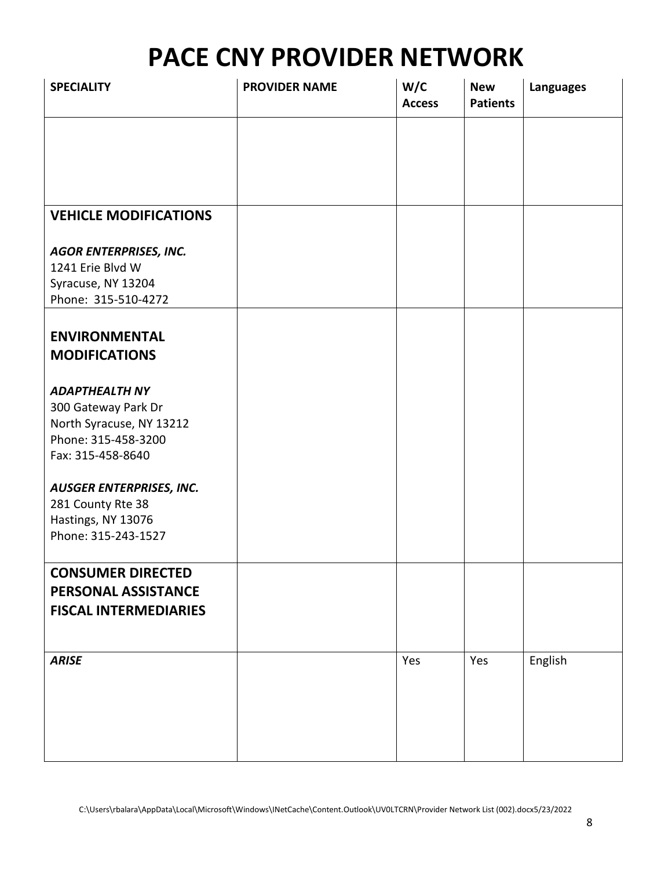| <b>SPECIALITY</b>                               | <b>PROVIDER NAME</b> | W/C<br><b>Access</b> | <b>New</b><br><b>Patients</b> | <b>Languages</b> |
|-------------------------------------------------|----------------------|----------------------|-------------------------------|------------------|
|                                                 |                      |                      |                               |                  |
|                                                 |                      |                      |                               |                  |
|                                                 |                      |                      |                               |                  |
| <b>VEHICLE MODIFICATIONS</b>                    |                      |                      |                               |                  |
| <b>AGOR ENTERPRISES, INC.</b>                   |                      |                      |                               |                  |
| 1241 Erie Blvd W<br>Syracuse, NY 13204          |                      |                      |                               |                  |
| Phone: 315-510-4272                             |                      |                      |                               |                  |
| <b>ENVIRONMENTAL</b>                            |                      |                      |                               |                  |
| <b>MODIFICATIONS</b>                            |                      |                      |                               |                  |
| <b>ADAPTHEALTH NY</b>                           |                      |                      |                               |                  |
| 300 Gateway Park Dr<br>North Syracuse, NY 13212 |                      |                      |                               |                  |
| Phone: 315-458-3200                             |                      |                      |                               |                  |
| Fax: 315-458-8640                               |                      |                      |                               |                  |
| <b>AUSGER ENTERPRISES, INC.</b>                 |                      |                      |                               |                  |
| 281 County Rte 38<br>Hastings, NY 13076         |                      |                      |                               |                  |
| Phone: 315-243-1527                             |                      |                      |                               |                  |
| <b>CONSUMER DIRECTED</b>                        |                      |                      |                               |                  |
| PERSONAL ASSISTANCE                             |                      |                      |                               |                  |
| <b>FISCAL INTERMEDIARIES</b>                    |                      |                      |                               |                  |
| <b>ARISE</b>                                    |                      | Yes                  | Yes                           |                  |
|                                                 |                      |                      |                               | English          |
|                                                 |                      |                      |                               |                  |
|                                                 |                      |                      |                               |                  |
|                                                 |                      |                      |                               |                  |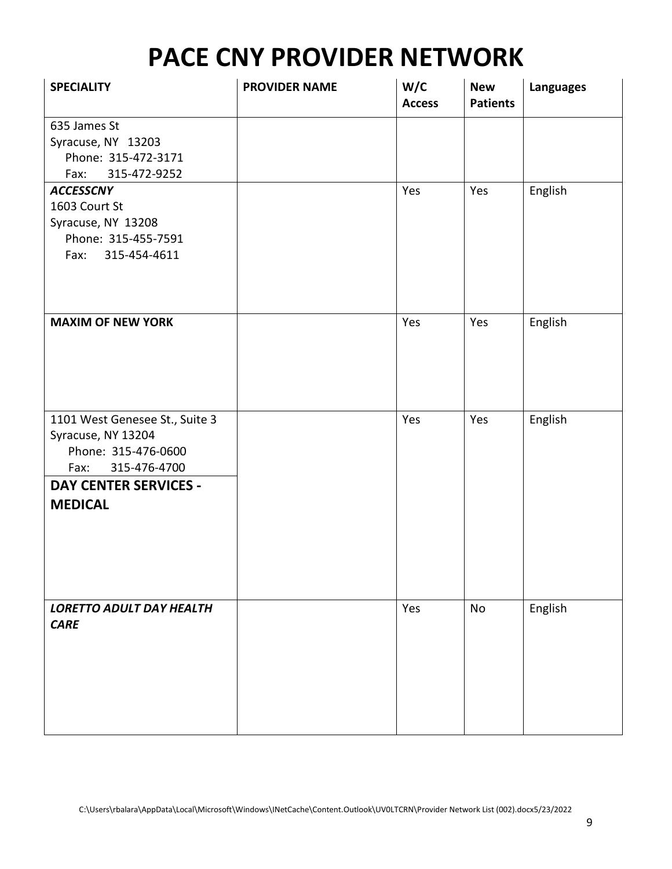| <b>SPECIALITY</b>               | <b>PROVIDER NAME</b> | W/C<br><b>Access</b> | <b>New</b><br><b>Patients</b> | <b>Languages</b> |
|---------------------------------|----------------------|----------------------|-------------------------------|------------------|
| 635 James St                    |                      |                      |                               |                  |
| Syracuse, NY 13203              |                      |                      |                               |                  |
| Phone: 315-472-3171             |                      |                      |                               |                  |
| 315-472-9252<br>Fax:            |                      |                      |                               |                  |
| <b>ACCESSCNY</b>                |                      | Yes                  | Yes                           | English          |
| 1603 Court St                   |                      |                      |                               |                  |
| Syracuse, NY 13208              |                      |                      |                               |                  |
| Phone: 315-455-7591             |                      |                      |                               |                  |
| Fax: 315-454-4611               |                      |                      |                               |                  |
|                                 |                      |                      |                               |                  |
| <b>MAXIM OF NEW YORK</b>        |                      | Yes                  | Yes                           | English          |
| 1101 West Genesee St., Suite 3  |                      | Yes                  | Yes                           | English          |
| Syracuse, NY 13204              |                      |                      |                               |                  |
| Phone: 315-476-0600             |                      |                      |                               |                  |
| 315-476-4700<br>Fax:            |                      |                      |                               |                  |
| <b>DAY CENTER SERVICES -</b>    |                      |                      |                               |                  |
| <b>MEDICAL</b>                  |                      |                      |                               |                  |
|                                 |                      |                      |                               |                  |
|                                 |                      |                      |                               |                  |
|                                 |                      |                      |                               |                  |
|                                 |                      |                      |                               |                  |
|                                 |                      |                      |                               |                  |
|                                 |                      |                      |                               |                  |
| <b>LORETTO ADULT DAY HEALTH</b> |                      | Yes                  | No                            | English          |
| <b>CARE</b>                     |                      |                      |                               |                  |
|                                 |                      |                      |                               |                  |
|                                 |                      |                      |                               |                  |
|                                 |                      |                      |                               |                  |
|                                 |                      |                      |                               |                  |
|                                 |                      |                      |                               |                  |
|                                 |                      |                      |                               |                  |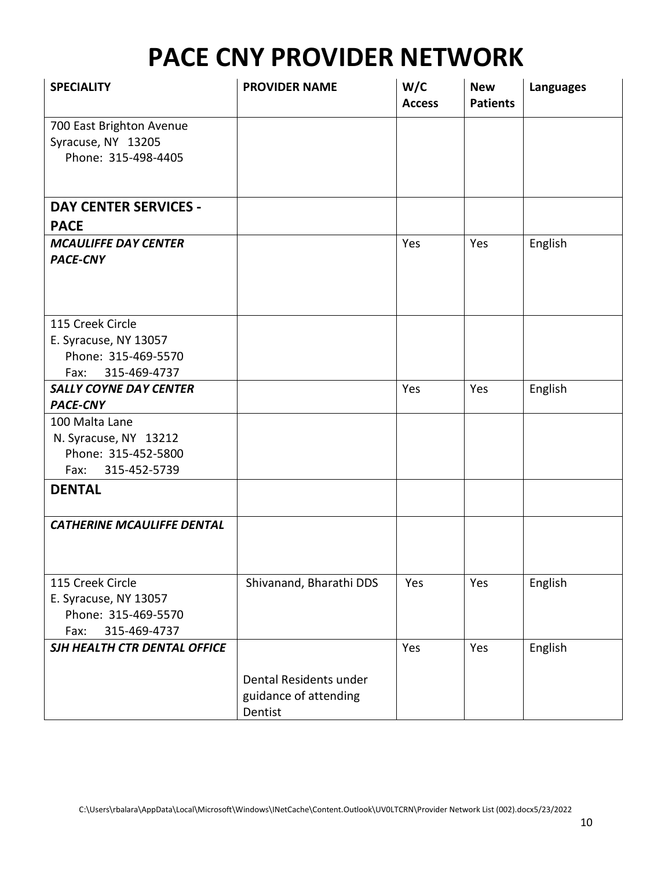| 700 East Brighton Avenue<br>Syracuse, NY 13205<br>Phone: 315-498-4405<br><b>DAY CENTER SERVICES -</b><br><b>PACE</b><br>English<br><b>MCAULIFFE DAY CENTER</b><br>Yes<br>Yes<br><b>PACE-CNY</b> |
|-------------------------------------------------------------------------------------------------------------------------------------------------------------------------------------------------|
|                                                                                                                                                                                                 |
|                                                                                                                                                                                                 |
|                                                                                                                                                                                                 |
|                                                                                                                                                                                                 |
|                                                                                                                                                                                                 |
|                                                                                                                                                                                                 |
|                                                                                                                                                                                                 |
|                                                                                                                                                                                                 |
|                                                                                                                                                                                                 |
|                                                                                                                                                                                                 |
|                                                                                                                                                                                                 |
| 115 Creek Circle                                                                                                                                                                                |
| E. Syracuse, NY 13057                                                                                                                                                                           |
| Phone: 315-469-5570                                                                                                                                                                             |
| Fax: 315-469-4737                                                                                                                                                                               |
| English<br><b>SALLY COYNE DAY CENTER</b><br>Yes<br>Yes                                                                                                                                          |
| <b>PACE-CNY</b>                                                                                                                                                                                 |
| 100 Malta Lane                                                                                                                                                                                  |
| N. Syracuse, NY 13212                                                                                                                                                                           |
| Phone: 315-452-5800                                                                                                                                                                             |
| 315-452-5739<br>Fax:                                                                                                                                                                            |
| <b>DENTAL</b>                                                                                                                                                                                   |
|                                                                                                                                                                                                 |
| <b>CATHERINE MCAULIFFE DENTAL</b>                                                                                                                                                               |
|                                                                                                                                                                                                 |
|                                                                                                                                                                                                 |
| Shivanand, Bharathi DDS<br>115 Creek Circle<br>Yes<br>Yes<br>English                                                                                                                            |
| E. Syracuse, NY 13057                                                                                                                                                                           |
| Phone: 315-469-5570                                                                                                                                                                             |
| 315-469-4737<br>Fax:                                                                                                                                                                            |
| English<br>SJH HEALTH CTR DENTAL OFFICE<br>Yes<br>Yes                                                                                                                                           |
|                                                                                                                                                                                                 |
| Dental Residents under                                                                                                                                                                          |
| guidance of attending<br>Dentist                                                                                                                                                                |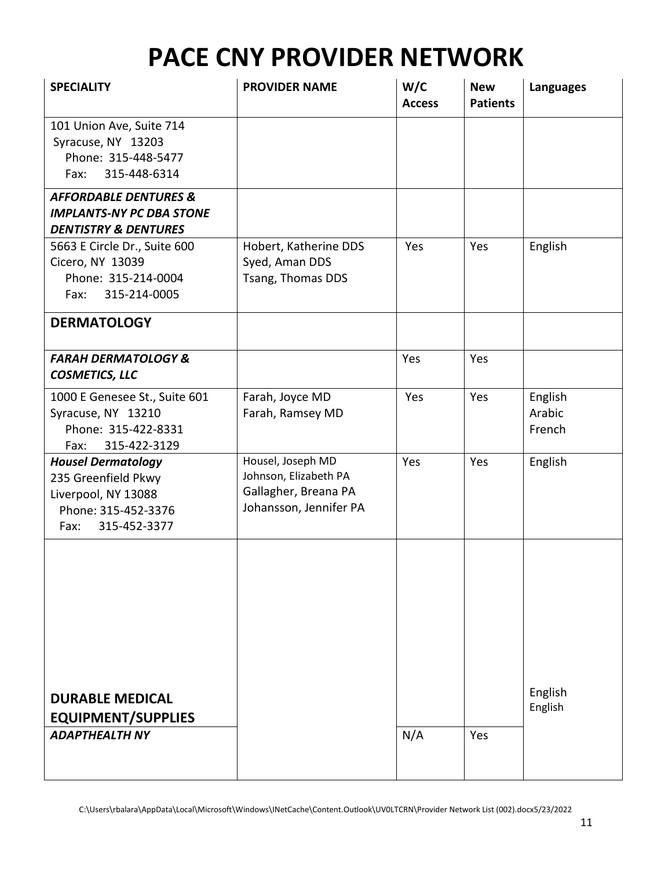| <b>SPECIALITY</b>                                                                                                      | <b>PROVIDER NAME</b>                                                                         | W/C<br><b>Access</b> | <b>New</b><br><b>Patients</b> | <b>Languages</b>            |
|------------------------------------------------------------------------------------------------------------------------|----------------------------------------------------------------------------------------------|----------------------|-------------------------------|-----------------------------|
| 101 Union Ave, Suite 714<br>Syracuse, NY 13203<br>Phone: 315-448-5477<br>315-448-6314<br>Fax:                          |                                                                                              |                      |                               |                             |
| <b>AFFORDABLE DENTURES &amp;</b><br><b>IMPLANTS-NY PC DBA STONE</b><br><b>DENTISTRY &amp; DENTURES</b>                 |                                                                                              |                      |                               |                             |
| 5663 E Circle Dr., Suite 600<br>Cicero, NY 13039<br>Phone: 315-214-0004<br>315-214-0005<br>Fax:                        | Hobert, Katherine DDS<br>Syed, Aman DDS<br>Tsang, Thomas DDS                                 | Yes                  | Yes                           | English                     |
| <b>DERMATOLOGY</b>                                                                                                     |                                                                                              |                      |                               |                             |
| <b>FARAH DERMATOLOGY &amp;</b><br><b>COSMETICS, LLC</b>                                                                |                                                                                              | Yes                  | Yes                           |                             |
| 1000 E Genesee St., Suite 601<br>Syracuse, NY 13210<br>Phone: 315-422-8331<br>315-422-3129<br>Fax:                     | Farah, Joyce MD<br>Farah, Ramsey MD                                                          | Yes                  | Yes                           | English<br>Arabic<br>French |
| <b>Housel Dermatology</b><br>235 Greenfield Pkwy<br>Liverpool, NY 13088<br>Phone: 315-452-3376<br>315-452-3377<br>Fax: | Housel, Joseph MD<br>Johnson, Elizabeth PA<br>Gallagher, Breana PA<br>Johansson, Jennifer PA | Yes                  | Yes                           | English                     |
|                                                                                                                        |                                                                                              |                      |                               |                             |
| <b>DURABLE MEDICAL</b><br><b>EQUIPMENT/SUPPLIES</b>                                                                    |                                                                                              |                      |                               | English<br>English          |
| <b>ADAPTHEALTH NY</b>                                                                                                  |                                                                                              | N/A                  | Yes                           |                             |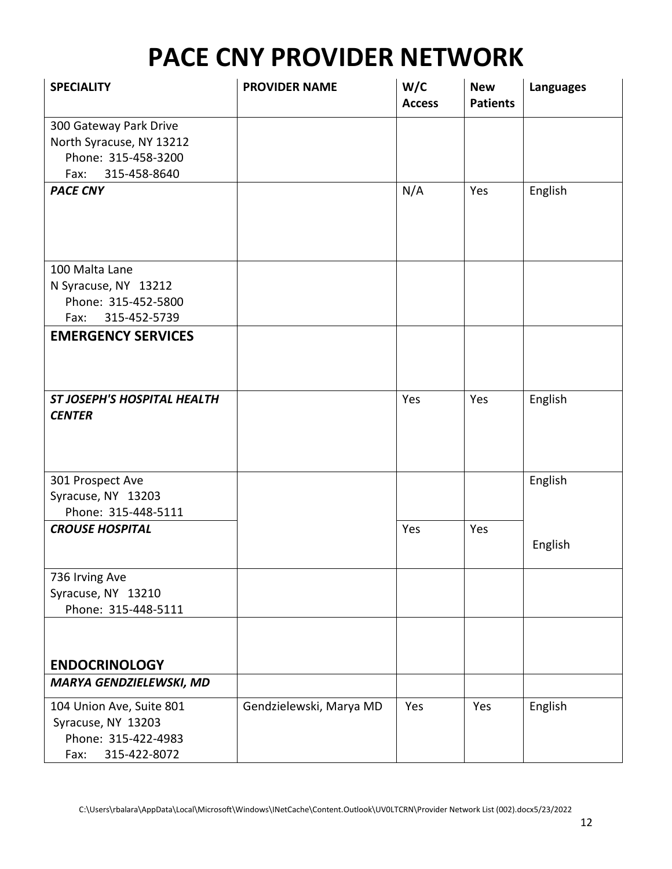| <b>SPECIALITY</b>                                                                                 | <b>PROVIDER NAME</b>    | W/C<br><b>Access</b> | <b>New</b><br><b>Patients</b> | <b>Languages</b> |
|---------------------------------------------------------------------------------------------------|-------------------------|----------------------|-------------------------------|------------------|
| 300 Gateway Park Drive<br>North Syracuse, NY 13212<br>Phone: 315-458-3200<br>315-458-8640<br>Fax: |                         |                      |                               |                  |
| <b>PACE CNY</b>                                                                                   |                         | N/A                  | Yes                           | English          |
| 100 Malta Lane<br>N Syracuse, NY 13212<br>Phone: 315-452-5800<br>315-452-5739<br>Fax:             |                         |                      |                               |                  |
| <b>EMERGENCY SERVICES</b>                                                                         |                         |                      |                               |                  |
| <b>ST JOSEPH'S HOSPITAL HEALTH</b><br><b>CENTER</b>                                               |                         | Yes                  | Yes                           | English          |
| 301 Prospect Ave<br>Syracuse, NY 13203<br>Phone: 315-448-5111                                     |                         |                      |                               | English          |
| <b>CROUSE HOSPITAL</b>                                                                            |                         | Yes                  | Yes                           | English          |
| 736 Irving Ave<br>Syracuse, NY 13210<br>Phone: 315-448-5111                                       |                         |                      |                               |                  |
| <b>ENDOCRINOLOGY</b>                                                                              |                         |                      |                               |                  |
| <b>MARYA GENDZIELEWSKI, MD</b>                                                                    |                         |                      |                               |                  |
| 104 Union Ave, Suite 801<br>Syracuse, NY 13203<br>Phone: 315-422-4983<br>315-422-8072<br>Fax:     | Gendzielewski, Marya MD | Yes                  | Yes                           | English          |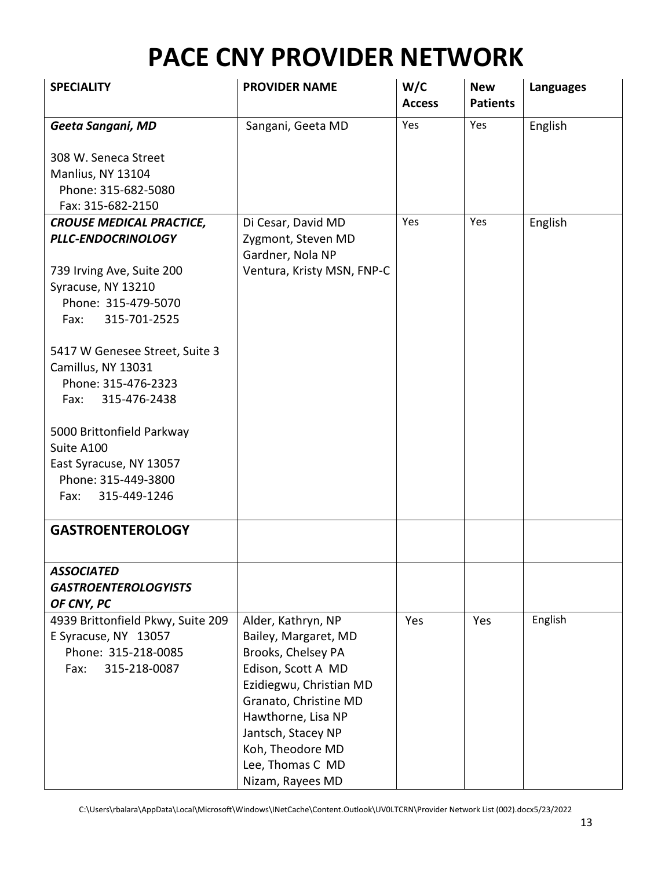| <b>SPECIALITY</b>                                                                                                                | <b>PROVIDER NAME</b>                                                                                                                                                                                                                               | W/C<br><b>Access</b> | <b>New</b><br><b>Patients</b> | <b>Languages</b> |
|----------------------------------------------------------------------------------------------------------------------------------|----------------------------------------------------------------------------------------------------------------------------------------------------------------------------------------------------------------------------------------------------|----------------------|-------------------------------|------------------|
| Geeta Sangani, MD                                                                                                                | Sangani, Geeta MD                                                                                                                                                                                                                                  | Yes                  | Yes                           | English          |
| 308 W. Seneca Street<br>Manlius, NY 13104<br>Phone: 315-682-5080<br>Fax: 315-682-2150                                            |                                                                                                                                                                                                                                                    |                      |                               |                  |
| <b>CROUSE MEDICAL PRACTICE,</b>                                                                                                  | Di Cesar, David MD                                                                                                                                                                                                                                 | Yes                  | Yes                           | English          |
| PLLC-ENDOCRINOLOGY                                                                                                               | Zygmont, Steven MD<br>Gardner, Nola NP                                                                                                                                                                                                             |                      |                               |                  |
| 739 Irving Ave, Suite 200<br>Syracuse, NY 13210<br>Phone: 315-479-5070<br>315-701-2525<br>Fax:<br>5417 W Genesee Street, Suite 3 | Ventura, Kristy MSN, FNP-C                                                                                                                                                                                                                         |                      |                               |                  |
| Camillus, NY 13031<br>Phone: 315-476-2323<br>315-476-2438<br>Fax:                                                                |                                                                                                                                                                                                                                                    |                      |                               |                  |
| 5000 Brittonfield Parkway<br>Suite A100<br>East Syracuse, NY 13057<br>Phone: 315-449-3800<br>315-449-1246<br>Fax:                |                                                                                                                                                                                                                                                    |                      |                               |                  |
| <b>GASTROENTEROLOGY</b>                                                                                                          |                                                                                                                                                                                                                                                    |                      |                               |                  |
| <b>ASSOCIATED</b><br><b>GASTROENTEROLOGYISTS</b><br>OF CNY, PC                                                                   |                                                                                                                                                                                                                                                    |                      |                               |                  |
| 4939 Brittonfield Pkwy, Suite 209<br>E Syracuse, NY 13057<br>Phone: 315-218-0085<br>315-218-0087<br>Fax:                         | Alder, Kathryn, NP<br>Bailey, Margaret, MD<br>Brooks, Chelsey PA<br>Edison, Scott A MD<br>Ezidiegwu, Christian MD<br>Granato, Christine MD<br>Hawthorne, Lisa NP<br>Jantsch, Stacey NP<br>Koh, Theodore MD<br>Lee, Thomas C MD<br>Nizam, Rayees MD | Yes                  | Yes                           | English          |

C:\Users\rbalara\AppData\Local\Microsoft\Windows\INetCache\Content.Outlook\UV0LTCRN\Provider Network List (002).docx5/23/2022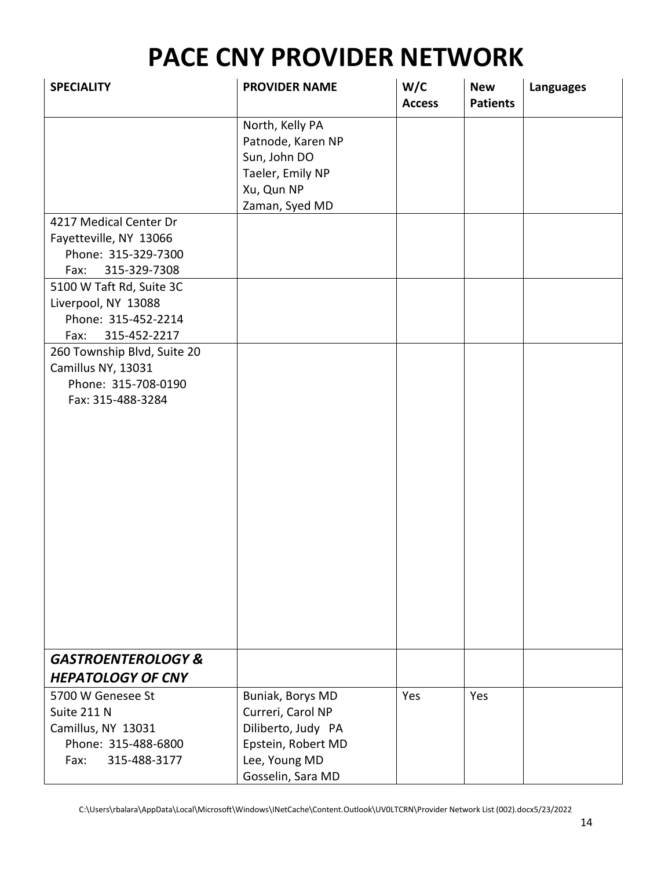| <b>SPECIALITY</b>                                                                                     | <b>PROVIDER NAME</b>                                                                                                    | W/C<br><b>Access</b> | <b>New</b><br><b>Patients</b> | <b>Languages</b> |
|-------------------------------------------------------------------------------------------------------|-------------------------------------------------------------------------------------------------------------------------|----------------------|-------------------------------|------------------|
|                                                                                                       | North, Kelly PA<br>Patnode, Karen NP<br>Sun, John DO<br>Taeler, Emily NP<br>Xu, Qun NP                                  |                      |                               |                  |
| 4217 Medical Center Dr<br>Fayetteville, NY 13066<br>Phone: 315-329-7300<br>315-329-7308<br>Fax:       | Zaman, Syed MD                                                                                                          |                      |                               |                  |
| 5100 W Taft Rd, Suite 3C<br>Liverpool, NY 13088<br>Phone: 315-452-2214<br>315-452-2217<br>Fax:        |                                                                                                                         |                      |                               |                  |
| 260 Township Blvd, Suite 20<br>Camillus NY, 13031<br>Phone: 315-708-0190<br>Fax: 315-488-3284         |                                                                                                                         |                      |                               |                  |
| <b>GASTROENTEROLOGY &amp;</b><br><b>HEPATOLOGY OF CNY</b>                                             |                                                                                                                         |                      |                               |                  |
| 5700 W Genesee St<br>Suite 211 N<br>Camillus, NY 13031<br>Phone: 315-488-6800<br>315-488-3177<br>Fax: | Buniak, Borys MD<br>Curreri, Carol NP<br>Diliberto, Judy PA<br>Epstein, Robert MD<br>Lee, Young MD<br>Gosselin, Sara MD | Yes                  | Yes                           |                  |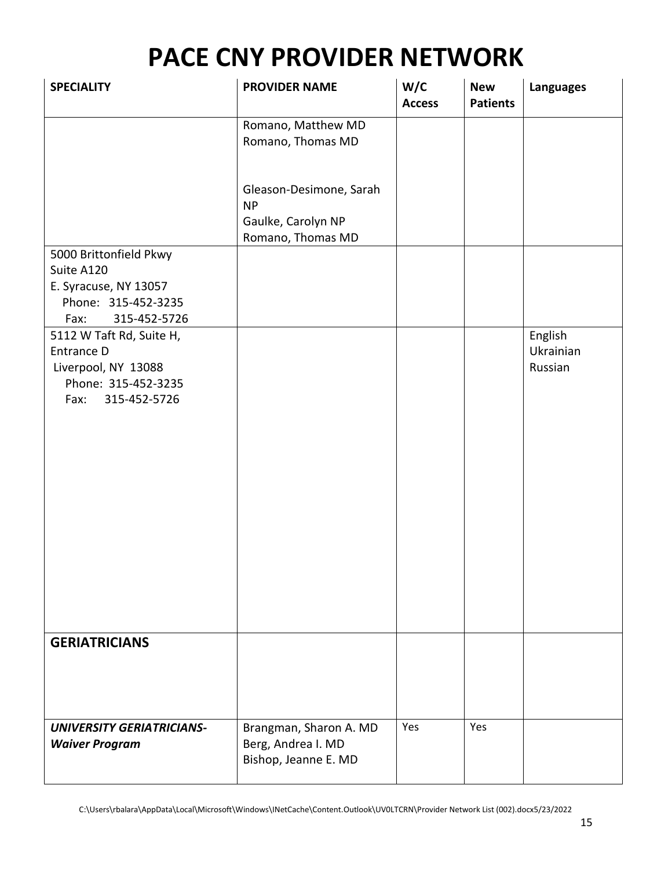| <b>SPECIALITY</b>                                                                                            | <b>PROVIDER NAME</b>                                                            | W/C<br><b>Access</b> | <b>New</b><br><b>Patients</b> | <b>Languages</b>                |
|--------------------------------------------------------------------------------------------------------------|---------------------------------------------------------------------------------|----------------------|-------------------------------|---------------------------------|
|                                                                                                              | Romano, Matthew MD<br>Romano, Thomas MD                                         |                      |                               |                                 |
|                                                                                                              | Gleason-Desimone, Sarah<br><b>NP</b><br>Gaulke, Carolyn NP<br>Romano, Thomas MD |                      |                               |                                 |
| 5000 Brittonfield Pkwy<br>Suite A120<br>E. Syracuse, NY 13057<br>Phone: 315-452-3235<br>315-452-5726<br>Fax: |                                                                                 |                      |                               |                                 |
| 5112 W Taft Rd, Suite H,<br>Entrance D<br>Liverpool, NY 13088<br>Phone: 315-452-3235<br>315-452-5726<br>Fax: |                                                                                 |                      |                               | English<br>Ukrainian<br>Russian |
| <b>GERIATRICIANS</b>                                                                                         |                                                                                 |                      |                               |                                 |
| <b>UNIVERSITY GERIATRICIANS-</b><br><b>Waiver Program</b>                                                    | Brangman, Sharon A. MD<br>Berg, Andrea I. MD<br>Bishop, Jeanne E. MD            | Yes                  | Yes                           |                                 |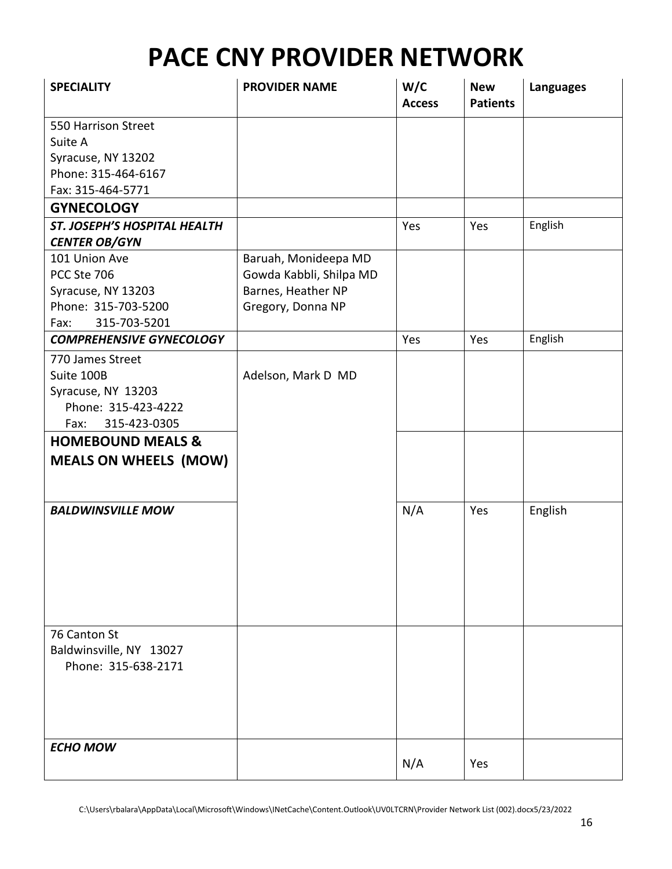| <b>SPECIALITY</b>               | <b>PROVIDER NAME</b>    | W/C<br><b>Access</b> | <b>New</b><br><b>Patients</b> | <b>Languages</b> |
|---------------------------------|-------------------------|----------------------|-------------------------------|------------------|
| 550 Harrison Street             |                         |                      |                               |                  |
| Suite A                         |                         |                      |                               |                  |
| Syracuse, NY 13202              |                         |                      |                               |                  |
| Phone: 315-464-6167             |                         |                      |                               |                  |
| Fax: 315-464-5771               |                         |                      |                               |                  |
| <b>GYNECOLOGY</b>               |                         |                      |                               |                  |
| ST. JOSEPH'S HOSPITAL HEALTH    |                         | Yes                  | Yes                           | English          |
| <b>CENTER OB/GYN</b>            |                         |                      |                               |                  |
| 101 Union Ave                   | Baruah, Monideepa MD    |                      |                               |                  |
| PCC Ste 706                     | Gowda Kabbli, Shilpa MD |                      |                               |                  |
| Syracuse, NY 13203              | Barnes, Heather NP      |                      |                               |                  |
| Phone: 315-703-5200             | Gregory, Donna NP       |                      |                               |                  |
| 315-703-5201<br>Fax:            |                         |                      |                               |                  |
| <b>COMPREHENSIVE GYNECOLOGY</b> |                         | Yes                  | Yes                           | English          |
| 770 James Street                |                         |                      |                               |                  |
| Suite 100B                      | Adelson, Mark D MD      |                      |                               |                  |
| Syracuse, NY 13203              |                         |                      |                               |                  |
| Phone: 315-423-4222             |                         |                      |                               |                  |
| 315-423-0305<br>Fax:            |                         |                      |                               |                  |
| <b>HOMEBOUND MEALS &amp;</b>    |                         |                      |                               |                  |
| <b>MEALS ON WHEELS (MOW)</b>    |                         |                      |                               |                  |
|                                 |                         |                      |                               |                  |
| <b>BALDWINSVILLE MOW</b>        |                         | N/A                  | Yes                           | English          |
|                                 |                         |                      |                               |                  |
|                                 |                         |                      |                               |                  |
|                                 |                         |                      |                               |                  |
|                                 |                         |                      |                               |                  |
|                                 |                         |                      |                               |                  |
|                                 |                         |                      |                               |                  |
| 76 Canton St                    |                         |                      |                               |                  |
| Baldwinsville, NY 13027         |                         |                      |                               |                  |
| Phone: 315-638-2171             |                         |                      |                               |                  |
|                                 |                         |                      |                               |                  |
|                                 |                         |                      |                               |                  |
|                                 |                         |                      |                               |                  |
|                                 |                         |                      |                               |                  |
| <b>ECHO MOW</b>                 |                         |                      |                               |                  |
|                                 |                         |                      | Yes                           |                  |
|                                 |                         | N/A                  |                               |                  |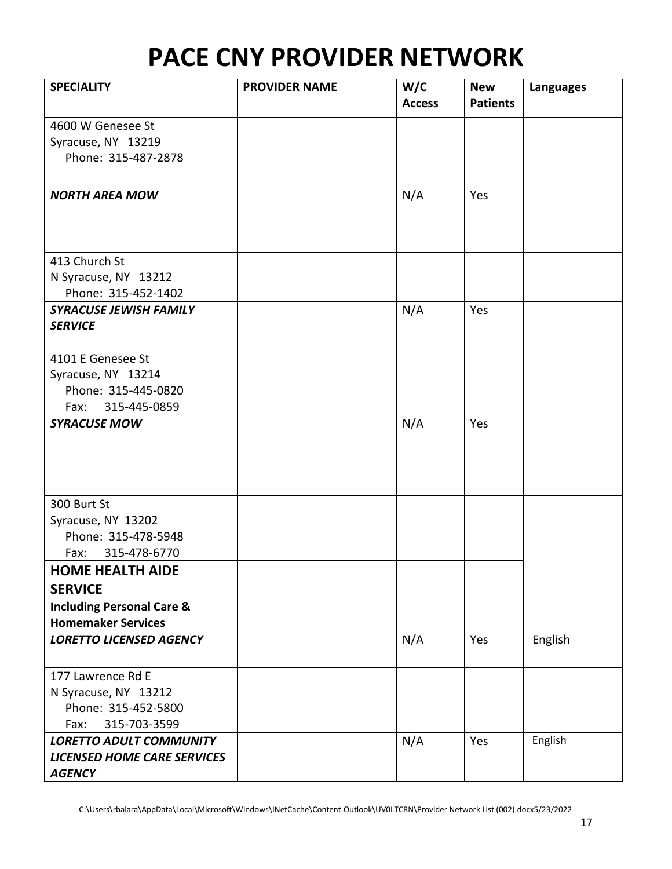| <b>SPECIALITY</b>                    | <b>PROVIDER NAME</b> | W/C<br><b>Access</b> | <b>New</b><br><b>Patients</b> | <b>Languages</b> |
|--------------------------------------|----------------------|----------------------|-------------------------------|------------------|
| 4600 W Genesee St                    |                      |                      |                               |                  |
| Syracuse, NY 13219                   |                      |                      |                               |                  |
| Phone: 315-487-2878                  |                      |                      |                               |                  |
|                                      |                      |                      |                               |                  |
| <b>NORTH AREA MOW</b>                |                      | N/A                  | Yes                           |                  |
|                                      |                      |                      |                               |                  |
|                                      |                      |                      |                               |                  |
| 413 Church St                        |                      |                      |                               |                  |
| N Syracuse, NY 13212                 |                      |                      |                               |                  |
| Phone: 315-452-1402                  |                      |                      |                               |                  |
| <b>SYRACUSE JEWISH FAMILY</b>        |                      | N/A                  | Yes                           |                  |
| <b>SERVICE</b>                       |                      |                      |                               |                  |
| 4101 E Genesee St                    |                      |                      |                               |                  |
| Syracuse, NY 13214                   |                      |                      |                               |                  |
| Phone: 315-445-0820                  |                      |                      |                               |                  |
| 315-445-0859<br>Fax:                 |                      |                      |                               |                  |
| <b>SYRACUSE MOW</b>                  |                      | N/A                  | Yes                           |                  |
|                                      |                      |                      |                               |                  |
|                                      |                      |                      |                               |                  |
|                                      |                      |                      |                               |                  |
|                                      |                      |                      |                               |                  |
| 300 Burt St                          |                      |                      |                               |                  |
| Syracuse, NY 13202                   |                      |                      |                               |                  |
| Phone: 315-478-5948                  |                      |                      |                               |                  |
| 315-478-6770<br>Fax:                 |                      |                      |                               |                  |
| <b>HOME HEALTH AIDE</b>              |                      |                      |                               |                  |
| <b>SERVICE</b>                       |                      |                      |                               |                  |
| <b>Including Personal Care &amp;</b> |                      |                      |                               |                  |
| <b>Homemaker Services</b>            |                      |                      |                               |                  |
| <b>LORETTO LICENSED AGENCY</b>       |                      | N/A                  | Yes                           | English          |
| 177 Lawrence Rd E                    |                      |                      |                               |                  |
| N Syracuse, NY 13212                 |                      |                      |                               |                  |
| Phone: 315-452-5800                  |                      |                      |                               |                  |
| 315-703-3599<br>Fax:                 |                      |                      |                               |                  |
| <b>LORETTO ADULT COMMUNITY</b>       |                      | N/A                  | Yes                           | English          |
| <b>LICENSED HOME CARE SERVICES</b>   |                      |                      |                               |                  |
| <b>AGENCY</b>                        |                      |                      |                               |                  |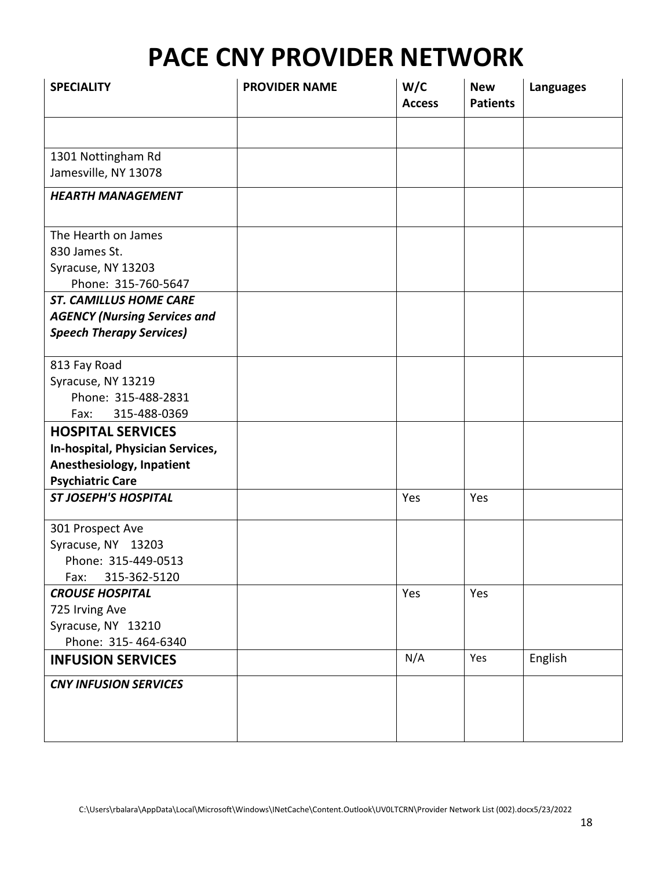| <b>SPECIALITY</b>                   | <b>PROVIDER NAME</b> | W/C<br><b>Access</b> | <b>New</b><br><b>Patients</b> | <b>Languages</b> |
|-------------------------------------|----------------------|----------------------|-------------------------------|------------------|
|                                     |                      |                      |                               |                  |
| 1301 Nottingham Rd                  |                      |                      |                               |                  |
| Jamesville, NY 13078                |                      |                      |                               |                  |
| <b>HEARTH MANAGEMENT</b>            |                      |                      |                               |                  |
| The Hearth on James                 |                      |                      |                               |                  |
| 830 James St.                       |                      |                      |                               |                  |
| Syracuse, NY 13203                  |                      |                      |                               |                  |
| Phone: 315-760-5647                 |                      |                      |                               |                  |
| <b>ST. CAMILLUS HOME CARE</b>       |                      |                      |                               |                  |
| <b>AGENCY (Nursing Services and</b> |                      |                      |                               |                  |
| <b>Speech Therapy Services)</b>     |                      |                      |                               |                  |
| 813 Fay Road                        |                      |                      |                               |                  |
| Syracuse, NY 13219                  |                      |                      |                               |                  |
| Phone: 315-488-2831                 |                      |                      |                               |                  |
| 315-488-0369<br>Fax:                |                      |                      |                               |                  |
| <b>HOSPITAL SERVICES</b>            |                      |                      |                               |                  |
| In-hospital, Physician Services,    |                      |                      |                               |                  |
| Anesthesiology, Inpatient           |                      |                      |                               |                  |
| <b>Psychiatric Care</b>             |                      |                      |                               |                  |
| <b>ST JOSEPH'S HOSPITAL</b>         |                      | Yes                  | Yes                           |                  |
| 301 Prospect Ave                    |                      |                      |                               |                  |
| Syracuse, NY 13203                  |                      |                      |                               |                  |
| Phone: 315-449-0513                 |                      |                      |                               |                  |
| 315-362-5120<br>Fax:                |                      |                      |                               |                  |
| <b>CROUSE HOSPITAL</b>              |                      | Yes                  | Yes                           |                  |
| 725 Irving Ave                      |                      |                      |                               |                  |
| Syracuse, NY 13210                  |                      |                      |                               |                  |
| Phone: 315-464-6340                 |                      |                      |                               |                  |
| <b>INFUSION SERVICES</b>            |                      | N/A                  | Yes                           | English          |
| <b>CNY INFUSION SERVICES</b>        |                      |                      |                               |                  |
|                                     |                      |                      |                               |                  |
|                                     |                      |                      |                               |                  |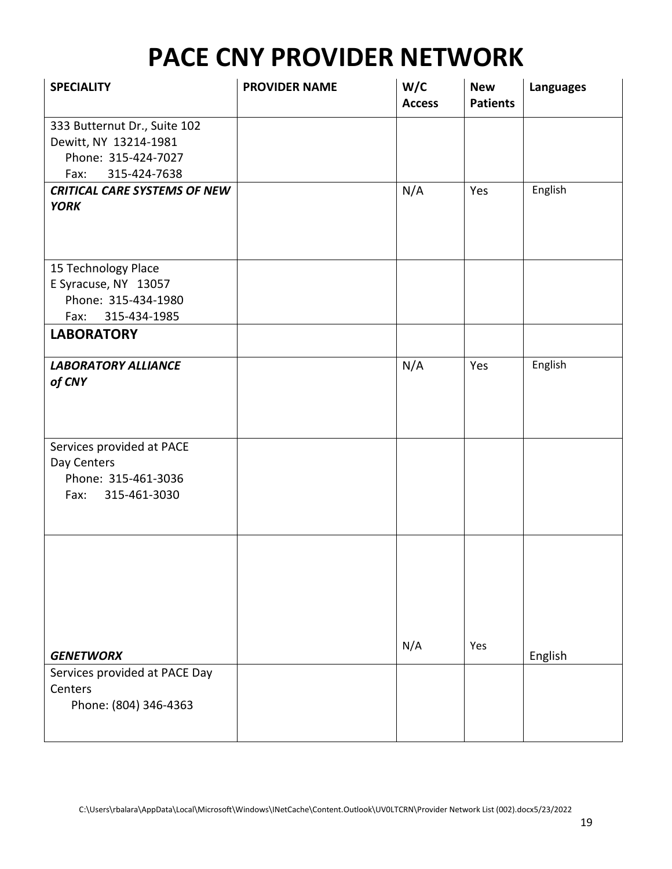| <b>SPECIALITY</b>                                                                                    | <b>PROVIDER NAME</b> | W/C<br><b>Access</b> | <b>New</b><br><b>Patients</b> | <b>Languages</b> |
|------------------------------------------------------------------------------------------------------|----------------------|----------------------|-------------------------------|------------------|
| 333 Butternut Dr., Suite 102<br>Dewitt, NY 13214-1981<br>Phone: 315-424-7027<br>315-424-7638<br>Fax: |                      |                      |                               |                  |
| <b>CRITICAL CARE SYSTEMS OF NEW</b><br><b>YORK</b>                                                   |                      | N/A                  | Yes                           | English          |
| 15 Technology Place<br>E Syracuse, NY 13057<br>Phone: 315-434-1980<br>315-434-1985<br>Fax:           |                      |                      |                               |                  |
| <b>LABORATORY</b>                                                                                    |                      |                      |                               |                  |
| <b>LABORATORY ALLIANCE</b><br>of CNY                                                                 |                      | N/A                  | Yes                           | English          |
| Services provided at PACE<br>Day Centers<br>Phone: 315-461-3036<br>Fax: 315-461-3030                 |                      |                      |                               |                  |
| <b>GENETWORX</b>                                                                                     |                      | N/A                  | Yes                           | English          |
| Services provided at PACE Day<br>Centers<br>Phone: (804) 346-4363                                    |                      |                      |                               |                  |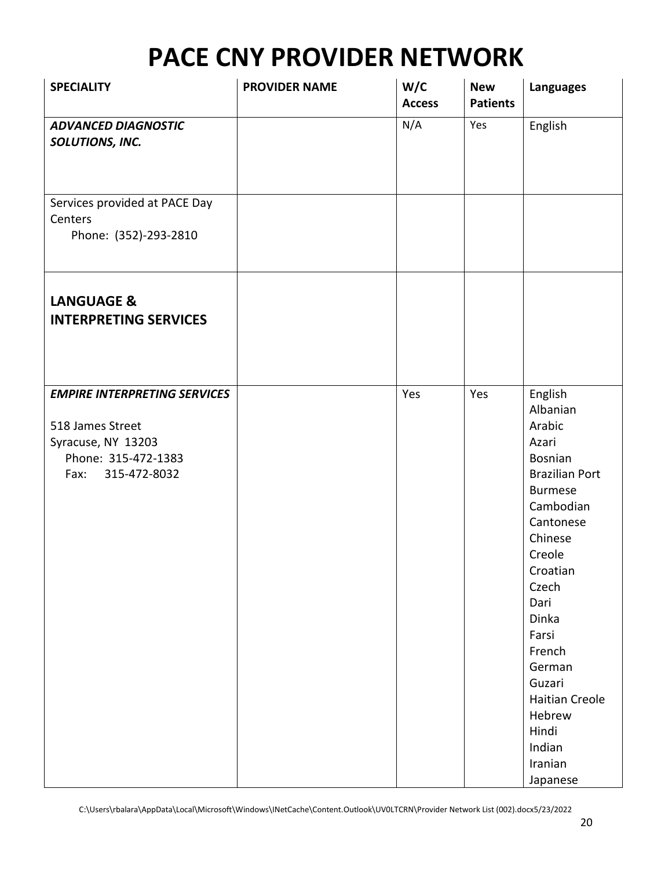| <b>SPECIALITY</b>                                                                                                            | <b>PROVIDER NAME</b> | W/C<br><b>Access</b> | <b>New</b><br><b>Patients</b> | <b>Languages</b>                                                                                                                                                                                                                                                                                      |
|------------------------------------------------------------------------------------------------------------------------------|----------------------|----------------------|-------------------------------|-------------------------------------------------------------------------------------------------------------------------------------------------------------------------------------------------------------------------------------------------------------------------------------------------------|
| <b>ADVANCED DIAGNOSTIC</b><br>SOLUTIONS, INC.                                                                                |                      | N/A                  | Yes                           | English                                                                                                                                                                                                                                                                                               |
| Services provided at PACE Day<br>Centers<br>Phone: (352)-293-2810                                                            |                      |                      |                               |                                                                                                                                                                                                                                                                                                       |
| <b>LANGUAGE &amp;</b><br><b>INTERPRETING SERVICES</b>                                                                        |                      |                      |                               |                                                                                                                                                                                                                                                                                                       |
| <b>EMPIRE INTERPRETING SERVICES</b><br>518 James Street<br>Syracuse, NY 13203<br>Phone: 315-472-1383<br>315-472-8032<br>Fax: |                      | Yes                  | Yes                           | English<br>Albanian<br>Arabic<br>Azari<br>Bosnian<br><b>Brazilian Port</b><br><b>Burmese</b><br>Cambodian<br>Cantonese<br>Chinese<br>Creole<br>Croatian<br>Czech<br>Dari<br>Dinka<br>Farsi<br>French<br>German<br>Guzari<br><b>Haitian Creole</b><br>Hebrew<br>Hindi<br>Indian<br>Iranian<br>Japanese |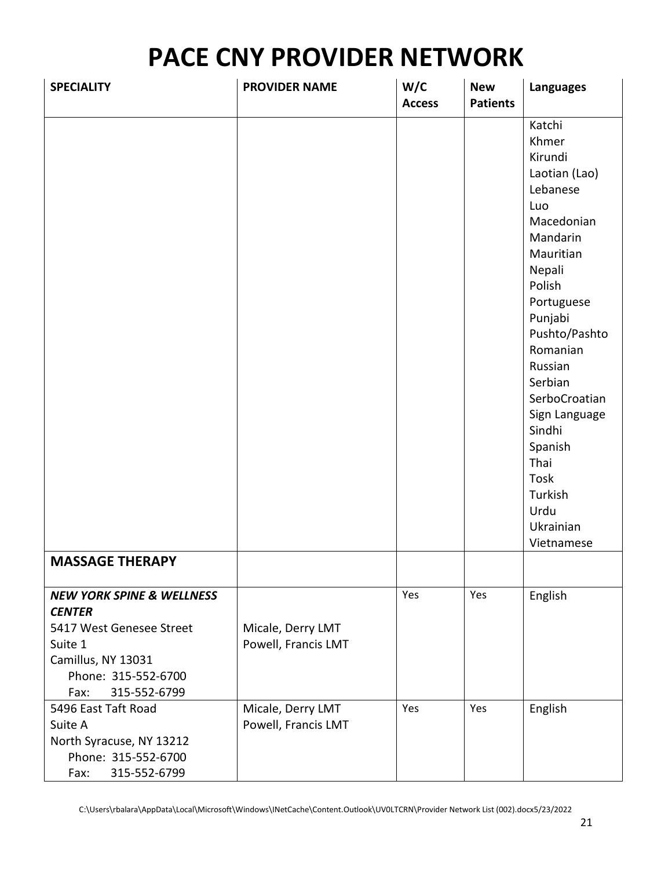| <b>SPECIALITY</b>                                                                                                                                                 | <b>PROVIDER NAME</b>                     | W/C<br><b>Access</b> | <b>New</b><br><b>Patients</b> | <b>Languages</b>                                                                                                                                                                                                                                                                                                                  |
|-------------------------------------------------------------------------------------------------------------------------------------------------------------------|------------------------------------------|----------------------|-------------------------------|-----------------------------------------------------------------------------------------------------------------------------------------------------------------------------------------------------------------------------------------------------------------------------------------------------------------------------------|
| <b>MASSAGE THERAPY</b>                                                                                                                                            |                                          |                      |                               | Katchi<br>Khmer<br>Kirundi<br>Laotian (Lao)<br>Lebanese<br>Luo<br>Macedonian<br>Mandarin<br>Mauritian<br>Nepali<br>Polish<br>Portuguese<br>Punjabi<br>Pushto/Pashto<br>Romanian<br>Russian<br>Serbian<br>SerboCroatian<br>Sign Language<br>Sindhi<br>Spanish<br>Thai<br><b>Tosk</b><br>Turkish<br>Urdu<br>Ukrainian<br>Vietnamese |
|                                                                                                                                                                   |                                          |                      |                               |                                                                                                                                                                                                                                                                                                                                   |
| <b>NEW YORK SPINE &amp; WELLNESS</b><br><b>CENTER</b><br>5417 West Genesee Street<br>Suite 1<br>Camillus, NY 13031<br>Phone: 315-552-6700<br>315-552-6799<br>Fax: | Micale, Derry LMT<br>Powell, Francis LMT | Yes                  | Yes                           | English                                                                                                                                                                                                                                                                                                                           |
| 5496 East Taft Road<br>Suite A<br>North Syracuse, NY 13212<br>Phone: 315-552-6700<br>315-552-6799<br>Fax:                                                         | Micale, Derry LMT<br>Powell, Francis LMT | Yes                  | Yes                           | English                                                                                                                                                                                                                                                                                                                           |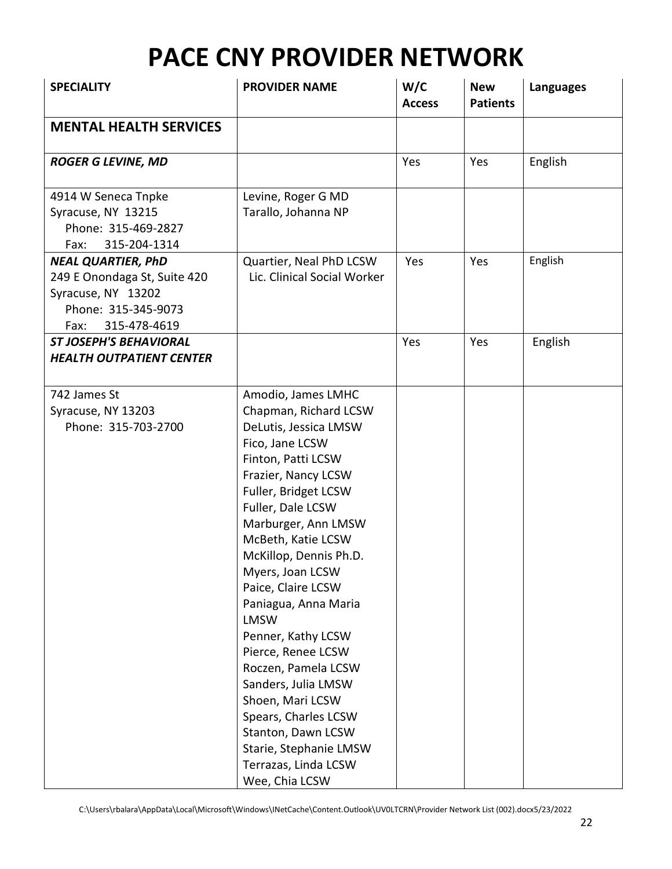| <b>SPECIALITY</b>                                                                                                              | <b>PROVIDER NAME</b>                                                                                                                                                                                                                                                                                                                                                                                                                                                                                                                                                      | W/C<br><b>Access</b> | <b>New</b><br><b>Patients</b> | <b>Languages</b> |
|--------------------------------------------------------------------------------------------------------------------------------|---------------------------------------------------------------------------------------------------------------------------------------------------------------------------------------------------------------------------------------------------------------------------------------------------------------------------------------------------------------------------------------------------------------------------------------------------------------------------------------------------------------------------------------------------------------------------|----------------------|-------------------------------|------------------|
| <b>MENTAL HEALTH SERVICES</b>                                                                                                  |                                                                                                                                                                                                                                                                                                                                                                                                                                                                                                                                                                           |                      |                               |                  |
| <b>ROGER G LEVINE, MD</b>                                                                                                      |                                                                                                                                                                                                                                                                                                                                                                                                                                                                                                                                                                           | Yes                  | Yes                           | English          |
| 4914 W Seneca Tnpke<br>Syracuse, NY 13215<br>Phone: 315-469-2827<br>315-204-1314<br>Fax:                                       | Levine, Roger G MD<br>Tarallo, Johanna NP                                                                                                                                                                                                                                                                                                                                                                                                                                                                                                                                 |                      |                               |                  |
| <b>NEAL QUARTIER, PhD</b><br>249 E Onondaga St, Suite 420<br>Syracuse, NY 13202<br>Phone: 315-345-9073<br>315-478-4619<br>Fax: | Quartier, Neal PhD LCSW<br>Lic. Clinical Social Worker                                                                                                                                                                                                                                                                                                                                                                                                                                                                                                                    | Yes                  | Yes                           | English          |
| <b>ST JOSEPH'S BEHAVIORAL</b><br><b>HEALTH OUTPATIENT CENTER</b>                                                               |                                                                                                                                                                                                                                                                                                                                                                                                                                                                                                                                                                           | Yes                  | Yes                           | English          |
| 742 James St<br>Syracuse, NY 13203<br>Phone: 315-703-2700                                                                      | Amodio, James LMHC<br>Chapman, Richard LCSW<br>DeLutis, Jessica LMSW<br>Fico, Jane LCSW<br>Finton, Patti LCSW<br>Frazier, Nancy LCSW<br>Fuller, Bridget LCSW<br>Fuller, Dale LCSW<br>Marburger, Ann LMSW<br>McBeth, Katie LCSW<br>McKillop, Dennis Ph.D.<br>Myers, Joan LCSW<br>Paice, Claire LCSW<br>Paniagua, Anna Maria<br><b>LMSW</b><br>Penner, Kathy LCSW<br>Pierce, Renee LCSW<br>Roczen, Pamela LCSW<br>Sanders, Julia LMSW<br>Shoen, Mari LCSW<br>Spears, Charles LCSW<br>Stanton, Dawn LCSW<br>Starie, Stephanie LMSW<br>Terrazas, Linda LCSW<br>Wee, Chia LCSW |                      |                               |                  |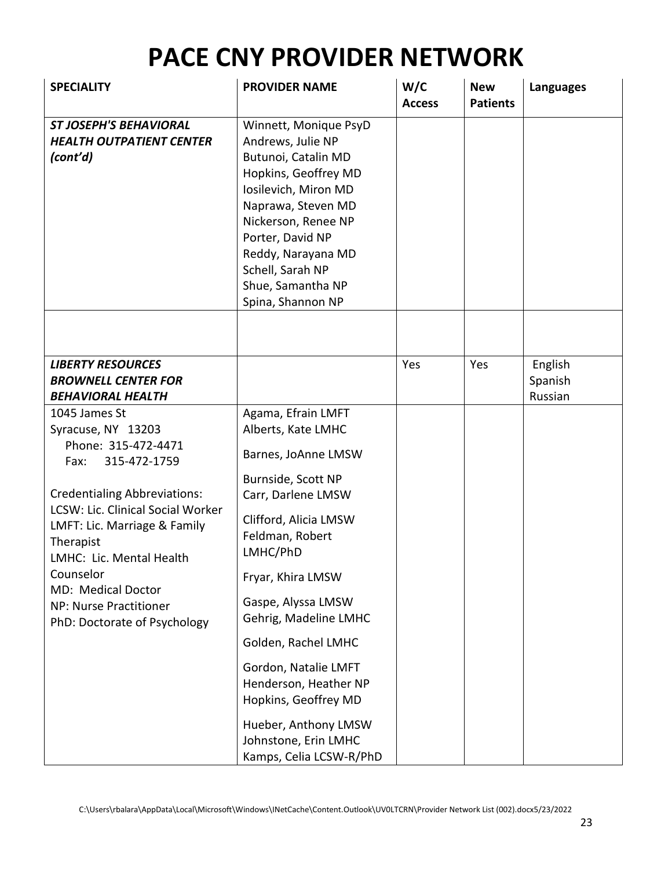| <b>SPECIALITY</b>                                                                                                                                                                                                                                                                                                                           | <b>PROVIDER NAME</b>                                                                                                                                                                                                                                                                                                                                                                                               | W/C<br><b>Access</b> | <b>New</b><br><b>Patients</b> | <b>Languages</b>              |
|---------------------------------------------------------------------------------------------------------------------------------------------------------------------------------------------------------------------------------------------------------------------------------------------------------------------------------------------|--------------------------------------------------------------------------------------------------------------------------------------------------------------------------------------------------------------------------------------------------------------------------------------------------------------------------------------------------------------------------------------------------------------------|----------------------|-------------------------------|-------------------------------|
| <b>ST JOSEPH'S BEHAVIORAL</b><br><b>HEALTH OUTPATIENT CENTER</b><br>(cont'd)                                                                                                                                                                                                                                                                | Winnett, Monique PsyD<br>Andrews, Julie NP<br>Butunoi, Catalin MD<br>Hopkins, Geoffrey MD<br>Iosilevich, Miron MD<br>Naprawa, Steven MD<br>Nickerson, Renee NP<br>Porter, David NP<br>Reddy, Narayana MD<br>Schell, Sarah NP<br>Shue, Samantha NP<br>Spina, Shannon NP                                                                                                                                             |                      |                               |                               |
|                                                                                                                                                                                                                                                                                                                                             |                                                                                                                                                                                                                                                                                                                                                                                                                    |                      |                               |                               |
| <b>LIBERTY RESOURCES</b><br><b>BROWNELL CENTER FOR</b><br><b>BEHAVIORAL HEALTH</b>                                                                                                                                                                                                                                                          |                                                                                                                                                                                                                                                                                                                                                                                                                    | Yes                  | Yes                           | English<br>Spanish<br>Russian |
| 1045 James St<br>Syracuse, NY 13203<br>Phone: 315-472-4471<br>315-472-1759<br>Fax:<br><b>Credentialing Abbreviations:</b><br><b>LCSW: Lic. Clinical Social Worker</b><br>LMFT: Lic. Marriage & Family<br>Therapist<br>LMHC: Lic. Mental Health<br>Counselor<br>MD: Medical Doctor<br>NP: Nurse Practitioner<br>PhD: Doctorate of Psychology | Agama, Efrain LMFT<br>Alberts, Kate LMHC<br>Barnes, JoAnne LMSW<br>Burnside, Scott NP<br>Carr, Darlene LMSW<br>Clifford, Alicia LMSW<br>Feldman, Robert<br>LMHC/PhD<br>Fryar, Khira LMSW<br>Gaspe, Alyssa LMSW<br>Gehrig, Madeline LMHC<br>Golden, Rachel LMHC<br>Gordon, Natalie LMFT<br>Henderson, Heather NP<br>Hopkins, Geoffrey MD<br>Hueber, Anthony LMSW<br>Johnstone, Erin LMHC<br>Kamps, Celia LCSW-R/PhD |                      |                               |                               |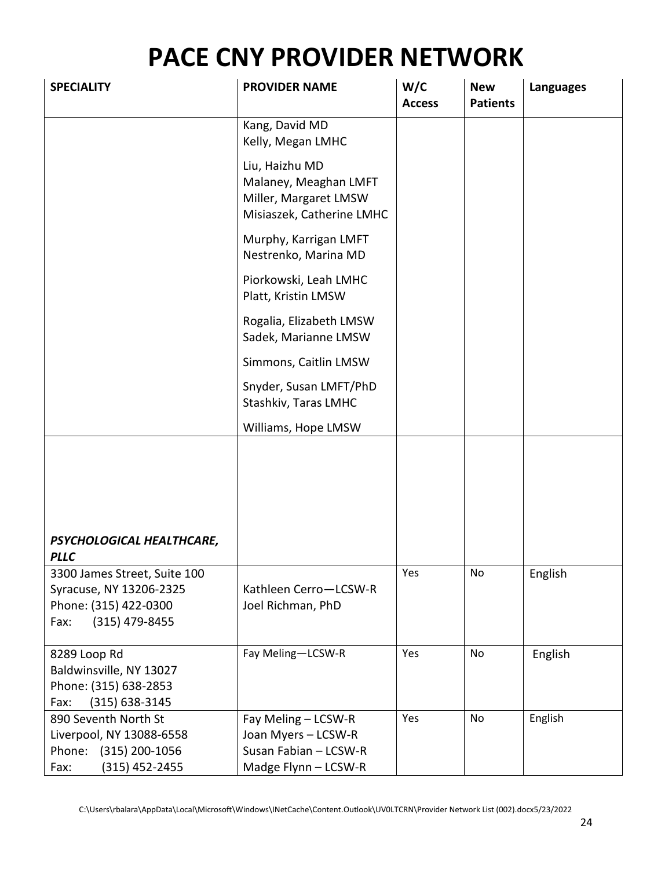| <b>SPECIALITY</b>                                                                                            | <b>PROVIDER NAME</b>                                                                          | W/C<br><b>Access</b> | <b>New</b><br><b>Patients</b> | <b>Languages</b> |
|--------------------------------------------------------------------------------------------------------------|-----------------------------------------------------------------------------------------------|----------------------|-------------------------------|------------------|
|                                                                                                              | Kang, David MD<br>Kelly, Megan LMHC                                                           |                      |                               |                  |
|                                                                                                              | Liu, Haizhu MD<br>Malaney, Meaghan LMFT<br>Miller, Margaret LMSW<br>Misiaszek, Catherine LMHC |                      |                               |                  |
|                                                                                                              | Murphy, Karrigan LMFT<br>Nestrenko, Marina MD                                                 |                      |                               |                  |
|                                                                                                              | Piorkowski, Leah LMHC<br>Platt, Kristin LMSW                                                  |                      |                               |                  |
|                                                                                                              | Rogalia, Elizabeth LMSW<br>Sadek, Marianne LMSW                                               |                      |                               |                  |
|                                                                                                              | Simmons, Caitlin LMSW                                                                         |                      |                               |                  |
|                                                                                                              | Snyder, Susan LMFT/PhD<br>Stashkiv, Taras LMHC                                                |                      |                               |                  |
|                                                                                                              | Williams, Hope LMSW                                                                           |                      |                               |                  |
| PSYCHOLOGICAL HEALTHCARE,<br><b>PLLC</b>                                                                     |                                                                                               |                      |                               |                  |
| 3300 James Street, Suite 100<br>Syracuse, NY 13206-2325<br>Phone: (315) 422-0300<br>$(315)$ 479-8455<br>Fax: | Kathleen Cerro-LCSW-R<br>Joel Richman, PhD                                                    | Yes                  | No.                           | English          |
| 8289 Loop Rd<br>Baldwinsville, NY 13027<br>Phone: (315) 638-2853<br>$(315) 638 - 3145$<br>Fax:               | Fay Meling-LCSW-R                                                                             | Yes                  | No                            | English          |
| 890 Seventh North St<br>Liverpool, NY 13088-6558<br>Phone: (315) 200-1056<br>$(315)$ 452-2455<br>Fax:        | Fay Meling - LCSW-R<br>Joan Myers - LCSW-R<br>Susan Fabian - LCSW-R<br>Madge Flynn - LCSW-R   | Yes                  | No                            | English          |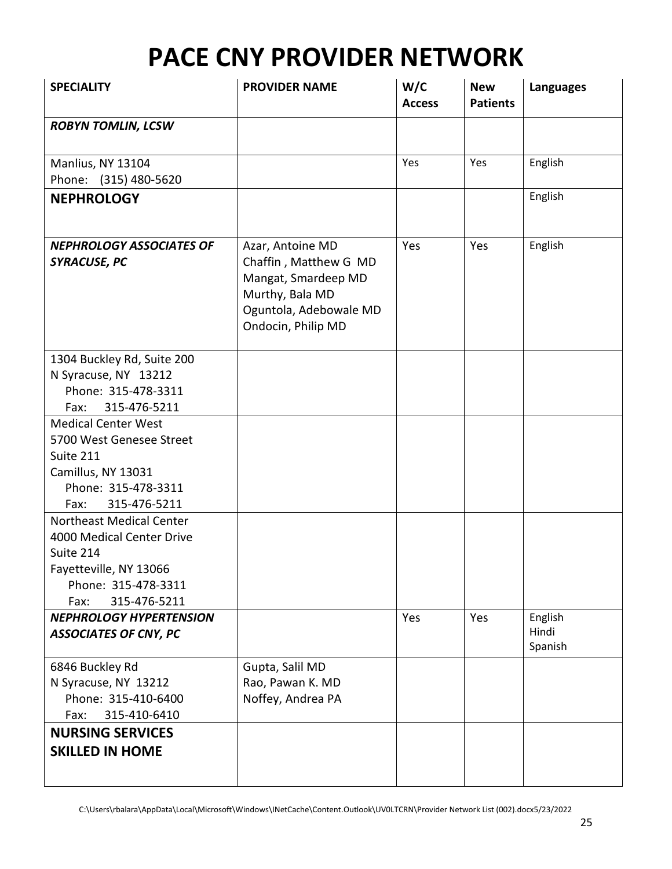| <b>SPECIALITY</b>                                                                                                                                  | <b>PROVIDER NAME</b>                                                                                                                | W/C<br><b>Access</b> | <b>New</b><br><b>Patients</b> | <b>Languages</b>            |
|----------------------------------------------------------------------------------------------------------------------------------------------------|-------------------------------------------------------------------------------------------------------------------------------------|----------------------|-------------------------------|-----------------------------|
| <b>ROBYN TOMLIN, LCSW</b>                                                                                                                          |                                                                                                                                     |                      |                               |                             |
|                                                                                                                                                    |                                                                                                                                     |                      |                               |                             |
| Manlius, NY 13104<br>Phone: (315) 480-5620                                                                                                         |                                                                                                                                     | Yes                  | Yes                           | English                     |
| <b>NEPHROLOGY</b>                                                                                                                                  |                                                                                                                                     |                      |                               | English                     |
| <b>NEPHROLOGY ASSOCIATES OF</b><br><b>SYRACUSE, PC</b>                                                                                             | Azar, Antoine MD<br>Chaffin, Matthew G MD<br>Mangat, Smardeep MD<br>Murthy, Bala MD<br>Oguntola, Adebowale MD<br>Ondocin, Philip MD | Yes                  | Yes                           | English                     |
| 1304 Buckley Rd, Suite 200<br>N Syracuse, NY 13212<br>Phone: 315-478-3311<br>315-476-5211<br>Fax:                                                  |                                                                                                                                     |                      |                               |                             |
| <b>Medical Center West</b><br>5700 West Genesee Street<br>Suite 211<br>Camillus, NY 13031<br>Phone: 315-478-3311<br>315-476-5211<br>Fax:           |                                                                                                                                     |                      |                               |                             |
| <b>Northeast Medical Center</b><br>4000 Medical Center Drive<br>Suite 214<br>Fayetteville, NY 13066<br>Phone: 315-478-3311<br>315-476-5211<br>Fax: |                                                                                                                                     |                      |                               |                             |
| <b>NEPHROLOGY HYPERTENSION</b><br><b>ASSOCIATES OF CNY, PC</b>                                                                                     |                                                                                                                                     | Yes                  | Yes                           | English<br>Hindi<br>Spanish |
| 6846 Buckley Rd<br>N Syracuse, NY 13212<br>Phone: 315-410-6400<br>315-410-6410<br>Fax:                                                             | Gupta, Salil MD<br>Rao, Pawan K. MD<br>Noffey, Andrea PA                                                                            |                      |                               |                             |
| <b>NURSING SERVICES</b><br><b>SKILLED IN HOME</b>                                                                                                  |                                                                                                                                     |                      |                               |                             |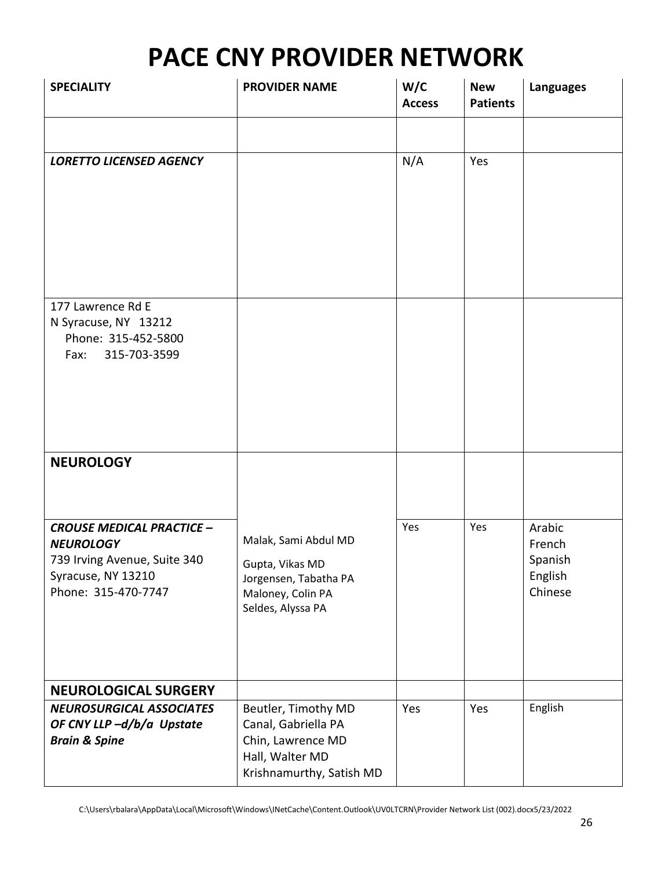| <b>SPECIALITY</b>                                                                                                                 | <b>PROVIDER NAME</b>                                                                                           | W/C<br><b>Access</b> | <b>New</b><br><b>Patients</b> | <b>Languages</b>                                  |
|-----------------------------------------------------------------------------------------------------------------------------------|----------------------------------------------------------------------------------------------------------------|----------------------|-------------------------------|---------------------------------------------------|
|                                                                                                                                   |                                                                                                                |                      |                               |                                                   |
| <b>LORETTO LICENSED AGENCY</b>                                                                                                    |                                                                                                                | N/A                  | Yes                           |                                                   |
| 177 Lawrence Rd E<br>N Syracuse, NY 13212<br>Phone: 315-452-5800<br>315-703-3599<br>Fax:                                          |                                                                                                                |                      |                               |                                                   |
| <b>NEUROLOGY</b>                                                                                                                  |                                                                                                                |                      |                               |                                                   |
| <b>CROUSE MEDICAL PRACTICE -</b><br><b>NEUROLOGY</b><br>739 Irving Avenue, Suite 340<br>Syracuse, NY 13210<br>Phone: 315-470-7747 | Malak, Sami Abdul MD<br>Gupta, Vikas MD<br>Jorgensen, Tabatha PA<br>Maloney, Colin PA<br>Seldes, Alyssa PA     | Yes                  | Yes                           | Arabic<br>French<br>Spanish<br>English<br>Chinese |
| <b>NEUROLOGICAL SURGERY</b>                                                                                                       |                                                                                                                |                      |                               |                                                   |
| <b>NEUROSURGICAL ASSOCIATES</b><br>OF CNY LLP-d/b/a Upstate<br><b>Brain &amp; Spine</b>                                           | Beutler, Timothy MD<br>Canal, Gabriella PA<br>Chin, Lawrence MD<br>Hall, Walter MD<br>Krishnamurthy, Satish MD | Yes                  | Yes                           | English                                           |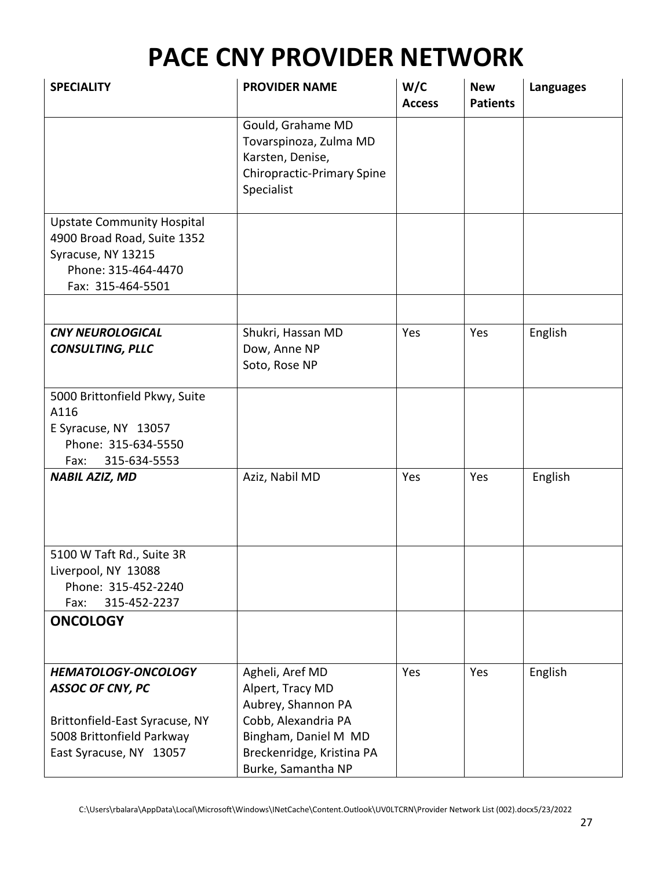| <b>SPECIALITY</b>                                                                                                                               | <b>PROVIDER NAME</b>                                                                                                                                        | W/C<br><b>Access</b> | <b>New</b><br><b>Patients</b> | <b>Languages</b> |
|-------------------------------------------------------------------------------------------------------------------------------------------------|-------------------------------------------------------------------------------------------------------------------------------------------------------------|----------------------|-------------------------------|------------------|
|                                                                                                                                                 | Gould, Grahame MD<br>Tovarspinoza, Zulma MD<br>Karsten, Denise,<br><b>Chiropractic-Primary Spine</b><br>Specialist                                          |                      |                               |                  |
| <b>Upstate Community Hospital</b><br>4900 Broad Road, Suite 1352<br>Syracuse, NY 13215<br>Phone: 315-464-4470<br>Fax: 315-464-5501              |                                                                                                                                                             |                      |                               |                  |
|                                                                                                                                                 |                                                                                                                                                             |                      |                               |                  |
| <b>CNY NEUROLOGICAL</b><br><b>CONSULTING, PLLC</b>                                                                                              | Shukri, Hassan MD<br>Dow, Anne NP<br>Soto, Rose NP                                                                                                          | Yes                  | Yes                           | English          |
| 5000 Brittonfield Pkwy, Suite<br>A116<br>E Syracuse, NY 13057<br>Phone: 315-634-5550<br>315-634-5553<br>Fax:                                    |                                                                                                                                                             |                      |                               |                  |
| <b>NABIL AZIZ, MD</b>                                                                                                                           | Aziz, Nabil MD                                                                                                                                              | Yes                  | Yes                           | English          |
| 5100 W Taft Rd., Suite 3R<br>Liverpool, NY 13088<br>Phone: 315-452-2240<br>315-452-2237<br>Fax:                                                 |                                                                                                                                                             |                      |                               |                  |
| <b>ONCOLOGY</b>                                                                                                                                 |                                                                                                                                                             |                      |                               |                  |
| <b>HEMATOLOGY-ONCOLOGY</b><br><b>ASSOC OF CNY, PC</b><br>Brittonfield-East Syracuse, NY<br>5008 Brittonfield Parkway<br>East Syracuse, NY 13057 | Agheli, Aref MD<br>Alpert, Tracy MD<br>Aubrey, Shannon PA<br>Cobb, Alexandria PA<br>Bingham, Daniel M MD<br>Breckenridge, Kristina PA<br>Burke, Samantha NP | Yes                  | Yes                           | English          |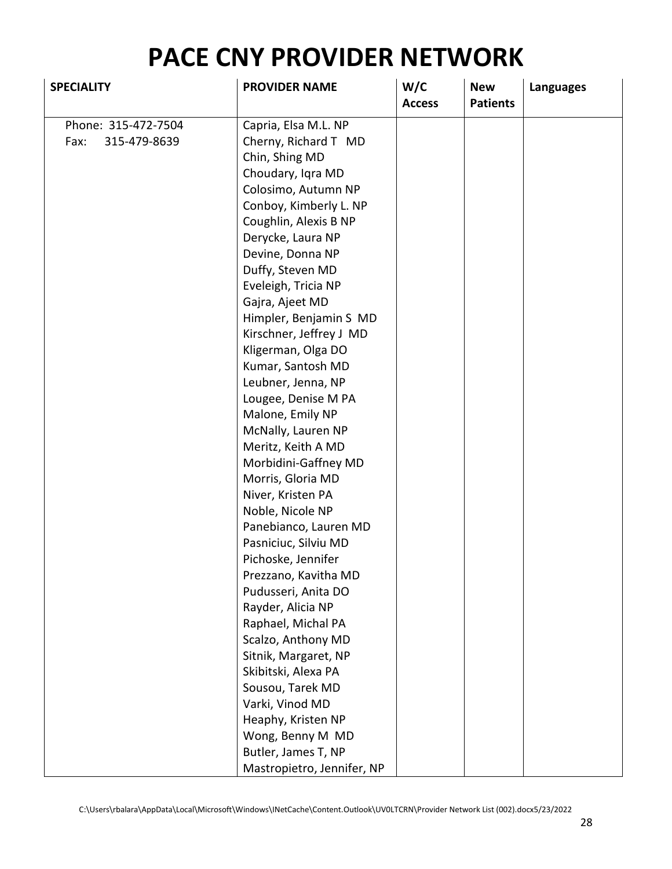| <b>SPECIALITY</b>    | <b>PROVIDER NAME</b>       | W/C<br><b>Access</b> | <b>New</b><br><b>Patients</b> | <b>Languages</b> |
|----------------------|----------------------------|----------------------|-------------------------------|------------------|
| Phone: 315-472-7504  | Capria, Elsa M.L. NP       |                      |                               |                  |
| Fax:<br>315-479-8639 | Cherny, Richard T MD       |                      |                               |                  |
|                      | Chin, Shing MD             |                      |                               |                  |
|                      | Choudary, Iqra MD          |                      |                               |                  |
|                      | Colosimo, Autumn NP        |                      |                               |                  |
|                      | Conboy, Kimberly L. NP     |                      |                               |                  |
|                      | Coughlin, Alexis B NP      |                      |                               |                  |
|                      | Derycke, Laura NP          |                      |                               |                  |
|                      | Devine, Donna NP           |                      |                               |                  |
|                      | Duffy, Steven MD           |                      |                               |                  |
|                      | Eveleigh, Tricia NP        |                      |                               |                  |
|                      | Gajra, Ajeet MD            |                      |                               |                  |
|                      | Himpler, Benjamin S MD     |                      |                               |                  |
|                      | Kirschner, Jeffrey J MD    |                      |                               |                  |
|                      | Kligerman, Olga DO         |                      |                               |                  |
|                      | Kumar, Santosh MD          |                      |                               |                  |
|                      | Leubner, Jenna, NP         |                      |                               |                  |
|                      | Lougee, Denise M PA        |                      |                               |                  |
|                      | Malone, Emily NP           |                      |                               |                  |
|                      | McNally, Lauren NP         |                      |                               |                  |
|                      | Meritz, Keith A MD         |                      |                               |                  |
|                      | Morbidini-Gaffney MD       |                      |                               |                  |
|                      | Morris, Gloria MD          |                      |                               |                  |
|                      | Niver, Kristen PA          |                      |                               |                  |
|                      | Noble, Nicole NP           |                      |                               |                  |
|                      | Panebianco, Lauren MD      |                      |                               |                  |
|                      | Pasniciuc, Silviu MD       |                      |                               |                  |
|                      | Pichoske, Jennifer         |                      |                               |                  |
|                      | Prezzano, Kavitha MD       |                      |                               |                  |
|                      | Pudusseri, Anita DO        |                      |                               |                  |
|                      | Rayder, Alicia NP          |                      |                               |                  |
|                      | Raphael, Michal PA         |                      |                               |                  |
|                      | Scalzo, Anthony MD         |                      |                               |                  |
|                      | Sitnik, Margaret, NP       |                      |                               |                  |
|                      | Skibitski, Alexa PA        |                      |                               |                  |
|                      | Sousou, Tarek MD           |                      |                               |                  |
|                      | Varki, Vinod MD            |                      |                               |                  |
|                      | Heaphy, Kristen NP         |                      |                               |                  |
|                      | Wong, Benny M MD           |                      |                               |                  |
|                      | Butler, James T, NP        |                      |                               |                  |
|                      | Mastropietro, Jennifer, NP |                      |                               |                  |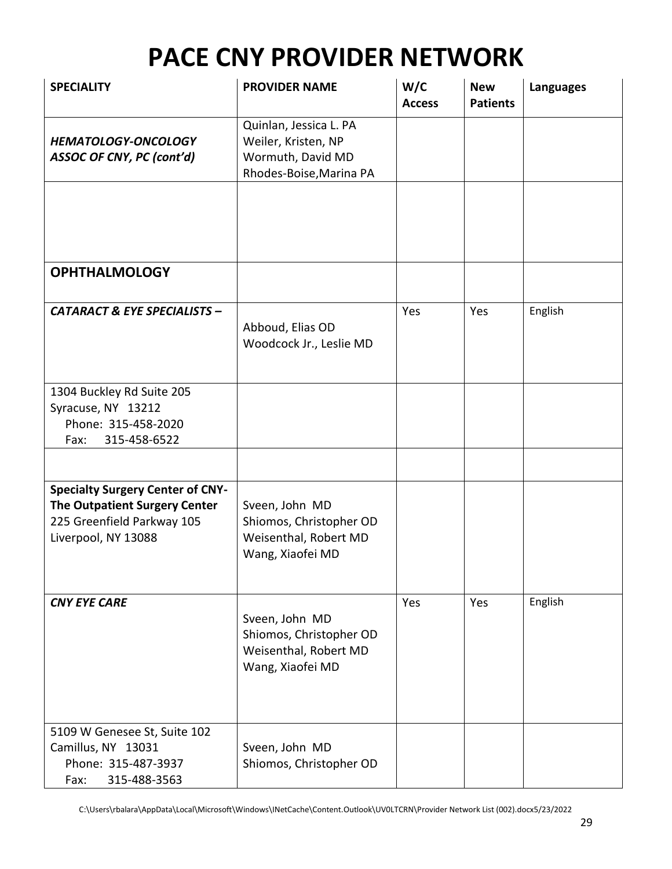| <b>SPECIALITY</b>                                                                                                                    | <b>PROVIDER NAME</b>                                                                          | W/C<br><b>Access</b> | <b>New</b><br><b>Patients</b> | <b>Languages</b> |
|--------------------------------------------------------------------------------------------------------------------------------------|-----------------------------------------------------------------------------------------------|----------------------|-------------------------------|------------------|
| <b>HEMATOLOGY-ONCOLOGY</b><br>ASSOC OF CNY, PC (cont'd)                                                                              | Quinlan, Jessica L. PA<br>Weiler, Kristen, NP<br>Wormuth, David MD<br>Rhodes-Boise, Marina PA |                      |                               |                  |
|                                                                                                                                      |                                                                                               |                      |                               |                  |
| <b>OPHTHALMOLOGY</b>                                                                                                                 |                                                                                               |                      |                               |                  |
| <b>CATARACT &amp; EYE SPECIALISTS -</b>                                                                                              | Abboud, Elias OD<br>Woodcock Jr., Leslie MD                                                   | Yes                  | Yes                           | English          |
| 1304 Buckley Rd Suite 205<br>Syracuse, NY 13212<br>Phone: 315-458-2020<br>315-458-6522<br>Fax:                                       |                                                                                               |                      |                               |                  |
|                                                                                                                                      |                                                                                               |                      |                               |                  |
| <b>Specialty Surgery Center of CNY-</b><br><b>The Outpatient Surgery Center</b><br>225 Greenfield Parkway 105<br>Liverpool, NY 13088 | Sveen, John MD<br>Shiomos, Christopher OD<br>Weisenthal, Robert MD<br>Wang, Xiaofei MD        |                      |                               |                  |
| <b>CNY EYE CARE</b>                                                                                                                  | Sveen, John MD<br>Shiomos, Christopher OD<br>Weisenthal, Robert MD<br>Wang, Xiaofei MD        | Yes                  | Yes                           | English          |
| 5109 W Genesee St, Suite 102<br>Camillus, NY 13031<br>Phone: 315-487-3937<br>315-488-3563<br>Fax:                                    | Sveen, John MD<br>Shiomos, Christopher OD                                                     |                      |                               |                  |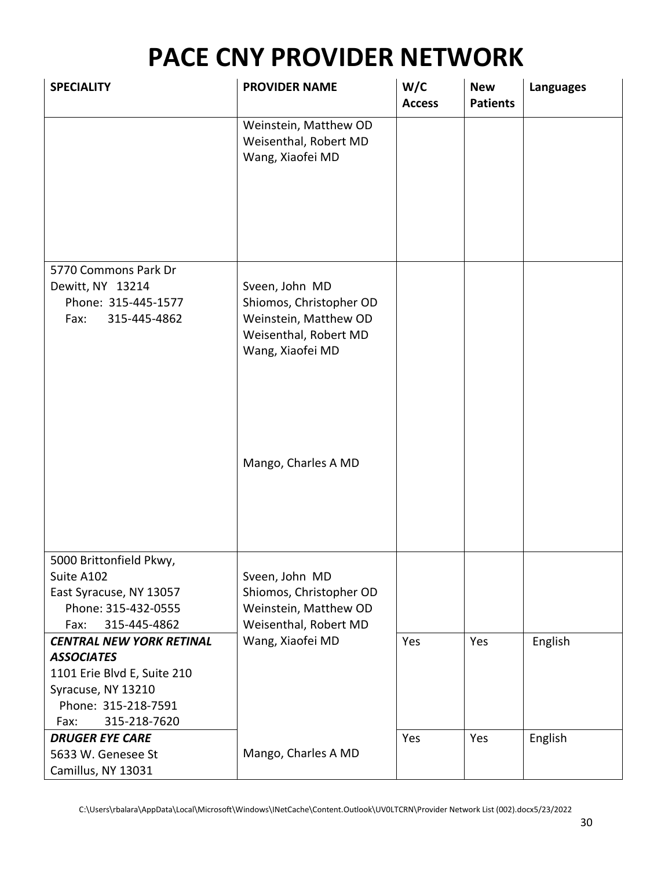| <b>SPECIALITY</b>                                 | <b>PROVIDER NAME</b>                                               | W/C<br><b>Access</b> | <b>New</b><br><b>Patients</b> | <b>Languages</b> |
|---------------------------------------------------|--------------------------------------------------------------------|----------------------|-------------------------------|------------------|
|                                                   | Weinstein, Matthew OD<br>Weisenthal, Robert MD<br>Wang, Xiaofei MD |                      |                               |                  |
|                                                   |                                                                    |                      |                               |                  |
| 5770 Commons Park Dr                              |                                                                    |                      |                               |                  |
| Dewitt, NY 13214<br>Phone: 315-445-1577           | Sveen, John MD<br>Shiomos, Christopher OD                          |                      |                               |                  |
| 315-445-4862<br>Fax:                              | Weinstein, Matthew OD<br>Weisenthal, Robert MD<br>Wang, Xiaofei MD |                      |                               |                  |
|                                                   | Mango, Charles A MD                                                |                      |                               |                  |
| 5000 Brittonfield Pkwy,                           |                                                                    |                      |                               |                  |
| Suite A102<br>East Syracuse, NY 13057             | Sveen, John MD<br>Shiomos, Christopher OD                          |                      |                               |                  |
| Phone: 315-432-0555                               | Weinstein, Matthew OD                                              |                      |                               |                  |
| 315-445-4862<br>Fax:                              | Weisenthal, Robert MD                                              |                      |                               |                  |
| <b>CENTRAL NEW YORK RETINAL</b>                   | Wang, Xiaofei MD                                                   | Yes                  | Yes                           | English          |
| <b>ASSOCIATES</b>                                 |                                                                    |                      |                               |                  |
| 1101 Erie Blvd E, Suite 210<br>Syracuse, NY 13210 |                                                                    |                      |                               |                  |
| Phone: 315-218-7591                               |                                                                    |                      |                               |                  |
| 315-218-7620<br>Fax:                              |                                                                    |                      |                               |                  |
| <b>DRUGER EYE CARE</b>                            |                                                                    | Yes                  | Yes                           | English          |
| 5633 W. Genesee St                                | Mango, Charles A MD                                                |                      |                               |                  |
| Camillus, NY 13031                                |                                                                    |                      |                               |                  |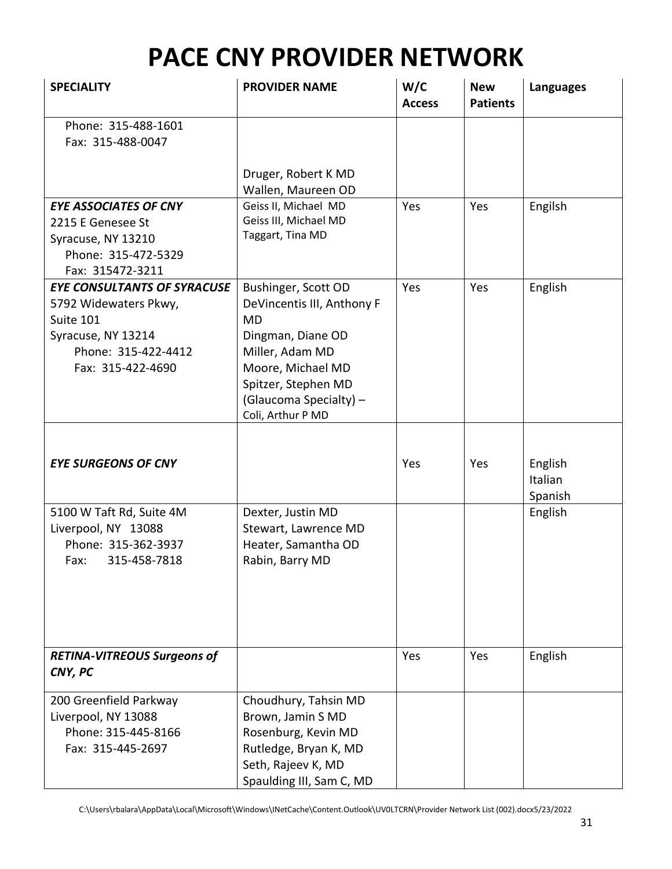| <b>SPECIALITY</b>                                                                                                                          | <b>PROVIDER NAME</b>                                                                                                                                                                       | W/C<br><b>Access</b> | <b>New</b><br><b>Patients</b> | <b>Languages</b>              |
|--------------------------------------------------------------------------------------------------------------------------------------------|--------------------------------------------------------------------------------------------------------------------------------------------------------------------------------------------|----------------------|-------------------------------|-------------------------------|
| Phone: 315-488-1601<br>Fax: 315-488-0047                                                                                                   |                                                                                                                                                                                            |                      |                               |                               |
|                                                                                                                                            | Druger, Robert K MD<br>Wallen, Maureen OD                                                                                                                                                  |                      |                               |                               |
| <b>EYE ASSOCIATES OF CNY</b><br>2215 E Genesee St<br>Syracuse, NY 13210<br>Phone: 315-472-5329<br>Fax: 315472-3211                         | Geiss II, Michael MD<br>Geiss III, Michael MD<br>Taggart, Tina MD                                                                                                                          | Yes                  | Yes                           | Engilsh                       |
| <b>EYE CONSULTANTS OF SYRACUSE</b><br>5792 Widewaters Pkwy,<br>Suite 101<br>Syracuse, NY 13214<br>Phone: 315-422-4412<br>Fax: 315-422-4690 | Bushinger, Scott OD<br>DeVincentis III, Anthony F<br>MD<br>Dingman, Diane OD<br>Miller, Adam MD<br>Moore, Michael MD<br>Spitzer, Stephen MD<br>(Glaucoma Specialty) -<br>Coli, Arthur P MD | Yes                  | Yes                           | English                       |
| <b>EYE SURGEONS OF CNY</b>                                                                                                                 |                                                                                                                                                                                            | Yes                  | Yes                           | English<br>Italian<br>Spanish |
| 5100 W Taft Rd, Suite 4M<br>Liverpool, NY 13088<br>Phone: 315-362-3937<br>315-458-7818<br>Fax:                                             | Dexter, Justin MD<br>Stewart, Lawrence MD<br>Heater, Samantha OD<br>Rabin, Barry MD                                                                                                        |                      |                               | English                       |
| <b>RETINA-VITREOUS Surgeons of</b><br>CNY, PC                                                                                              |                                                                                                                                                                                            | Yes                  | Yes                           | English                       |
| 200 Greenfield Parkway<br>Liverpool, NY 13088<br>Phone: 315-445-8166<br>Fax: 315-445-2697                                                  | Choudhury, Tahsin MD<br>Brown, Jamin S MD<br>Rosenburg, Kevin MD<br>Rutledge, Bryan K, MD<br>Seth, Rajeev K, MD<br>Spaulding III, Sam C, MD                                                |                      |                               |                               |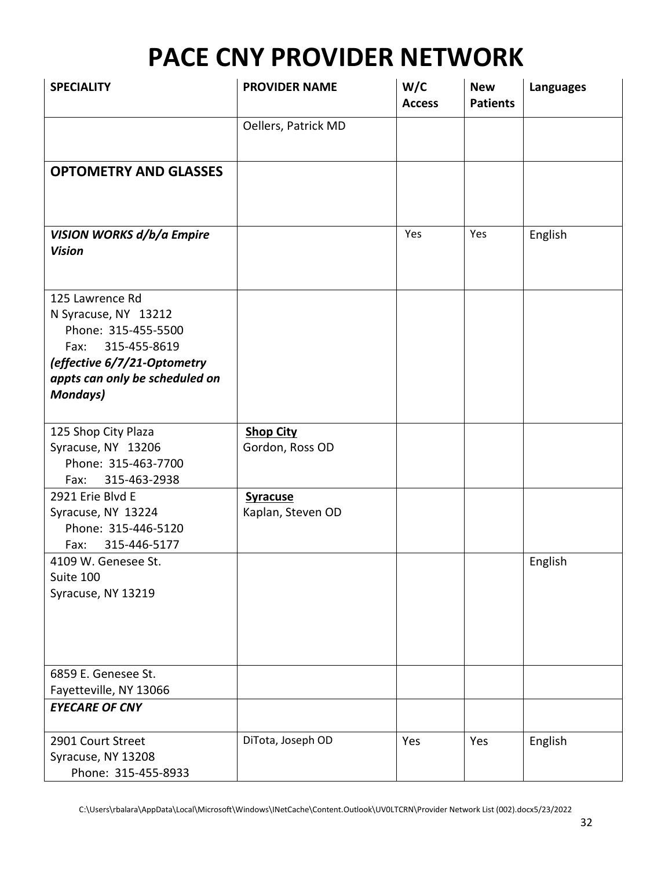| <b>SPECIALITY</b>                                                                                                                                                       | <b>PROVIDER NAME</b>                 | W/C<br><b>Access</b> | <b>New</b><br><b>Patients</b> | <b>Languages</b> |
|-------------------------------------------------------------------------------------------------------------------------------------------------------------------------|--------------------------------------|----------------------|-------------------------------|------------------|
|                                                                                                                                                                         | Oellers, Patrick MD                  |                      |                               |                  |
| <b>OPTOMETRY AND GLASSES</b>                                                                                                                                            |                                      |                      |                               |                  |
| <b>VISION WORKS d/b/a Empire</b><br><b>Vision</b>                                                                                                                       |                                      | Yes                  | Yes                           | English          |
| 125 Lawrence Rd<br>N Syracuse, NY 13212<br>Phone: 315-455-5500<br>Fax: 315-455-8619<br>(effective 6/7/21-Optometry<br>appts can only be scheduled on<br><b>Mondays)</b> |                                      |                      |                               |                  |
| 125 Shop City Plaza<br>Syracuse, NY 13206<br>Phone: 315-463-7700<br>315-463-2938<br>Fax:                                                                                | <b>Shop City</b><br>Gordon, Ross OD  |                      |                               |                  |
| 2921 Erie Blvd E<br>Syracuse, NY 13224<br>Phone: 315-446-5120<br>315-446-5177<br>Fax:                                                                                   | <b>Syracuse</b><br>Kaplan, Steven OD |                      |                               |                  |
| 4109 W. Genesee St.<br>Suite 100<br>Syracuse, NY 13219                                                                                                                  |                                      |                      |                               | English          |
| 6859 E. Genesee St.<br>Fayetteville, NY 13066                                                                                                                           |                                      |                      |                               |                  |
| <b>EYECARE OF CNY</b>                                                                                                                                                   |                                      |                      |                               |                  |
| 2901 Court Street<br>Syracuse, NY 13208<br>Phone: 315-455-8933                                                                                                          | DiTota, Joseph OD                    | Yes                  | Yes                           | English          |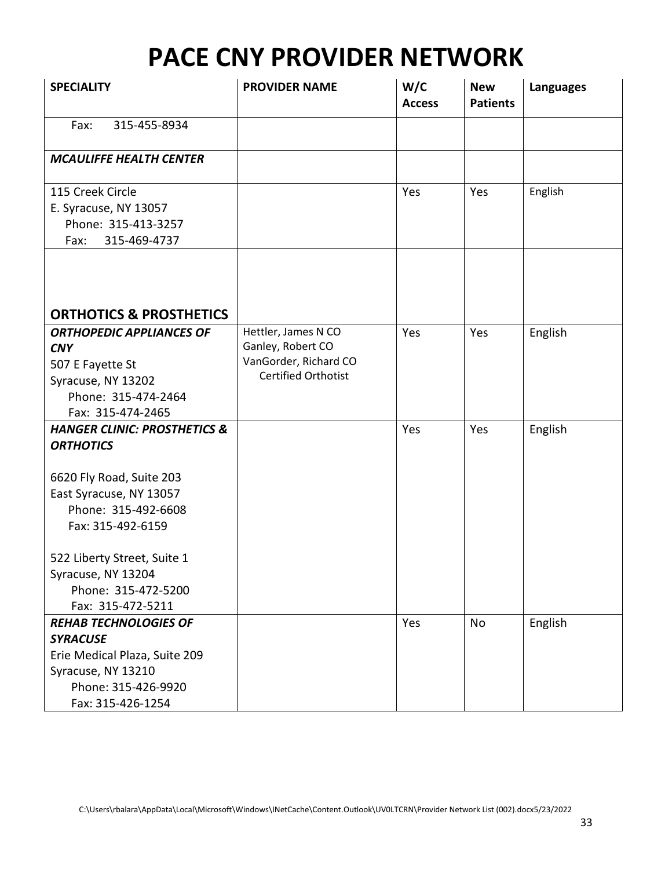| <b>SPECIALITY</b>                                                                                                                                                                                                                                               | <b>PROVIDER NAME</b>                                                                            | W/C<br><b>Access</b> | <b>New</b><br><b>Patients</b> | <b>Languages</b> |
|-----------------------------------------------------------------------------------------------------------------------------------------------------------------------------------------------------------------------------------------------------------------|-------------------------------------------------------------------------------------------------|----------------------|-------------------------------|------------------|
| 315-455-8934<br>Fax:                                                                                                                                                                                                                                            |                                                                                                 |                      |                               |                  |
| <b>MCAULIFFE HEALTH CENTER</b>                                                                                                                                                                                                                                  |                                                                                                 |                      |                               |                  |
| 115 Creek Circle<br>E. Syracuse, NY 13057<br>Phone: 315-413-3257<br>315-469-4737<br>Fax:                                                                                                                                                                        |                                                                                                 | Yes                  | Yes                           | English          |
| <b>ORTHOTICS &amp; PROSTHETICS</b>                                                                                                                                                                                                                              |                                                                                                 |                      |                               |                  |
| <b>ORTHOPEDIC APPLIANCES OF</b><br><b>CNY</b><br>507 E Fayette St<br>Syracuse, NY 13202<br>Phone: 315-474-2464<br>Fax: 315-474-2465                                                                                                                             | Hettler, James N CO<br>Ganley, Robert CO<br>VanGorder, Richard CO<br><b>Certified Orthotist</b> | Yes                  | Yes                           | English          |
| <b>HANGER CLINIC: PROSTHETICS &amp;</b><br><b>ORTHOTICS</b><br>6620 Fly Road, Suite 203<br>East Syracuse, NY 13057<br>Phone: 315-492-6608<br>Fax: 315-492-6159<br>522 Liberty Street, Suite 1<br>Syracuse, NY 13204<br>Phone: 315-472-5200<br>Fax: 315-472-5211 |                                                                                                 | Yes                  | Yes                           | English          |
| <b>REHAB TECHNOLOGIES OF</b><br><b>SYRACUSE</b><br>Erie Medical Plaza, Suite 209<br>Syracuse, NY 13210<br>Phone: 315-426-9920<br>Fax: 315-426-1254                                                                                                              |                                                                                                 | Yes                  | No                            | English          |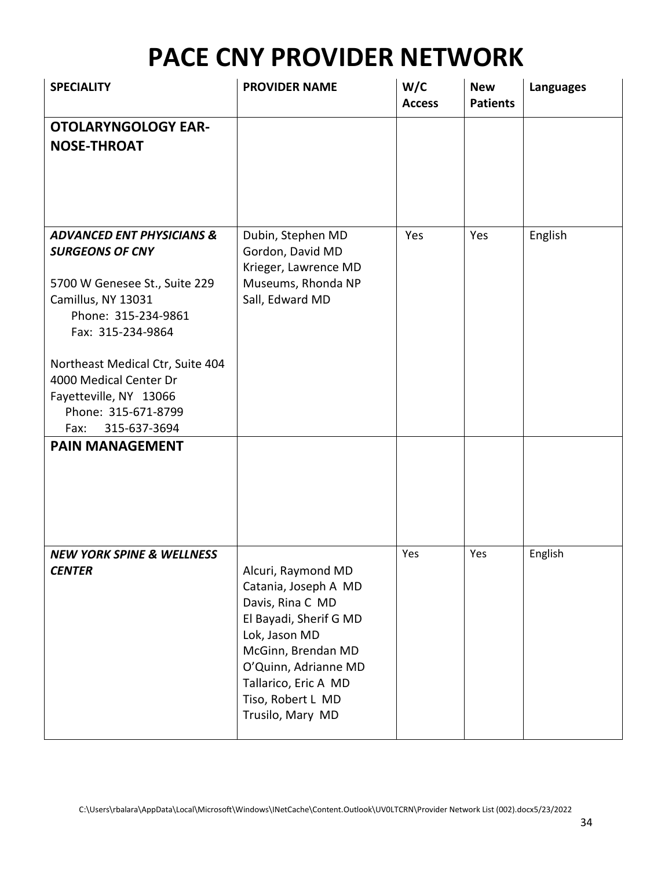| <b>SPECIALITY</b>                                                                                                                                                                                                                                                                                                                  | <b>PROVIDER NAME</b>                                                                                                                                                                                                     | W/C<br><b>Access</b> | <b>New</b><br><b>Patients</b> | <b>Languages</b> |
|------------------------------------------------------------------------------------------------------------------------------------------------------------------------------------------------------------------------------------------------------------------------------------------------------------------------------------|--------------------------------------------------------------------------------------------------------------------------------------------------------------------------------------------------------------------------|----------------------|-------------------------------|------------------|
| <b>OTOLARYNGOLOGY EAR-</b><br><b>NOSE-THROAT</b>                                                                                                                                                                                                                                                                                   |                                                                                                                                                                                                                          |                      |                               |                  |
| <b>ADVANCED ENT PHYSICIANS &amp;</b><br><b>SURGEONS OF CNY</b><br>5700 W Genesee St., Suite 229<br>Camillus, NY 13031<br>Phone: 315-234-9861<br>Fax: 315-234-9864<br>Northeast Medical Ctr, Suite 404<br>4000 Medical Center Dr<br>Fayetteville, NY 13066<br>Phone: 315-671-8799<br>315-637-3694<br>Fax:<br><b>PAIN MANAGEMENT</b> | Dubin, Stephen MD<br>Gordon, David MD<br>Krieger, Lawrence MD<br>Museums, Rhonda NP<br>Sall, Edward MD                                                                                                                   | Yes                  | Yes                           | English          |
| <b>NEW YORK SPINE &amp; WELLNESS</b><br><b>CENTER</b>                                                                                                                                                                                                                                                                              | Alcuri, Raymond MD<br>Catania, Joseph A MD<br>Davis, Rina C MD<br>El Bayadi, Sherif G MD<br>Lok, Jason MD<br>McGinn, Brendan MD<br>O'Quinn, Adrianne MD<br>Tallarico, Eric A MD<br>Tiso, Robert L MD<br>Trusilo, Mary MD | Yes                  | Yes                           | English          |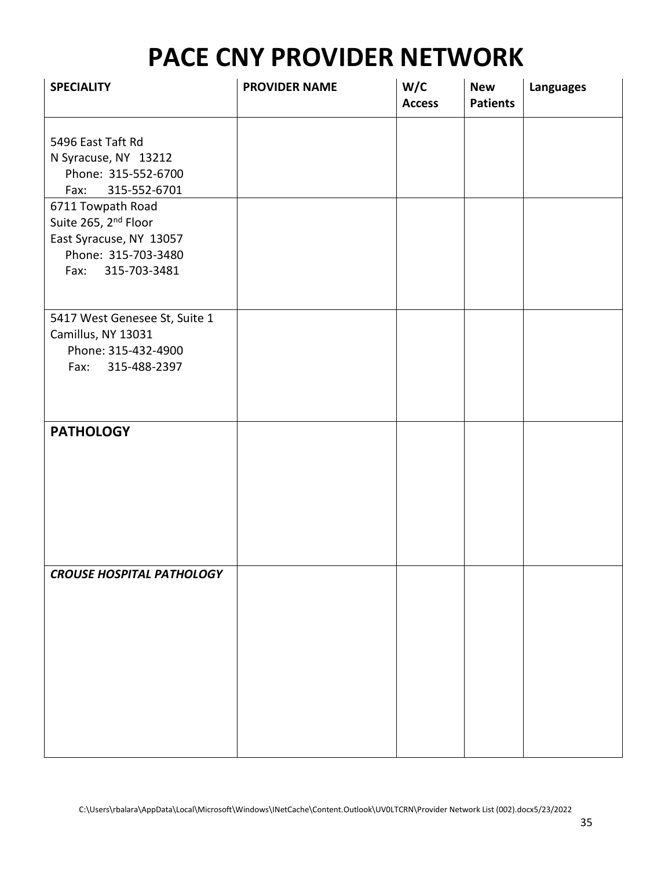| <b>SPECIALITY</b>                                                                                                            | <b>PROVIDER NAME</b> | W/C<br><b>Access</b> | <b>New</b><br><b>Patients</b> | <b>Languages</b> |
|------------------------------------------------------------------------------------------------------------------------------|----------------------|----------------------|-------------------------------|------------------|
| 5496 East Taft Rd<br>N Syracuse, NY 13212<br>Phone: 315-552-6700                                                             |                      |                      |                               |                  |
| 315-552-6701<br>Fax:                                                                                                         |                      |                      |                               |                  |
| 6711 Towpath Road<br>Suite 265, 2 <sup>nd</sup> Floor<br>East Syracuse, NY 13057<br>Phone: 315-703-3480<br>Fax: 315-703-3481 |                      |                      |                               |                  |
| 5417 West Genesee St, Suite 1<br>Camillus, NY 13031<br>Phone: 315-432-4900<br>315-488-2397<br>Fax:                           |                      |                      |                               |                  |
| <b>PATHOLOGY</b>                                                                                                             |                      |                      |                               |                  |
| <b>CROUSE HOSPITAL PATHOLOGY</b>                                                                                             |                      |                      |                               |                  |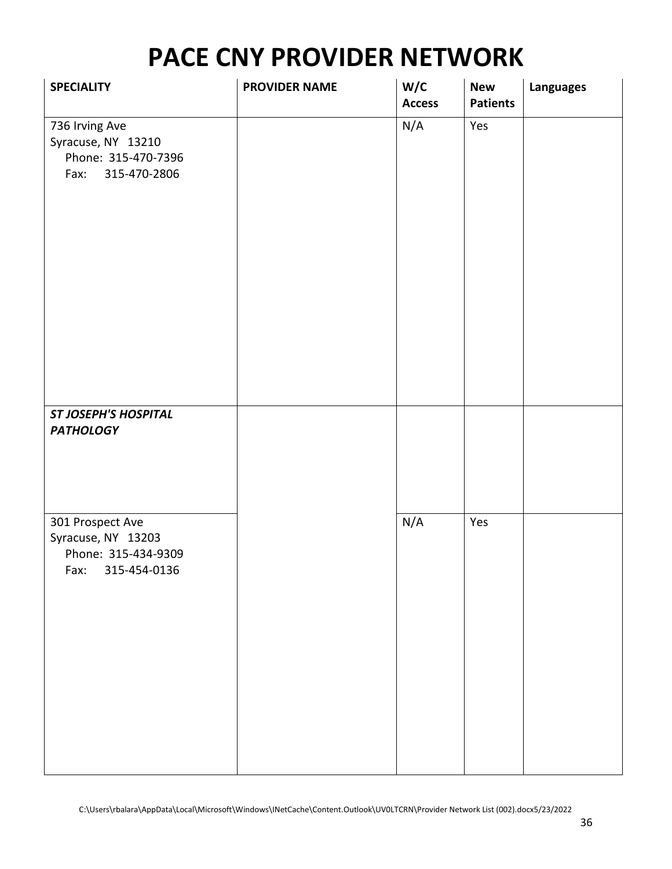| <b>SPECIALITY</b>                                                                   | <b>PROVIDER NAME</b> | W/C<br><b>Access</b> | <b>New</b><br><b>Patients</b> | <b>Languages</b> |
|-------------------------------------------------------------------------------------|----------------------|----------------------|-------------------------------|------------------|
| 736 Irving Ave<br>Syracuse, NY 13210<br>Phone: 315-470-7396<br>315-470-2806<br>Fax: |                      | N/A                  | Yes                           |                  |
| <b>ST JOSEPH'S HOSPITAL</b><br><b>PATHOLOGY</b>                                     |                      |                      |                               |                  |
| 301 Prospect Ave<br>Syracuse, NY 13203<br>Phone: 315-434-9309<br>Fax: 315-454-0136  |                      | N/A                  | Yes                           |                  |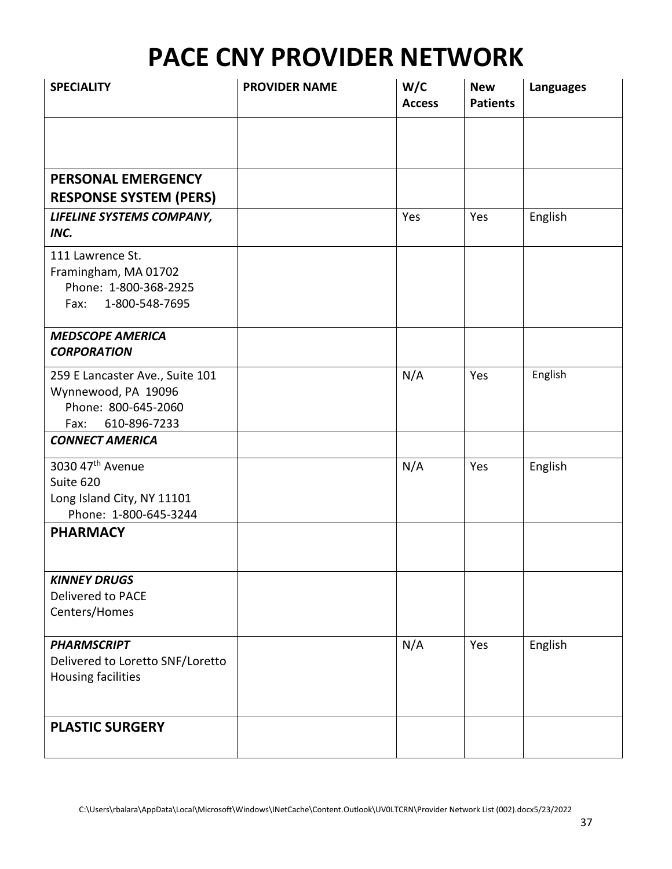| <b>SPECIALITY</b>                                                                                     | <b>PROVIDER NAME</b> | W/C<br><b>Access</b> | <b>New</b><br><b>Patients</b> | <b>Languages</b> |
|-------------------------------------------------------------------------------------------------------|----------------------|----------------------|-------------------------------|------------------|
|                                                                                                       |                      |                      |                               |                  |
| PERSONAL EMERGENCY<br><b>RESPONSE SYSTEM (PERS)</b>                                                   |                      |                      |                               |                  |
| LIFELINE SYSTEMS COMPANY,<br>INC.                                                                     |                      | Yes                  | Yes                           | English          |
| 111 Lawrence St.<br>Framingham, MA 01702<br>Phone: 1-800-368-2925<br>1-800-548-7695<br>Fax:           |                      |                      |                               |                  |
| <b>MEDSCOPE AMERICA</b><br><b>CORPORATION</b>                                                         |                      |                      |                               |                  |
| 259 E Lancaster Ave., Suite 101<br>Wynnewood, PA 19096<br>Phone: 800-645-2060<br>610-896-7233<br>Fax: |                      | N/A                  | Yes                           | English          |
| <b>CONNECT AMERICA</b>                                                                                |                      |                      |                               |                  |
| 3030 47 <sup>th</sup> Avenue<br>Suite 620<br>Long Island City, NY 11101<br>Phone: 1-800-645-3244      |                      | N/A                  | Yes                           | English          |
| <b>PHARMACY</b>                                                                                       |                      |                      |                               |                  |
| <b>KINNEY DRUGS</b><br>Delivered to PACE<br>Centers/Homes                                             |                      |                      |                               |                  |
| <b>PHARMSCRIPT</b><br>Delivered to Loretto SNF/Loretto<br>Housing facilities                          |                      | N/A                  | Yes                           | English          |
| <b>PLASTIC SURGERY</b>                                                                                |                      |                      |                               |                  |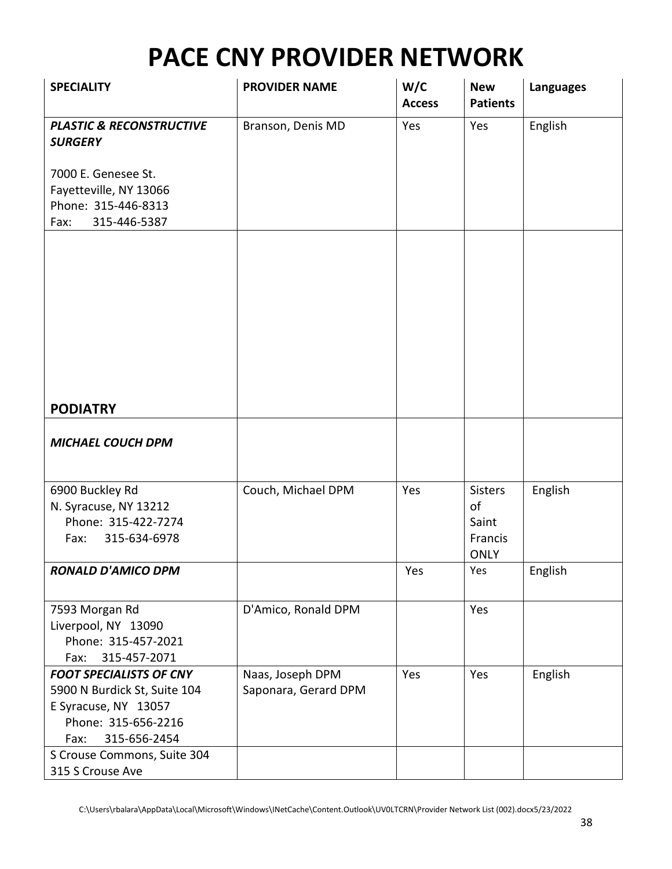| <b>SPECIALITY</b>                                     | <b>PROVIDER NAME</b> | W/C<br><b>Access</b> | <b>New</b><br><b>Patients</b> | <b>Languages</b> |
|-------------------------------------------------------|----------------------|----------------------|-------------------------------|------------------|
| <b>PLASTIC &amp; RECONSTRUCTIVE</b><br><b>SURGERY</b> | Branson, Denis MD    | Yes                  | Yes                           | English          |
| 7000 E. Genesee St.                                   |                      |                      |                               |                  |
| Fayetteville, NY 13066                                |                      |                      |                               |                  |
| Phone: 315-446-8313                                   |                      |                      |                               |                  |
| 315-446-5387<br>Fax:                                  |                      |                      |                               |                  |
|                                                       |                      |                      |                               |                  |
| <b>PODIATRY</b>                                       |                      |                      |                               |                  |
| <b>MICHAEL COUCH DPM</b>                              |                      |                      |                               |                  |
| 6900 Buckley Rd                                       | Couch, Michael DPM   | Yes                  | <b>Sisters</b>                | English          |
| N. Syracuse, NY 13212                                 |                      |                      | of                            |                  |
| Phone: 315-422-7274                                   |                      |                      | Saint                         |                  |
| 315-634-6978<br>Fax:                                  |                      |                      | Francis                       |                  |
|                                                       |                      |                      | <b>ONLY</b>                   |                  |
| RONALD D'AMICO DPM                                    |                      | Yes                  | Yes                           | English          |
| 7593 Morgan Rd                                        | D'Amico, Ronald DPM  |                      | Yes                           |                  |
| Liverpool, NY 13090                                   |                      |                      |                               |                  |
| Phone: 315-457-2021                                   |                      |                      |                               |                  |
| 315-457-2071<br>Fax:                                  |                      |                      |                               |                  |
| <b>FOOT SPECIALISTS OF CNY</b>                        | Naas, Joseph DPM     | Yes                  | Yes                           | English          |
| 5900 N Burdick St, Suite 104                          | Saponara, Gerard DPM |                      |                               |                  |
| E Syracuse, NY 13057<br>Phone: 315-656-2216           |                      |                      |                               |                  |
| 315-656-2454<br>Fax:                                  |                      |                      |                               |                  |
| S Crouse Commons, Suite 304                           |                      |                      |                               |                  |
| 315 S Crouse Ave                                      |                      |                      |                               |                  |

C:\Users\rbalara\AppData\Local\Microsoft\Windows\INetCache\Content.Outlook\UV0LTCRN\Provider Network List (002).docx5/23/2022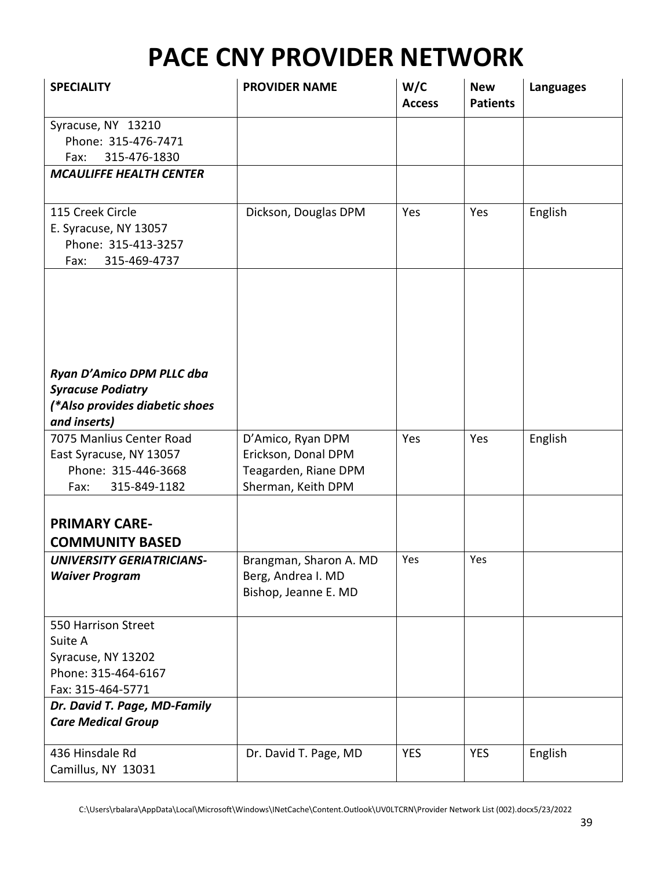| <b>SPECIALITY</b>                                                                                       | <b>PROVIDER NAME</b>                                                                   | W/C<br><b>Access</b> | <b>New</b><br><b>Patients</b> | <b>Languages</b> |
|---------------------------------------------------------------------------------------------------------|----------------------------------------------------------------------------------------|----------------------|-------------------------------|------------------|
| Syracuse, NY 13210<br>Phone: 315-476-7471<br>315-476-1830<br>Fax:                                       |                                                                                        |                      |                               |                  |
| <b>MCAULIFFE HEALTH CENTER</b>                                                                          |                                                                                        |                      |                               |                  |
| 115 Creek Circle<br>E. Syracuse, NY 13057<br>Phone: 315-413-3257<br>315-469-4737<br>Fax:                | Dickson, Douglas DPM                                                                   | Yes                  | Yes                           | English          |
| Ryan D'Amico DPM PLLC dba<br><b>Syracuse Podiatry</b><br>(*Also provides diabetic shoes<br>and inserts) |                                                                                        |                      |                               |                  |
| 7075 Manlius Center Road<br>East Syracuse, NY 13057<br>Phone: 315-446-3668<br>315-849-1182<br>Fax:      | D'Amico, Ryan DPM<br>Erickson, Donal DPM<br>Teagarden, Riane DPM<br>Sherman, Keith DPM | Yes                  | Yes                           | English          |
| <b>PRIMARY CARE-</b><br><b>COMMUNITY BASED</b>                                                          |                                                                                        |                      |                               |                  |
| <b>UNIVERSITY GERIATRICIANS-</b><br><b>Waiver Program</b>                                               | Brangman, Sharon A. MD<br>Berg, Andrea I. MD<br>Bishop, Jeanne E. MD                   | Yes                  | Yes                           |                  |
| 550 Harrison Street<br>Suite A<br>Syracuse, NY 13202<br>Phone: 315-464-6167<br>Fax: 315-464-5771        |                                                                                        |                      |                               |                  |
| Dr. David T. Page, MD-Family<br><b>Care Medical Group</b>                                               |                                                                                        |                      |                               |                  |
| 436 Hinsdale Rd<br>Camillus, NY 13031                                                                   | Dr. David T. Page, MD                                                                  | <b>YES</b>           | <b>YES</b>                    | English          |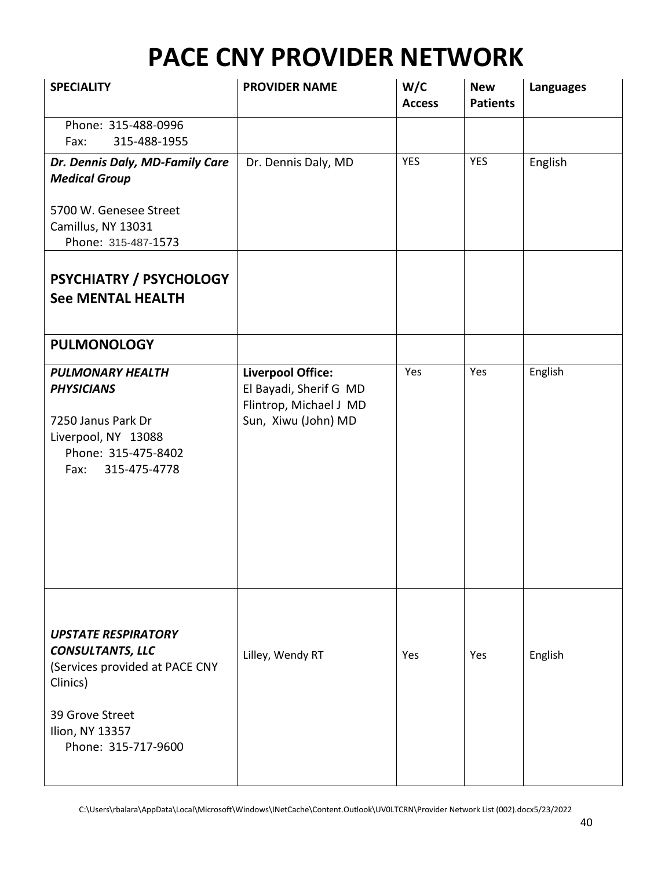| <b>SPECIALITY</b>                                                                                                                                                | <b>PROVIDER NAME</b>                                                                                | W/C<br><b>Access</b> | <b>New</b><br><b>Patients</b> | <b>Languages</b> |
|------------------------------------------------------------------------------------------------------------------------------------------------------------------|-----------------------------------------------------------------------------------------------------|----------------------|-------------------------------|------------------|
| Phone: 315-488-0996<br>315-488-1955<br>Fax:                                                                                                                      |                                                                                                     |                      |                               |                  |
| Dr. Dennis Daly, MD-Family Care<br><b>Medical Group</b>                                                                                                          | Dr. Dennis Daly, MD                                                                                 | <b>YES</b>           | <b>YES</b>                    | English          |
| 5700 W. Genesee Street<br>Camillus, NY 13031<br>Phone: 315-487-1573                                                                                              |                                                                                                     |                      |                               |                  |
| PSYCHIATRY / PSYCHOLOGY<br><b>See MENTAL HEALTH</b>                                                                                                              |                                                                                                     |                      |                               |                  |
| <b>PULMONOLOGY</b>                                                                                                                                               |                                                                                                     |                      |                               |                  |
| <b>PULMONARY HEALTH</b><br><b>PHYSICIANS</b><br>7250 Janus Park Dr<br>Liverpool, NY 13088<br>Phone: 315-475-8402<br>Fax:<br>315-475-4778                         | <b>Liverpool Office:</b><br>El Bayadi, Sherif G MD<br>Flintrop, Michael J MD<br>Sun, Xiwu (John) MD | Yes                  | Yes                           | English          |
| <b>UPSTATE RESPIRATORY</b><br><b>CONSULTANTS, LLC</b><br>(Services provided at PACE CNY<br>Clinics)<br>39 Grove Street<br>Ilion, NY 13357<br>Phone: 315-717-9600 | Lilley, Wendy RT                                                                                    | Yes                  | Yes                           | English          |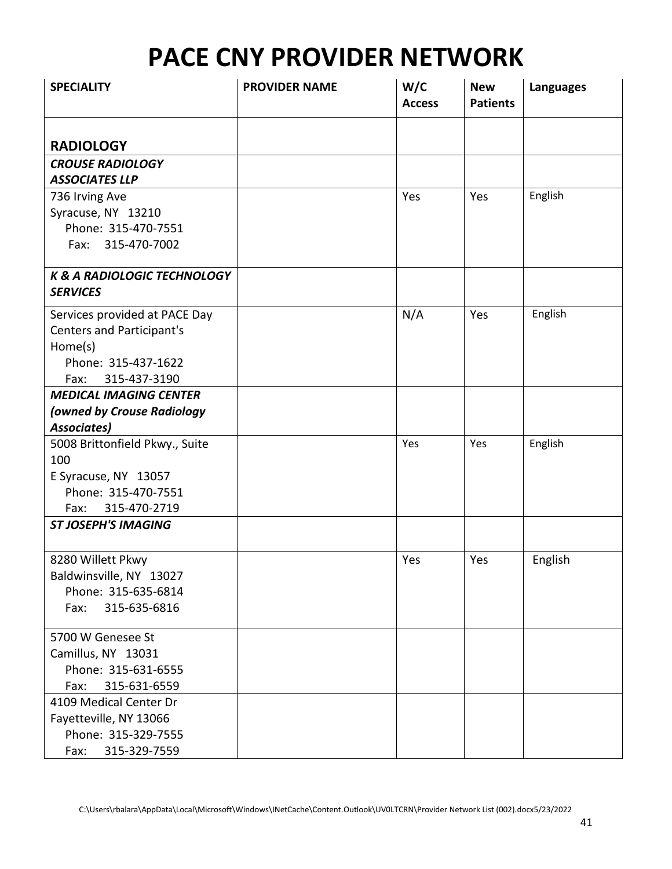| <b>SPECIALITY</b>                      | <b>PROVIDER NAME</b> | W/C<br><b>Access</b> | <b>New</b><br><b>Patients</b> | <b>Languages</b> |
|----------------------------------------|----------------------|----------------------|-------------------------------|------------------|
| <b>RADIOLOGY</b>                       |                      |                      |                               |                  |
| <b>CROUSE RADIOLOGY</b>                |                      |                      |                               |                  |
| <b>ASSOCIATES LLP</b>                  |                      |                      |                               |                  |
| 736 Irving Ave                         |                      | Yes                  | Yes                           | English          |
| Syracuse, NY 13210                     |                      |                      |                               |                  |
| Phone: 315-470-7551                    |                      |                      |                               |                  |
| Fax: 315-470-7002                      |                      |                      |                               |                  |
| <b>K &amp; A RADIOLOGIC TECHNOLOGY</b> |                      |                      |                               |                  |
| <b>SERVICES</b>                        |                      |                      |                               |                  |
| Services provided at PACE Day          |                      | N/A                  | Yes                           | English          |
| <b>Centers and Participant's</b>       |                      |                      |                               |                  |
| Home(s)                                |                      |                      |                               |                  |
| Phone: 315-437-1622                    |                      |                      |                               |                  |
| 315-437-3190<br>Fax:                   |                      |                      |                               |                  |
| <b>MEDICAL IMAGING CENTER</b>          |                      |                      |                               |                  |
| (owned by Crouse Radiology             |                      |                      |                               |                  |
| <b>Associates)</b>                     |                      |                      |                               |                  |
| 5008 Brittonfield Pkwy., Suite         |                      | Yes                  | Yes                           | English          |
| 100                                    |                      |                      |                               |                  |
| E Syracuse, NY 13057                   |                      |                      |                               |                  |
| Phone: 315-470-7551                    |                      |                      |                               |                  |
| 315-470-2719<br>Fax:                   |                      |                      |                               |                  |
| <b>ST JOSEPH'S IMAGING</b>             |                      |                      |                               |                  |
| 8280 Willett Pkwy                      |                      | Yes                  | Yes                           | English          |
| Baldwinsville, NY 13027                |                      |                      |                               |                  |
| Phone: 315-635-6814                    |                      |                      |                               |                  |
| 315-635-6816<br>Fax:                   |                      |                      |                               |                  |
| 5700 W Genesee St                      |                      |                      |                               |                  |
| Camillus, NY 13031                     |                      |                      |                               |                  |
| Phone: 315-631-6555                    |                      |                      |                               |                  |
| 315-631-6559<br>Fax:                   |                      |                      |                               |                  |
| 4109 Medical Center Dr                 |                      |                      |                               |                  |
| Fayetteville, NY 13066                 |                      |                      |                               |                  |
| Phone: 315-329-7555                    |                      |                      |                               |                  |
| 315-329-7559<br>Fax:                   |                      |                      |                               |                  |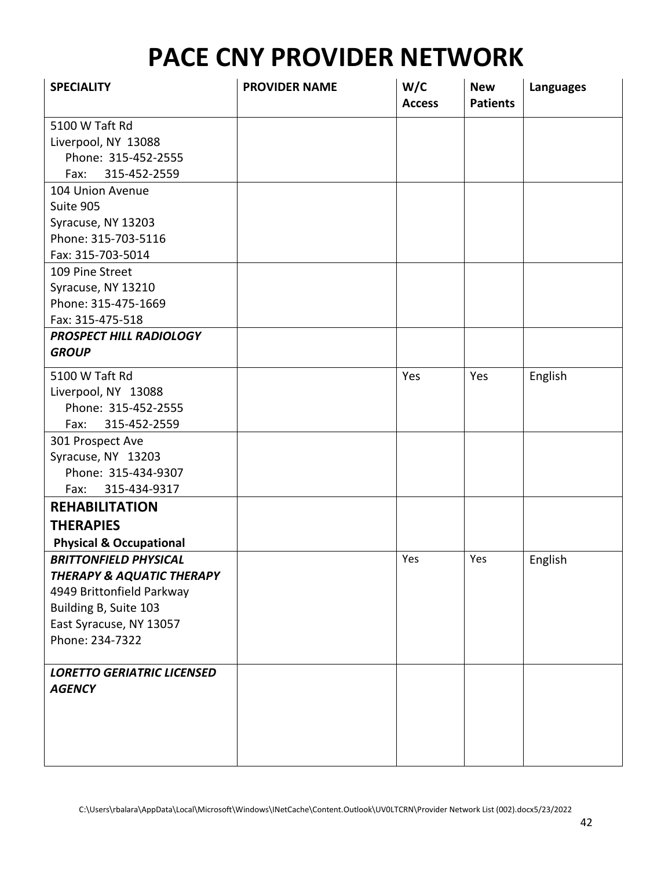| <b>SPECIALITY</b>                    | <b>PROVIDER NAME</b> | W/C<br><b>Access</b> | <b>New</b><br><b>Patients</b> | <b>Languages</b> |
|--------------------------------------|----------------------|----------------------|-------------------------------|------------------|
| 5100 W Taft Rd                       |                      |                      |                               |                  |
| Liverpool, NY 13088                  |                      |                      |                               |                  |
| Phone: 315-452-2555                  |                      |                      |                               |                  |
| 315-452-2559<br>Fax:                 |                      |                      |                               |                  |
| 104 Union Avenue                     |                      |                      |                               |                  |
| Suite 905                            |                      |                      |                               |                  |
| Syracuse, NY 13203                   |                      |                      |                               |                  |
| Phone: 315-703-5116                  |                      |                      |                               |                  |
| Fax: 315-703-5014                    |                      |                      |                               |                  |
| 109 Pine Street                      |                      |                      |                               |                  |
| Syracuse, NY 13210                   |                      |                      |                               |                  |
| Phone: 315-475-1669                  |                      |                      |                               |                  |
| Fax: 315-475-518                     |                      |                      |                               |                  |
| PROSPECT HILL RADIOLOGY              |                      |                      |                               |                  |
| <b>GROUP</b>                         |                      |                      |                               |                  |
| 5100 W Taft Rd                       |                      | Yes                  | Yes                           | English          |
| Liverpool, NY 13088                  |                      |                      |                               |                  |
| Phone: 315-452-2555                  |                      |                      |                               |                  |
| 315-452-2559<br>Fax:                 |                      |                      |                               |                  |
| 301 Prospect Ave                     |                      |                      |                               |                  |
| Syracuse, NY 13203                   |                      |                      |                               |                  |
| Phone: 315-434-9307                  |                      |                      |                               |                  |
| 315-434-9317<br>Fax:                 |                      |                      |                               |                  |
| <b>REHABILITATION</b>                |                      |                      |                               |                  |
| <b>THERAPIES</b>                     |                      |                      |                               |                  |
| <b>Physical &amp; Occupational</b>   |                      |                      |                               |                  |
| <b>BRITTONFIELD PHYSICAL</b>         |                      | Yes                  | Yes                           | English          |
| <b>THERAPY &amp; AQUATIC THERAPY</b> |                      |                      |                               |                  |
| 4949 Brittonfield Parkway            |                      |                      |                               |                  |
| Building B, Suite 103                |                      |                      |                               |                  |
| East Syracuse, NY 13057              |                      |                      |                               |                  |
| Phone: 234-7322                      |                      |                      |                               |                  |
|                                      |                      |                      |                               |                  |
| <b>LORETTO GERIATRIC LICENSED</b>    |                      |                      |                               |                  |
| <b>AGENCY</b>                        |                      |                      |                               |                  |
|                                      |                      |                      |                               |                  |
|                                      |                      |                      |                               |                  |
|                                      |                      |                      |                               |                  |
|                                      |                      |                      |                               |                  |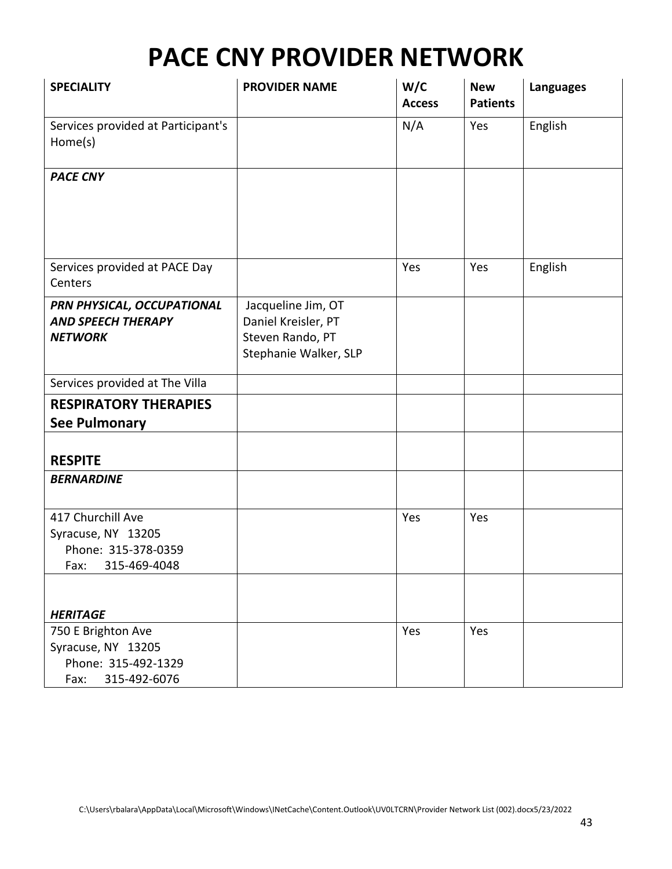| <b>SPECIALITY</b>                                                                       | <b>PROVIDER NAME</b>                                                                   | W/C<br><b>Access</b> | <b>New</b><br><b>Patients</b> | <b>Languages</b> |
|-----------------------------------------------------------------------------------------|----------------------------------------------------------------------------------------|----------------------|-------------------------------|------------------|
| Services provided at Participant's<br>Home(s)                                           |                                                                                        | N/A                  | Yes                           | English          |
| <b>PACE CNY</b>                                                                         |                                                                                        |                      |                               |                  |
| Services provided at PACE Day<br>Centers                                                |                                                                                        | Yes                  | Yes                           | English          |
| PRN PHYSICAL, OCCUPATIONAL<br><b>AND SPEECH THERAPY</b><br><b>NETWORK</b>               | Jacqueline Jim, OT<br>Daniel Kreisler, PT<br>Steven Rando, PT<br>Stephanie Walker, SLP |                      |                               |                  |
| Services provided at The Villa                                                          |                                                                                        |                      |                               |                  |
| <b>RESPIRATORY THERAPIES</b><br><b>See Pulmonary</b>                                    |                                                                                        |                      |                               |                  |
| <b>RESPITE</b>                                                                          |                                                                                        |                      |                               |                  |
| <b>BERNARDINE</b>                                                                       |                                                                                        |                      |                               |                  |
| 417 Churchill Ave<br>Syracuse, NY 13205<br>Phone: 315-378-0359<br>Fax: 315-469-4048     |                                                                                        | Yes                  | Yes                           |                  |
| <b>HERITAGE</b>                                                                         |                                                                                        |                      |                               |                  |
| 750 E Brighton Ave<br>Syracuse, NY 13205<br>Phone: 315-492-1329<br>315-492-6076<br>Fax: |                                                                                        | Yes                  | Yes                           |                  |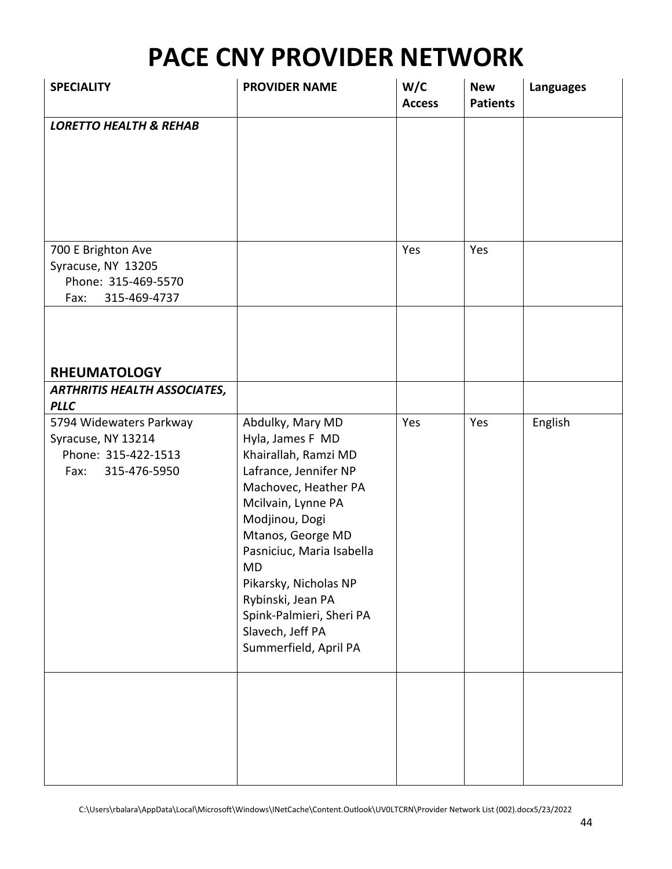| <b>SPECIALITY</b>                                                                            | <b>PROVIDER NAME</b>                                                                                                                                                                                                                                                                                                                        | W/C<br><b>Access</b> | <b>New</b><br><b>Patients</b> | <b>Languages</b> |
|----------------------------------------------------------------------------------------------|---------------------------------------------------------------------------------------------------------------------------------------------------------------------------------------------------------------------------------------------------------------------------------------------------------------------------------------------|----------------------|-------------------------------|------------------|
| <b>LORETTO HEALTH &amp; REHAB</b>                                                            |                                                                                                                                                                                                                                                                                                                                             |                      |                               |                  |
| 700 E Brighton Ave<br>Syracuse, NY 13205<br>Phone: 315-469-5570<br>315-469-4737<br>Fax:      |                                                                                                                                                                                                                                                                                                                                             | Yes                  | Yes                           |                  |
| <b>RHEUMATOLOGY</b>                                                                          |                                                                                                                                                                                                                                                                                                                                             |                      |                               |                  |
| <b>ARTHRITIS HEALTH ASSOCIATES,</b><br><b>PLLC</b>                                           |                                                                                                                                                                                                                                                                                                                                             |                      |                               |                  |
| 5794 Widewaters Parkway<br>Syracuse, NY 13214<br>Phone: 315-422-1513<br>315-476-5950<br>Fax: | Abdulky, Mary MD<br>Hyla, James F MD<br>Khairallah, Ramzi MD<br>Lafrance, Jennifer NP<br>Machovec, Heather PA<br>Mcilvain, Lynne PA<br>Modjinou, Dogi<br>Mtanos, George MD<br>Pasniciuc, Maria Isabella<br><b>MD</b><br>Pikarsky, Nicholas NP<br>Rybinski, Jean PA<br>Spink-Palmieri, Sheri PA<br>Slavech, Jeff PA<br>Summerfield, April PA | Yes                  | Yes                           | English          |
|                                                                                              |                                                                                                                                                                                                                                                                                                                                             |                      |                               |                  |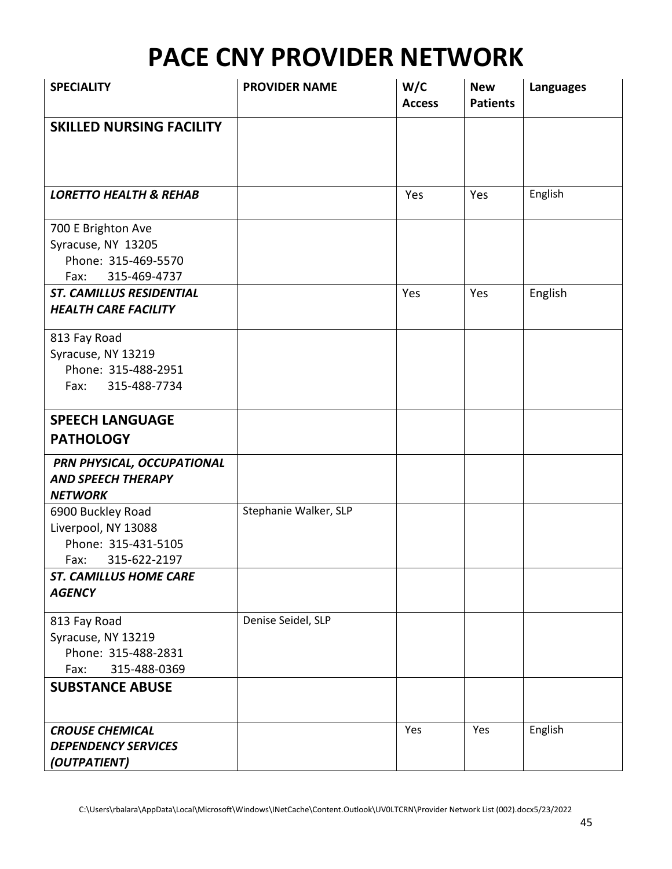| <b>SPECIALITY</b>                                     | <b>PROVIDER NAME</b>  | W/C<br><b>Access</b> | <b>New</b><br><b>Patients</b> | <b>Languages</b> |
|-------------------------------------------------------|-----------------------|----------------------|-------------------------------|------------------|
| <b>SKILLED NURSING FACILITY</b>                       |                       |                      |                               |                  |
|                                                       |                       |                      |                               |                  |
|                                                       |                       |                      |                               |                  |
|                                                       |                       |                      |                               |                  |
| <b>LORETTO HEALTH &amp; REHAB</b>                     |                       | Yes                  | Yes                           | English          |
| 700 E Brighton Ave                                    |                       |                      |                               |                  |
| Syracuse, NY 13205                                    |                       |                      |                               |                  |
| Phone: 315-469-5570                                   |                       |                      |                               |                  |
| 315-469-4737<br>Fax:                                  |                       |                      |                               |                  |
| <b>ST. CAMILLUS RESIDENTIAL</b>                       |                       | Yes                  | Yes                           | English          |
| <b>HEALTH CARE FACILITY</b>                           |                       |                      |                               |                  |
| 813 Fay Road                                          |                       |                      |                               |                  |
| Syracuse, NY 13219                                    |                       |                      |                               |                  |
| Phone: 315-488-2951                                   |                       |                      |                               |                  |
| 315-488-7734<br>Fax:                                  |                       |                      |                               |                  |
|                                                       |                       |                      |                               |                  |
| <b>SPEECH LANGUAGE</b>                                |                       |                      |                               |                  |
| <b>PATHOLOGY</b>                                      |                       |                      |                               |                  |
| PRN PHYSICAL, OCCUPATIONAL                            |                       |                      |                               |                  |
| <b>AND SPEECH THERAPY</b>                             |                       |                      |                               |                  |
| <b>NETWORK</b>                                        |                       |                      |                               |                  |
| 6900 Buckley Road                                     | Stephanie Walker, SLP |                      |                               |                  |
| Liverpool, NY 13088                                   |                       |                      |                               |                  |
| Phone: 315-431-5105                                   |                       |                      |                               |                  |
| 315-622-2197<br>Fax:<br><b>ST. CAMILLUS HOME CARE</b> |                       |                      |                               |                  |
| <b>AGENCY</b>                                         |                       |                      |                               |                  |
|                                                       |                       |                      |                               |                  |
| 813 Fay Road                                          | Denise Seidel, SLP    |                      |                               |                  |
| Syracuse, NY 13219<br>Phone: 315-488-2831             |                       |                      |                               |                  |
| 315-488-0369<br>Fax:                                  |                       |                      |                               |                  |
| <b>SUBSTANCE ABUSE</b>                                |                       |                      |                               |                  |
|                                                       |                       |                      |                               |                  |
| <b>CROUSE CHEMICAL</b>                                |                       | Yes                  | Yes                           | English          |
| <b>DEPENDENCY SERVICES</b>                            |                       |                      |                               |                  |
| (OUTPATIENT)                                          |                       |                      |                               |                  |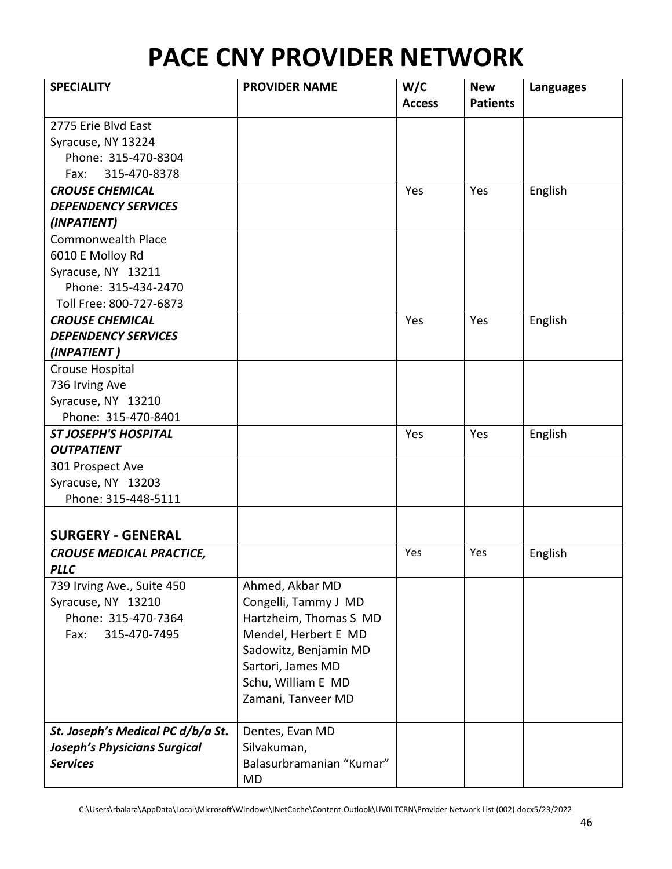| <b>SPECIALITY</b>                   | <b>PROVIDER NAME</b>     | W/C<br><b>Access</b> | <b>New</b><br><b>Patients</b> | <b>Languages</b> |
|-------------------------------------|--------------------------|----------------------|-------------------------------|------------------|
| 2775 Erie Blvd East                 |                          |                      |                               |                  |
| Syracuse, NY 13224                  |                          |                      |                               |                  |
| Phone: 315-470-8304                 |                          |                      |                               |                  |
| 315-470-8378<br>Fax:                |                          |                      |                               |                  |
| <b>CROUSE CHEMICAL</b>              |                          | Yes                  | Yes                           | English          |
| <b>DEPENDENCY SERVICES</b>          |                          |                      |                               |                  |
| (INPATIENT)                         |                          |                      |                               |                  |
| <b>Commonwealth Place</b>           |                          |                      |                               |                  |
| 6010 E Molloy Rd                    |                          |                      |                               |                  |
| Syracuse, NY 13211                  |                          |                      |                               |                  |
| Phone: 315-434-2470                 |                          |                      |                               |                  |
| Toll Free: 800-727-6873             |                          |                      |                               |                  |
| <b>CROUSE CHEMICAL</b>              |                          | Yes                  | Yes                           | English          |
| <b>DEPENDENCY SERVICES</b>          |                          |                      |                               |                  |
| (INPATIENT)                         |                          |                      |                               |                  |
| Crouse Hospital                     |                          |                      |                               |                  |
| 736 Irving Ave                      |                          |                      |                               |                  |
| Syracuse, NY 13210                  |                          |                      |                               |                  |
| Phone: 315-470-8401                 |                          |                      |                               |                  |
| <b>ST JOSEPH'S HOSPITAL</b>         |                          | Yes                  | Yes                           | English          |
| <b>OUTPATIENT</b>                   |                          |                      |                               |                  |
| 301 Prospect Ave                    |                          |                      |                               |                  |
| Syracuse, NY 13203                  |                          |                      |                               |                  |
| Phone: 315-448-5111                 |                          |                      |                               |                  |
|                                     |                          |                      |                               |                  |
| <b>SURGERY - GENERAL</b>            |                          |                      |                               |                  |
| <b>CROUSE MEDICAL PRACTICE,</b>     |                          | Yes                  | Yes                           | English          |
| <b>PLLC</b>                         |                          |                      |                               |                  |
| 739 Irving Ave., Suite 450          | Ahmed, Akbar MD          |                      |                               |                  |
| Syracuse, NY 13210                  | Congelli, Tammy J MD     |                      |                               |                  |
| Phone: 315-470-7364                 | Hartzheim, Thomas S MD   |                      |                               |                  |
| 315-470-7495<br>Fax:                | Mendel, Herbert E MD     |                      |                               |                  |
|                                     | Sadowitz, Benjamin MD    |                      |                               |                  |
|                                     | Sartori, James MD        |                      |                               |                  |
|                                     | Schu, William E MD       |                      |                               |                  |
|                                     | Zamani, Tanveer MD       |                      |                               |                  |
|                                     |                          |                      |                               |                  |
| St. Joseph's Medical PC d/b/a St.   | Dentes, Evan MD          |                      |                               |                  |
| <b>Joseph's Physicians Surgical</b> | Silvakuman,              |                      |                               |                  |
| <b>Services</b>                     | Balasurbramanian "Kumar" |                      |                               |                  |
|                                     | MD                       |                      |                               |                  |

C:\Users\rbalara\AppData\Local\Microsoft\Windows\INetCache\Content.Outlook\UV0LTCRN\Provider Network List (002).docx5/23/2022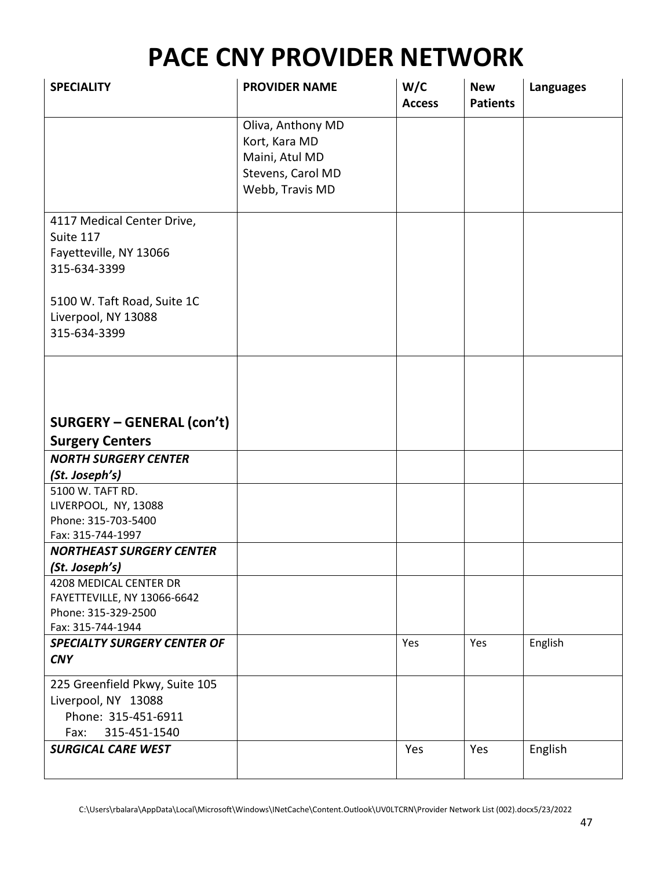| <b>SPECIALITY</b>                                     | <b>PROVIDER NAME</b> | W/C<br><b>Access</b> | <b>New</b><br><b>Patients</b> | <b>Languages</b> |
|-------------------------------------------------------|----------------------|----------------------|-------------------------------|------------------|
|                                                       | Oliva, Anthony MD    |                      |                               |                  |
|                                                       | Kort, Kara MD        |                      |                               |                  |
|                                                       | Maini, Atul MD       |                      |                               |                  |
|                                                       | Stevens, Carol MD    |                      |                               |                  |
|                                                       | Webb, Travis MD      |                      |                               |                  |
| 4117 Medical Center Drive,                            |                      |                      |                               |                  |
| Suite 117                                             |                      |                      |                               |                  |
| Fayetteville, NY 13066                                |                      |                      |                               |                  |
| 315-634-3399                                          |                      |                      |                               |                  |
|                                                       |                      |                      |                               |                  |
| 5100 W. Taft Road, Suite 1C                           |                      |                      |                               |                  |
| Liverpool, NY 13088                                   |                      |                      |                               |                  |
| 315-634-3399                                          |                      |                      |                               |                  |
|                                                       |                      |                      |                               |                  |
|                                                       |                      |                      |                               |                  |
|                                                       |                      |                      |                               |                  |
|                                                       |                      |                      |                               |                  |
| <b>SURGERY - GENERAL (con't)</b>                      |                      |                      |                               |                  |
| <b>Surgery Centers</b><br><b>NORTH SURGERY CENTER</b> |                      |                      |                               |                  |
| (St. Joseph's)                                        |                      |                      |                               |                  |
| 5100 W. TAFT RD.                                      |                      |                      |                               |                  |
| LIVERPOOL, NY, 13088                                  |                      |                      |                               |                  |
| Phone: 315-703-5400                                   |                      |                      |                               |                  |
| Fax: 315-744-1997                                     |                      |                      |                               |                  |
| <b>NORTHEAST SURGERY CENTER</b>                       |                      |                      |                               |                  |
| (St. Joseph's)                                        |                      |                      |                               |                  |
| 4208 MEDICAL CENTER DR                                |                      |                      |                               |                  |
| FAYETTEVILLE, NY 13066-6642<br>Phone: 315-329-2500    |                      |                      |                               |                  |
| Fax: 315-744-1944                                     |                      |                      |                               |                  |
| <b>SPECIALTY SURGERY CENTER OF</b>                    |                      | Yes                  | Yes                           | English          |
| <b>CNY</b>                                            |                      |                      |                               |                  |
| 225 Greenfield Pkwy, Suite 105                        |                      |                      |                               |                  |
| Liverpool, NY 13088                                   |                      |                      |                               |                  |
| Phone: 315-451-6911                                   |                      |                      |                               |                  |
| 315-451-1540<br>Fax:                                  |                      |                      |                               |                  |
| <b>SURGICAL CARE WEST</b>                             |                      | Yes                  | Yes                           | English          |
|                                                       |                      |                      |                               |                  |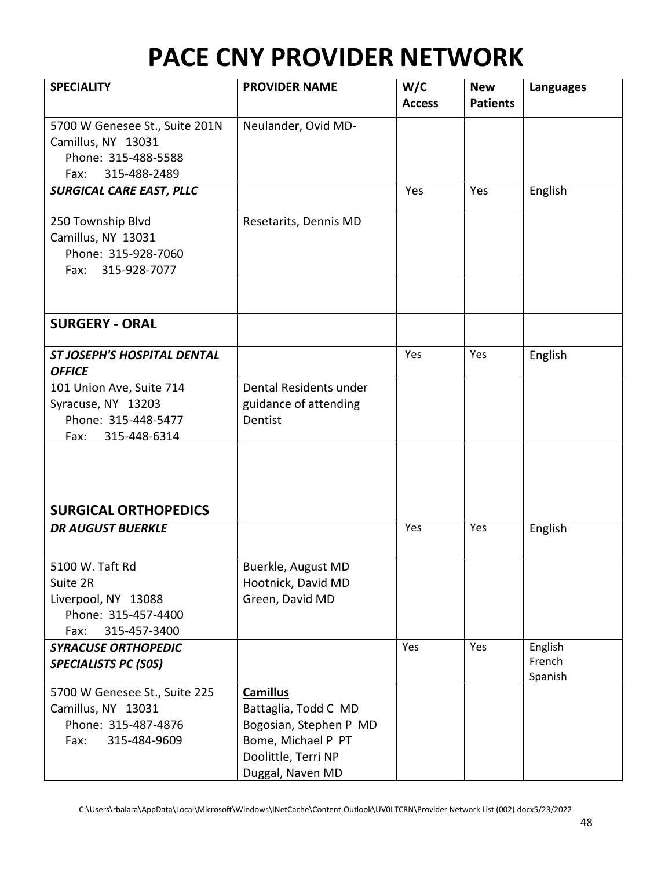| <b>SPECIALITY</b>                                                                                   | <b>PROVIDER NAME</b>                                                                                                               | W/C<br><b>Access</b> | <b>New</b><br><b>Patients</b> | <b>Languages</b>             |
|-----------------------------------------------------------------------------------------------------|------------------------------------------------------------------------------------------------------------------------------------|----------------------|-------------------------------|------------------------------|
| 5700 W Genesee St., Suite 201N<br>Camillus, NY 13031<br>Phone: 315-488-5588<br>315-488-2489<br>Fax: | Neulander, Ovid MD-                                                                                                                |                      |                               |                              |
| <b>SURGICAL CARE EAST, PLLC</b>                                                                     |                                                                                                                                    | Yes                  | Yes                           | English                      |
| 250 Township Blvd<br>Camillus, NY 13031<br>Phone: 315-928-7060<br>315-928-7077<br>Fax:              | Resetarits, Dennis MD                                                                                                              |                      |                               |                              |
| <b>SURGERY - ORAL</b>                                                                               |                                                                                                                                    |                      |                               |                              |
|                                                                                                     |                                                                                                                                    |                      |                               |                              |
| <b>ST JOSEPH'S HOSPITAL DENTAL</b><br><b>OFFICE</b>                                                 |                                                                                                                                    | Yes                  | Yes                           | English                      |
| 101 Union Ave, Suite 714<br>Syracuse, NY 13203<br>Phone: 315-448-5477<br>Fax:<br>315-448-6314       | Dental Residents under<br>guidance of attending<br>Dentist                                                                         |                      |                               |                              |
| <b>SURGICAL ORTHOPEDICS</b>                                                                         |                                                                                                                                    |                      |                               |                              |
| <b>DR AUGUST BUERKLE</b>                                                                            |                                                                                                                                    | Yes                  | Yes                           | English                      |
| 5100 W. Taft Rd<br>Suite 2R<br>Liverpool, NY 13088<br>Phone: 315-457-4400<br>315-457-3400<br>Fax:   | Buerkle, August MD<br>Hootnick, David MD<br>Green, David MD                                                                        |                      |                               |                              |
| <b>SYRACUSE ORTHOPEDIC</b><br><b>SPECIALISTS PC (SOS)</b>                                           |                                                                                                                                    | Yes                  | Yes                           | English<br>French<br>Spanish |
| 5700 W Genesee St., Suite 225<br>Camillus, NY 13031<br>Phone: 315-487-4876<br>Fax:<br>315-484-9609  | <b>Camillus</b><br>Battaglia, Todd C MD<br>Bogosian, Stephen P MD<br>Bome, Michael P PT<br>Doolittle, Terri NP<br>Duggal, Naven MD |                      |                               |                              |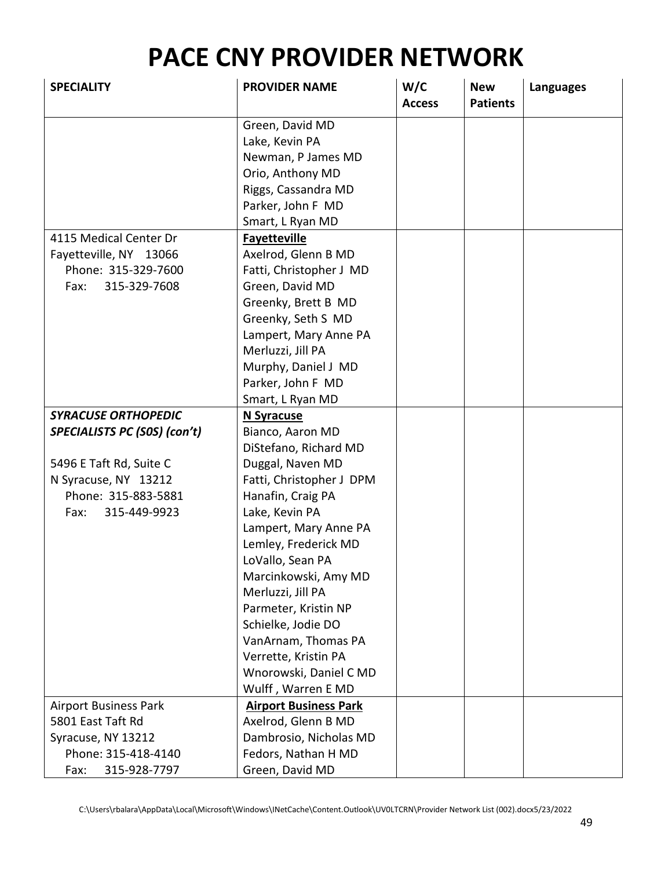| <b>SPECIALITY</b>            | <b>PROVIDER NAME</b>         | W/C<br><b>Access</b> | <b>New</b><br><b>Patients</b> | <b>Languages</b> |
|------------------------------|------------------------------|----------------------|-------------------------------|------------------|
|                              | Green, David MD              |                      |                               |                  |
|                              | Lake, Kevin PA               |                      |                               |                  |
|                              | Newman, P James MD           |                      |                               |                  |
|                              | Orio, Anthony MD             |                      |                               |                  |
|                              | Riggs, Cassandra MD          |                      |                               |                  |
|                              | Parker, John F MD            |                      |                               |                  |
|                              | Smart, L Ryan MD             |                      |                               |                  |
| 4115 Medical Center Dr       | <b>Fayetteville</b>          |                      |                               |                  |
| Fayetteville, NY 13066       | Axelrod, Glenn B MD          |                      |                               |                  |
| Phone: 315-329-7600          | Fatti, Christopher J MD      |                      |                               |                  |
| 315-329-7608<br>Fax:         | Green, David MD              |                      |                               |                  |
|                              | Greenky, Brett B MD          |                      |                               |                  |
|                              | Greenky, Seth S MD           |                      |                               |                  |
|                              | Lampert, Mary Anne PA        |                      |                               |                  |
|                              | Merluzzi, Jill PA            |                      |                               |                  |
|                              | Murphy, Daniel J MD          |                      |                               |                  |
|                              | Parker, John F MD            |                      |                               |                  |
|                              | Smart, L Ryan MD             |                      |                               |                  |
| <b>SYRACUSE ORTHOPEDIC</b>   | N Syracuse                   |                      |                               |                  |
| SPECIALISTS PC (SOS) (con't) | Bianco, Aaron MD             |                      |                               |                  |
|                              | DiStefano, Richard MD        |                      |                               |                  |
| 5496 E Taft Rd, Suite C      | Duggal, Naven MD             |                      |                               |                  |
| N Syracuse, NY 13212         | Fatti, Christopher J DPM     |                      |                               |                  |
| Phone: 315-883-5881          | Hanafin, Craig PA            |                      |                               |                  |
| 315-449-9923<br>Fax:         | Lake, Kevin PA               |                      |                               |                  |
|                              | Lampert, Mary Anne PA        |                      |                               |                  |
|                              | Lemley, Frederick MD         |                      |                               |                  |
|                              | LoVallo, Sean PA             |                      |                               |                  |
|                              | Marcinkowski, Amy MD         |                      |                               |                  |
|                              | Merluzzi, Jill PA            |                      |                               |                  |
|                              | Parmeter, Kristin NP         |                      |                               |                  |
|                              | Schielke, Jodie DO           |                      |                               |                  |
|                              | VanArnam, Thomas PA          |                      |                               |                  |
|                              | Verrette, Kristin PA         |                      |                               |                  |
|                              | Wnorowski, Daniel C MD       |                      |                               |                  |
|                              | Wulff, Warren E MD           |                      |                               |                  |
| <b>Airport Business Park</b> | <b>Airport Business Park</b> |                      |                               |                  |
| 5801 East Taft Rd            | Axelrod, Glenn B MD          |                      |                               |                  |
| Syracuse, NY 13212           | Dambrosio, Nicholas MD       |                      |                               |                  |
| Phone: 315-418-4140          | Fedors, Nathan H MD          |                      |                               |                  |
| 315-928-7797<br>Fax:         | Green, David MD              |                      |                               |                  |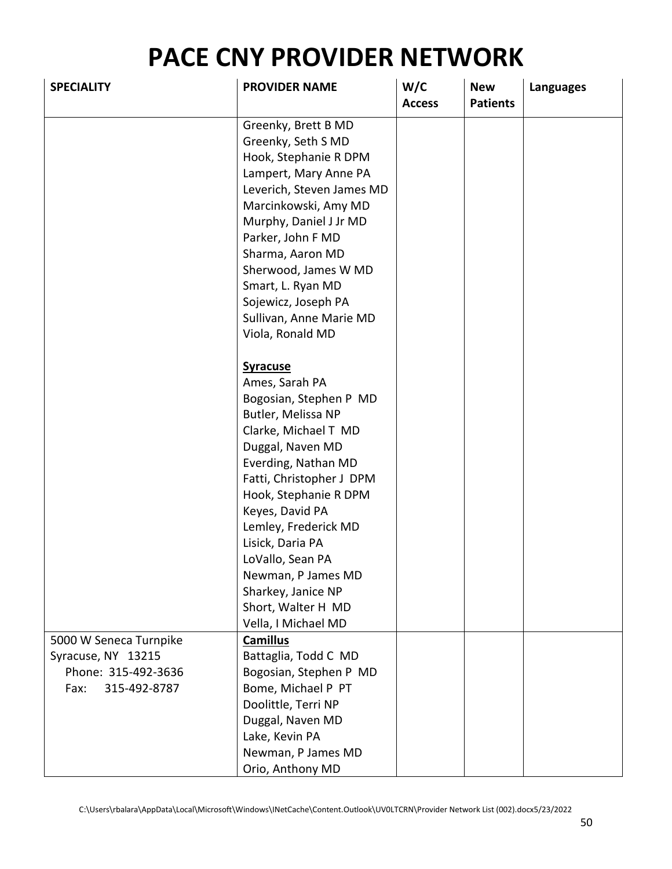| <b>SPECIALITY</b>      | <b>PROVIDER NAME</b>      | W/C<br><b>Access</b> | <b>New</b><br><b>Patients</b> | <b>Languages</b> |
|------------------------|---------------------------|----------------------|-------------------------------|------------------|
|                        | Greenky, Brett B MD       |                      |                               |                  |
|                        | Greenky, Seth S MD        |                      |                               |                  |
|                        | Hook, Stephanie R DPM     |                      |                               |                  |
|                        | Lampert, Mary Anne PA     |                      |                               |                  |
|                        | Leverich, Steven James MD |                      |                               |                  |
|                        | Marcinkowski, Amy MD      |                      |                               |                  |
|                        | Murphy, Daniel J Jr MD    |                      |                               |                  |
|                        | Parker, John F MD         |                      |                               |                  |
|                        | Sharma, Aaron MD          |                      |                               |                  |
|                        | Sherwood, James W MD      |                      |                               |                  |
|                        | Smart, L. Ryan MD         |                      |                               |                  |
|                        | Sojewicz, Joseph PA       |                      |                               |                  |
|                        | Sullivan, Anne Marie MD   |                      |                               |                  |
|                        | Viola, Ronald MD          |                      |                               |                  |
|                        |                           |                      |                               |                  |
|                        | <b>Syracuse</b>           |                      |                               |                  |
|                        | Ames, Sarah PA            |                      |                               |                  |
|                        | Bogosian, Stephen P MD    |                      |                               |                  |
|                        | Butler, Melissa NP        |                      |                               |                  |
|                        | Clarke, Michael T MD      |                      |                               |                  |
|                        | Duggal, Naven MD          |                      |                               |                  |
|                        | Everding, Nathan MD       |                      |                               |                  |
|                        | Fatti, Christopher J DPM  |                      |                               |                  |
|                        | Hook, Stephanie R DPM     |                      |                               |                  |
|                        | Keyes, David PA           |                      |                               |                  |
|                        | Lemley, Frederick MD      |                      |                               |                  |
|                        | Lisick, Daria PA          |                      |                               |                  |
|                        | LoVallo, Sean PA          |                      |                               |                  |
|                        | Newman, P James MD        |                      |                               |                  |
|                        | Sharkey, Janice NP        |                      |                               |                  |
|                        | Short, Walter H MD        |                      |                               |                  |
|                        | Vella, I Michael MD       |                      |                               |                  |
| 5000 W Seneca Turnpike | <b>Camillus</b>           |                      |                               |                  |
| Syracuse, NY 13215     | Battaglia, Todd C MD      |                      |                               |                  |
| Phone: 315-492-3636    | Bogosian, Stephen P MD    |                      |                               |                  |
| Fax:<br>315-492-8787   | Bome, Michael P PT        |                      |                               |                  |
|                        | Doolittle, Terri NP       |                      |                               |                  |
|                        | Duggal, Naven MD          |                      |                               |                  |
|                        | Lake, Kevin PA            |                      |                               |                  |
|                        | Newman, P James MD        |                      |                               |                  |
|                        | Orio, Anthony MD          |                      |                               |                  |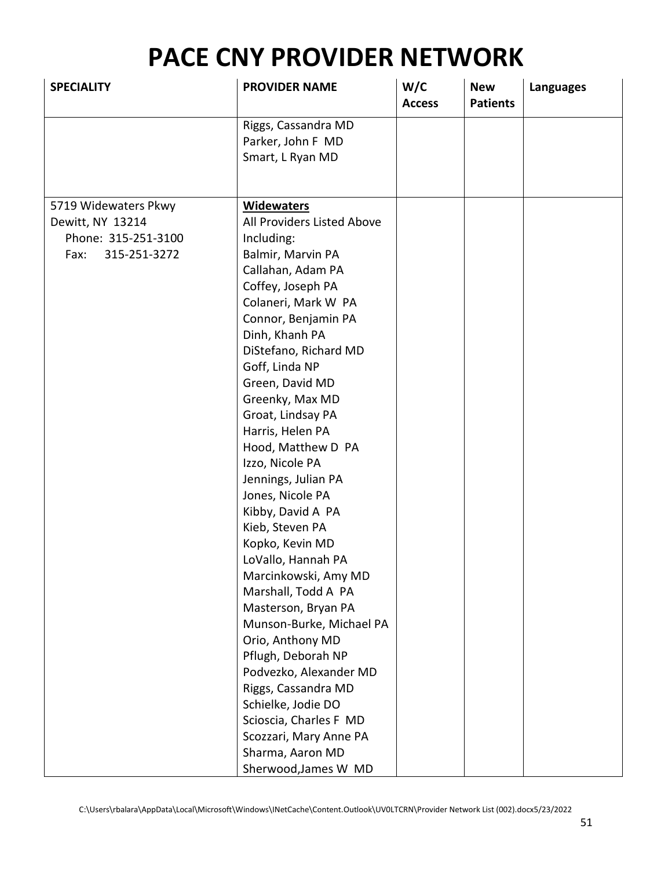| <b>SPECIALITY</b>    | <b>PROVIDER NAME</b>       | W/C<br><b>Access</b> | <b>New</b><br><b>Patients</b> | <b>Languages</b> |
|----------------------|----------------------------|----------------------|-------------------------------|------------------|
|                      | Riggs, Cassandra MD        |                      |                               |                  |
|                      | Parker, John F MD          |                      |                               |                  |
|                      | Smart, L Ryan MD           |                      |                               |                  |
|                      |                            |                      |                               |                  |
|                      |                            |                      |                               |                  |
| 5719 Widewaters Pkwy | <b>Widewaters</b>          |                      |                               |                  |
| Dewitt, NY 13214     | All Providers Listed Above |                      |                               |                  |
| Phone: 315-251-3100  | Including:                 |                      |                               |                  |
| 315-251-3272<br>Fax: | Balmir, Marvin PA          |                      |                               |                  |
|                      | Callahan, Adam PA          |                      |                               |                  |
|                      | Coffey, Joseph PA          |                      |                               |                  |
|                      | Colaneri, Mark W PA        |                      |                               |                  |
|                      | Connor, Benjamin PA        |                      |                               |                  |
|                      | Dinh, Khanh PA             |                      |                               |                  |
|                      | DiStefano, Richard MD      |                      |                               |                  |
|                      | Goff, Linda NP             |                      |                               |                  |
|                      | Green, David MD            |                      |                               |                  |
|                      | Greenky, Max MD            |                      |                               |                  |
|                      | Groat, Lindsay PA          |                      |                               |                  |
|                      | Harris, Helen PA           |                      |                               |                  |
|                      | Hood, Matthew D PA         |                      |                               |                  |
|                      | Izzo, Nicole PA            |                      |                               |                  |
|                      | Jennings, Julian PA        |                      |                               |                  |
|                      | Jones, Nicole PA           |                      |                               |                  |
|                      | Kibby, David A PA          |                      |                               |                  |
|                      | Kieb, Steven PA            |                      |                               |                  |
|                      | Kopko, Kevin MD            |                      |                               |                  |
|                      | LoVallo, Hannah PA         |                      |                               |                  |
|                      | Marcinkowski, Amy MD       |                      |                               |                  |
|                      | Marshall, Todd A PA        |                      |                               |                  |
|                      | Masterson, Bryan PA        |                      |                               |                  |
|                      | Munson-Burke, Michael PA   |                      |                               |                  |
|                      | Orio, Anthony MD           |                      |                               |                  |
|                      | Pflugh, Deborah NP         |                      |                               |                  |
|                      | Podvezko, Alexander MD     |                      |                               |                  |
|                      | Riggs, Cassandra MD        |                      |                               |                  |
|                      | Schielke, Jodie DO         |                      |                               |                  |
|                      | Scioscia, Charles F MD     |                      |                               |                  |
|                      | Scozzari, Mary Anne PA     |                      |                               |                  |
|                      | Sharma, Aaron MD           |                      |                               |                  |
|                      | Sherwood, James W MD       |                      |                               |                  |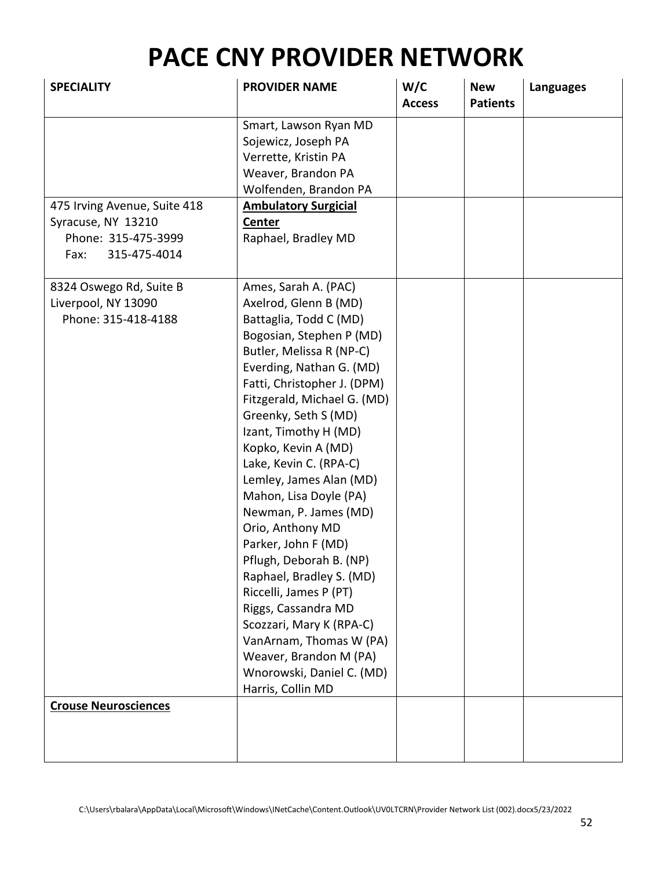| <b>SPECIALITY</b>                                                                                 | <b>PROVIDER NAME</b>                                                                                                                                                                                                                                                                                                                                                                                                                                                                                                                                                                                                                                                                            | W/C<br><b>Access</b> | <b>New</b><br><b>Patients</b> | <b>Languages</b> |
|---------------------------------------------------------------------------------------------------|-------------------------------------------------------------------------------------------------------------------------------------------------------------------------------------------------------------------------------------------------------------------------------------------------------------------------------------------------------------------------------------------------------------------------------------------------------------------------------------------------------------------------------------------------------------------------------------------------------------------------------------------------------------------------------------------------|----------------------|-------------------------------|------------------|
|                                                                                                   | Smart, Lawson Ryan MD<br>Sojewicz, Joseph PA<br>Verrette, Kristin PA<br>Weaver, Brandon PA<br>Wolfenden, Brandon PA                                                                                                                                                                                                                                                                                                                                                                                                                                                                                                                                                                             |                      |                               |                  |
| 475 Irving Avenue, Suite 418<br>Syracuse, NY 13210<br>Phone: 315-475-3999<br>315-475-4014<br>Fax: | <b>Ambulatory Surgicial</b><br>Center<br>Raphael, Bradley MD                                                                                                                                                                                                                                                                                                                                                                                                                                                                                                                                                                                                                                    |                      |                               |                  |
| 8324 Oswego Rd, Suite B<br>Liverpool, NY 13090<br>Phone: 315-418-4188                             | Ames, Sarah A. (PAC)<br>Axelrod, Glenn B (MD)<br>Battaglia, Todd C (MD)<br>Bogosian, Stephen P (MD)<br>Butler, Melissa R (NP-C)<br>Everding, Nathan G. (MD)<br>Fatti, Christopher J. (DPM)<br>Fitzgerald, Michael G. (MD)<br>Greenky, Seth S (MD)<br>Izant, Timothy H (MD)<br>Kopko, Kevin A (MD)<br>Lake, Kevin C. (RPA-C)<br>Lemley, James Alan (MD)<br>Mahon, Lisa Doyle (PA)<br>Newman, P. James (MD)<br>Orio, Anthony MD<br>Parker, John F (MD)<br>Pflugh, Deborah B. (NP)<br>Raphael, Bradley S. (MD)<br>Riccelli, James P (PT)<br>Riggs, Cassandra MD<br>Scozzari, Mary K (RPA-C)<br>VanArnam, Thomas W (PA)<br>Weaver, Brandon M (PA)<br>Wnorowski, Daniel C. (MD)<br>Harris, Collin MD |                      |                               |                  |
| <b>Crouse Neurosciences</b>                                                                       |                                                                                                                                                                                                                                                                                                                                                                                                                                                                                                                                                                                                                                                                                                 |                      |                               |                  |
|                                                                                                   |                                                                                                                                                                                                                                                                                                                                                                                                                                                                                                                                                                                                                                                                                                 |                      |                               |                  |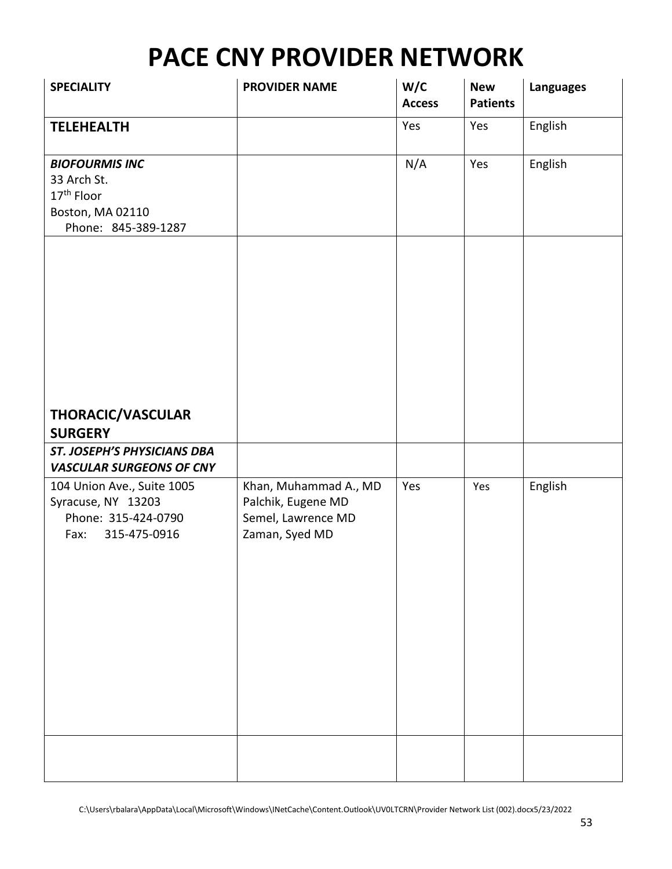| <b>SPECIALITY</b>                                                                                         | <b>PROVIDER NAME</b>                                                                | W/C<br><b>Access</b> | <b>New</b><br><b>Patients</b> | <b>Languages</b> |
|-----------------------------------------------------------------------------------------------------------|-------------------------------------------------------------------------------------|----------------------|-------------------------------|------------------|
| <b>TELEHEALTH</b>                                                                                         |                                                                                     | Yes                  | Yes                           | English          |
| <b>BIOFOURMIS INC</b><br>33 Arch St.<br>17 <sup>th</sup> Floor<br>Boston, MA 02110<br>Phone: 845-389-1287 |                                                                                     | N/A                  | Yes                           | English          |
| THORACIC/VASCULAR<br><b>SURGERY</b>                                                                       |                                                                                     |                      |                               |                  |
| ST. JOSEPH'S PHYSICIANS DBA<br><b>VASCULAR SURGEONS OF CNY</b>                                            |                                                                                     |                      |                               |                  |
| 104 Union Ave., Suite 1005<br>Syracuse, NY 13203<br>Phone: 315-424-0790<br>315-475-0916<br>Fax:           | Khan, Muhammad A., MD<br>Palchik, Eugene MD<br>Semel, Lawrence MD<br>Zaman, Syed MD | Yes                  | Yes                           | English          |
|                                                                                                           |                                                                                     |                      |                               |                  |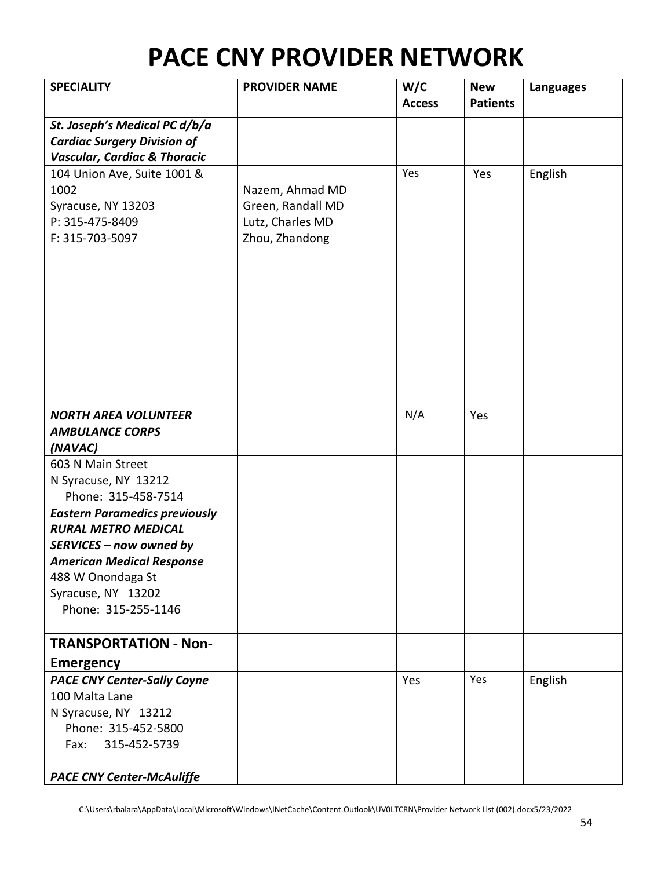| <b>SPECIALITY</b>                       | <b>PROVIDER NAME</b> | W/C<br><b>Access</b> | <b>New</b><br><b>Patients</b> | <b>Languages</b> |
|-----------------------------------------|----------------------|----------------------|-------------------------------|------------------|
| St. Joseph's Medical PC d/b/a           |                      |                      |                               |                  |
| <b>Cardiac Surgery Division of</b>      |                      |                      |                               |                  |
| <b>Vascular, Cardiac &amp; Thoracic</b> |                      |                      |                               |                  |
| 104 Union Ave, Suite 1001 &             |                      | Yes                  | Yes                           | English          |
| 1002                                    | Nazem, Ahmad MD      |                      |                               |                  |
| Syracuse, NY 13203                      | Green, Randall MD    |                      |                               |                  |
| P: 315-475-8409                         | Lutz, Charles MD     |                      |                               |                  |
| F: 315-703-5097                         | Zhou, Zhandong       |                      |                               |                  |
|                                         |                      |                      |                               |                  |
|                                         |                      |                      |                               |                  |
|                                         |                      |                      |                               |                  |
|                                         |                      |                      |                               |                  |
|                                         |                      |                      |                               |                  |
|                                         |                      |                      |                               |                  |
|                                         |                      |                      |                               |                  |
|                                         |                      |                      |                               |                  |
|                                         |                      |                      |                               |                  |
| <b>NORTH AREA VOLUNTEER</b>             |                      | N/A                  | Yes                           |                  |
| <b>AMBULANCE CORPS</b>                  |                      |                      |                               |                  |
| (NAVAC)                                 |                      |                      |                               |                  |
| 603 N Main Street                       |                      |                      |                               |                  |
| N Syracuse, NY 13212                    |                      |                      |                               |                  |
| Phone: 315-458-7514                     |                      |                      |                               |                  |
| <b>Eastern Paramedics previously</b>    |                      |                      |                               |                  |
| <b>RURAL METRO MEDICAL</b>              |                      |                      |                               |                  |
| SERVICES - now owned by                 |                      |                      |                               |                  |
| <b>American Medical Response</b>        |                      |                      |                               |                  |
| 488 W Onondaga St                       |                      |                      |                               |                  |
| Syracuse, NY 13202                      |                      |                      |                               |                  |
| Phone: 315-255-1146                     |                      |                      |                               |                  |
|                                         |                      |                      |                               |                  |
| <b>TRANSPORTATION - Non-</b>            |                      |                      |                               |                  |
| <b>Emergency</b>                        |                      |                      |                               |                  |
| <b>PACE CNY Center-Sally Coyne</b>      |                      | Yes                  | Yes                           | English          |
| 100 Malta Lane                          |                      |                      |                               |                  |
| N Syracuse, NY 13212                    |                      |                      |                               |                  |
| Phone: 315-452-5800                     |                      |                      |                               |                  |
| 315-452-5739<br>Fax:                    |                      |                      |                               |                  |
|                                         |                      |                      |                               |                  |
| <b>PACE CNY Center-McAuliffe</b>        |                      |                      |                               |                  |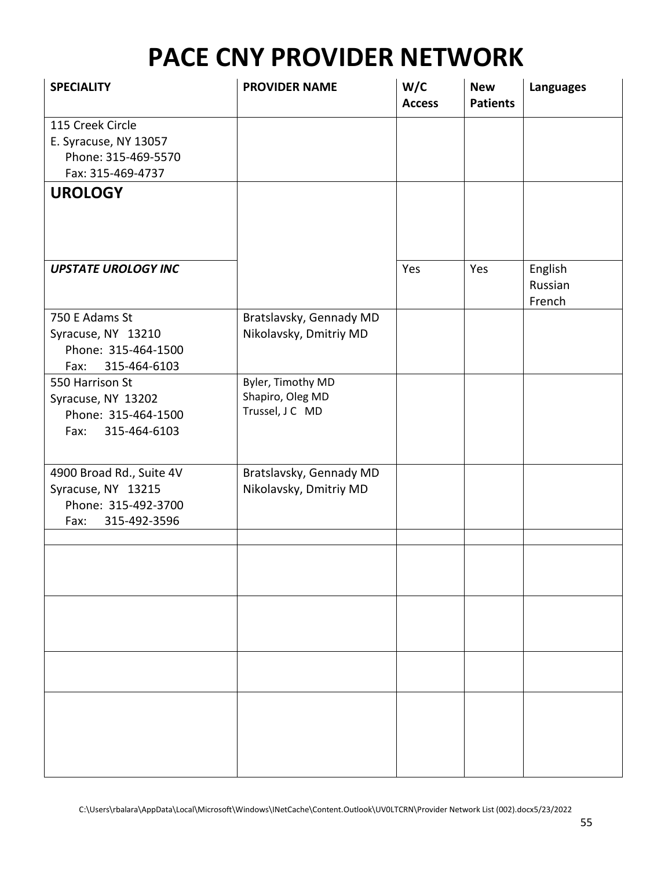| <b>SPECIALITY</b>                                                                             | <b>PROVIDER NAME</b>                                     | W/C<br><b>Access</b> | <b>New</b><br><b>Patients</b> | <b>Languages</b>             |
|-----------------------------------------------------------------------------------------------|----------------------------------------------------------|----------------------|-------------------------------|------------------------------|
| 115 Creek Circle<br>E. Syracuse, NY 13057<br>Phone: 315-469-5570<br>Fax: 315-469-4737         |                                                          |                      |                               |                              |
| <b>UROLOGY</b>                                                                                |                                                          |                      |                               |                              |
| <b>UPSTATE UROLOGY INC</b>                                                                    |                                                          | Yes                  | Yes                           | English<br>Russian<br>French |
| 750 E Adams St<br>Syracuse, NY 13210<br>Phone: 315-464-1500<br>315-464-6103<br>Fax:           | Bratslavsky, Gennady MD<br>Nikolavsky, Dmitriy MD        |                      |                               |                              |
| 550 Harrison St<br>Syracuse, NY 13202<br>Phone: 315-464-1500<br>315-464-6103<br>Fax:          | Byler, Timothy MD<br>Shapiro, Oleg MD<br>Trussel, J C MD |                      |                               |                              |
| 4900 Broad Rd., Suite 4V<br>Syracuse, NY 13215<br>Phone: 315-492-3700<br>315-492-3596<br>Fax: | Bratslavsky, Gennady MD<br>Nikolavsky, Dmitriy MD        |                      |                               |                              |
|                                                                                               |                                                          |                      |                               |                              |
|                                                                                               |                                                          |                      |                               |                              |
|                                                                                               |                                                          |                      |                               |                              |
|                                                                                               |                                                          |                      |                               |                              |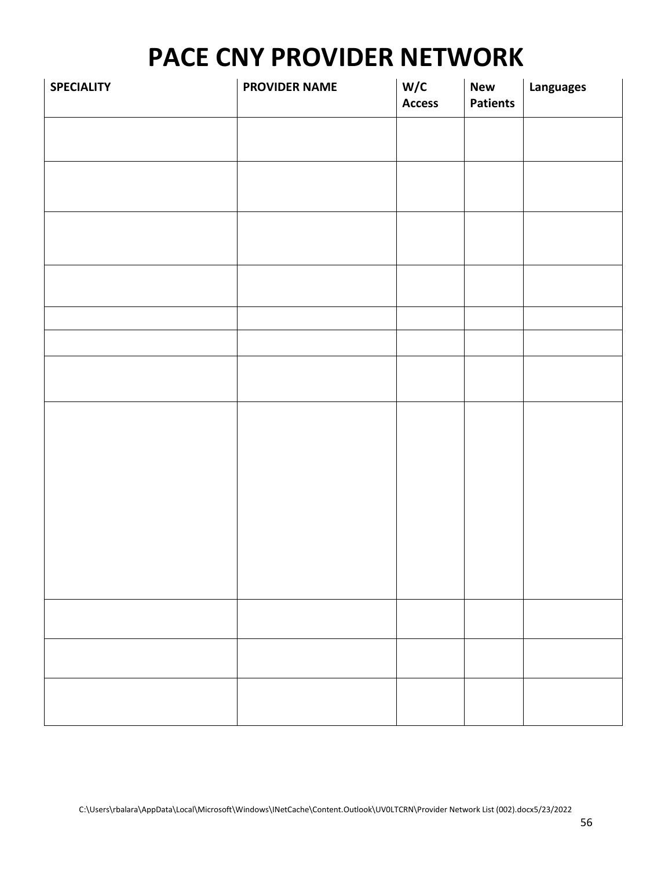| <b>SPECIALITY</b> | <b>PROVIDER NAME</b> | W/C<br><b>Access</b> | <b>New</b><br><b>Patients</b> | Languages |
|-------------------|----------------------|----------------------|-------------------------------|-----------|
|                   |                      |                      |                               |           |
|                   |                      |                      |                               |           |
|                   |                      |                      |                               |           |
|                   |                      |                      |                               |           |
|                   |                      |                      |                               |           |
|                   |                      |                      |                               |           |
|                   |                      |                      |                               |           |
|                   |                      |                      |                               |           |
|                   |                      |                      |                               |           |
|                   |                      |                      |                               |           |
|                   |                      |                      |                               |           |
|                   |                      |                      |                               |           |
|                   |                      |                      |                               |           |
|                   |                      |                      |                               |           |
|                   |                      |                      |                               |           |